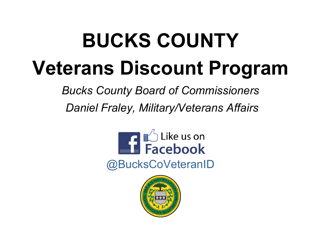# **BUCKS COUNTY Veterans Discount Program**

*Bucks County Board of Commissioners* 

*Daniel Fraley, Military/Veterans Affairs*



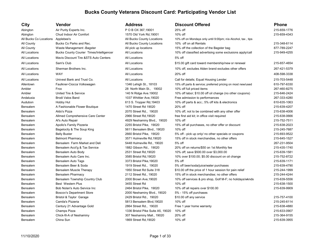| City                   | Vendor                                          | <b>Address</b>                    | <b>Discount Offered</b>                                      | <b>Phone</b> |
|------------------------|-------------------------------------------------|-----------------------------------|--------------------------------------------------------------|--------------|
| Abington               | Air Purity Experts Inc.                         | POB OX 367,19001                  | 25% off                                                      | 215-659-1776 |
| Abington               | Chud Indoor Air Comfort                         | 1570 Old York Rd, 19001           | 10% off                                                      | 215-659-4343 |
| All Bucks Co Locations | Applebee's                                      | All Bucks County Locations        | 10% off on Mondays only until 9:00pm; n/a Alcohol, tax, tips |              |
| All County             | Bucks Co Parks and Rec.                         | All Bucks County Locations        | 10% off on all Rentals                                       | 215-348-6114 |
| All County             | Waste Management - Bagster                      | All pick up locations             | 15% off the collection of the Bagster bag                    | 877-789-2247 |
| All Locations          | <b>Bucks County Courier Times/Intelligencer</b> | All Locations                     | 10% off classified advertising some exclusions apply/call    | 215-949-4255 |
| All Locations          | Mavis Discount Tire &STS Auto Centers           | All Locations                     | 5% off                                                       |              |
| All Locations          | Sam's Club                                      | All Locations                     | \$15.00 gift card toward membership/new or renewal           | 215-657-4654 |
| All Locations          | Sherman Brothers Inc.                           | All Locations                     | 10% off, excludes Alden brand excludes other offers          | 267-421-5379 |
| All Locations          | <b>WAY</b>                                      | All Locations                     | 20% off                                                      | 408-598-3338 |
| All Locations          | Univest Bank and Trust Co.                      | All Locations                     | Call for details; Equal Housing Lender                       | 215-703-5448 |
| Allentown              | Faulkner-Ciocca Volkswagen                      | 1346 Lehigh St., 18103            | 15% off parts & service; preferred pricing on most new/used  | 610-797-6330 |
| Ambler                 | Frox                                            | 28 North Main St., 19002          | 10% off full priced items                                    | 267-460-8275 |
| Ambler                 | United Tire & Service                           | 140 N Ridge Ave. 19002            | 10% off labor; \$10.00 off oil change (no other coupons)     | 215-646-2424 |
| Andalusia              | <b>Brodi Valos Band</b>                         | 1037 Whittier Ave, 19020          | Free admission to performances                               | 267-333-4280 |
| Audubon                | Hobby Hut                                       | 613 S. Tropper Rd, 19403          | 10% off parts & acc.; 5% off kits & electronics              | 610-635-1063 |
| Bensalem               | A Fashionable Flower Boutique                   | 1470 Street Rd 19020              | 20% off                                                      | 215-639-4207 |
| Bensalem               | Aldo's Pizza                                    | 2070 Street Rd., 19020            | 10% off, not to be combined with any other offer             | 215-638-4006 |
| Bensalem               | Allmed Comprehensive Care Center                | 2966 Street Rd, 19020             | free first aid kit; in office visit required                 | 215-638-0666 |
| Bensalem               | Al's Auto Repair                                | 4929 Neshaminy Blvd., 19020       | 10% off                                                      | 215-752-7511 |
| Bensalem               | Apollo's Family Pizzeria                        | 2255 Bristol Pike, 19020          | 15% off all purchases, no other offer or discount            | 215-638-2023 |
| Bensalem               | Bagelocity & The Soup King                      | 5611 Bensalem Blvd., 19020        | 10% off                                                      | 215-245-7687 |
| Bensalem               | <b>Belly Buster</b>                             | 2660 Bristol Pike, 19020          | 5% off - pick up only/ no other specials or coupons          | 215-693-9522 |
| Bensalem               | <b>Belmont Pharmacy</b>                         | 3571 Hulmeville Rd, 19020         | 15% off in stock merchandise, no other offers                | 215-645-1527 |
| Bensalem               | Bensalem Farm Market and Deli                   | 5448 Hulmeville Rd., 19020        | 5% off                                                       | 267-231-9504 |
| Bensalem               | Bensalem Acct'g & Tax Service                   | 1882 Gibson Rd., 19020            | 20% off on returns/\$50 on 1st Monthly fee                   | 215-435-1740 |
| Bensalem               | Bensalem Auto Body                              | 2531 Street Rd, 19020             | 10% off; save \$500.00 over \$3,000.00                       | 215-639-1581 |
| Bensalem               | Bensalem Auto Care Inc.                         | 3585 Bristol Rd, 19020            | 10% over \$100.00; \$5.00 discount on oil change             | 215-752-8722 |
| Bensalem               | Bensalem Auto Tags                              | 3373 Bristol Pike, 19020          | 5% off                                                       | 215-639-1171 |
| <b>Bensalem</b>        | Bensalem Beer & Soda                            | 1919 Street Rd., 19020            | 5% off beer/soda/juice/water purchases                       | 215-639-4790 |
| Bensalem               | Bensalem Muscle Therapy                         | 1950 Street Rd Suite 318          | \$10.00 off the price of 1 hour session for pain relief      | 215-244-1999 |
| Bensalem               | <b>Bensalem Pharmacy</b>                        | 2112 Street Rd., 19020            | 15% off in stock merchandise; no other offers                | 215-244-4244 |
| Bensalem               | Bensalem Township Country Club                  | 2000 Brown Ave, 19020             | 10% off services & pro shop, Golf M-F; no holidays/wknds     | 215-639-5556 |
| Bensalem               | <b>Best Western Plus</b>                        | 3455 Street Rd                    | 10% off                                                      | 215-638-1500 |
| Bensalem               | Bob Nolan's Auto Service Inc                    | 2464 Bristol Pike, 19020          | 10% off all repairs over \$100.00                            | 215-639-9909 |
| Bensalem               | <b>Boscov's Department Store</b>                | 2000 Neshaminy Blvd., 19020       | 5% - 15% off purchases                                       |              |
| Bensalem               | <b>Bristol &amp; Taylor Garage</b>              | 2429 Bristol Rd., 19020           | \$10.00 off any service                                      | 215-757-4100 |
| Bensalem               | Camila's Pizzeria                               | 5813 Bensalem Blvd, 19020         | 10% off                                                      | 215-245-6114 |
| Bensalem               | Century 21 Advantage Gold                       | 2864 Street Rd., 19020            | Free 1 year home warranty                                    | 215-638-4880 |
| Bensalem               | Champs Pizza                                    | 1336 Bristol Pike Suite A5, 19020 | 10% off                                                      | 215-633-0907 |
| Bensalem               | Chick-fil-A of Neshaminy                        | 307 Neshaminy Mall., 19020        | 20% off                                                      | 215-364-9155 |
| <b>Bensalem</b>        | China Sun                                       | 1869 Street Rd, 19020             | 10% off                                                      | 215-639-3955 |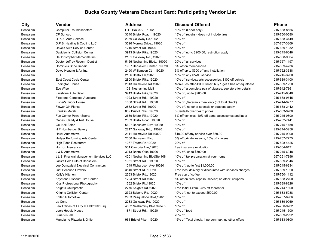| City            | Vendor                                  | Address                     | Discount Offered                                            | <b>Phone</b> |
|-----------------|-----------------------------------------|-----------------------------|-------------------------------------------------------------|--------------|
| Bensalem        | <b>Computer Troubleshooters</b>         | P.O. Box 372, 19020         | 10% off (Labor only)                                        | 215-638-8556 |
| Bensalem        | CP Sunoco                               | 3340 Bristol Road, 19020    | 15% off repairs - does not include tires                    | 215-750-0580 |
| Bensalem        | D & Z Auto Service                      | 2359 Galloway Rd, 19020     | 10% off                                                     | 215-638-3149 |
| Bensalem        | D.P.B. Heating & Cooling LLC            | 3526 Morrow Drive., 19020   | 10% off                                                     | 267-767-3869 |
| Bensalem        | Dave's Auto Service Center              | 1216 Street Rd, 19020       | 10% off                                                     | 215-639-1932 |
| Bensalem        | Davidson's Collision Center             | 3913 Bristol Pike, 19020    | 10% off up to \$200.00, restriction apply                   | 215-245-6048 |
| <b>Bensalem</b> | DeChristopher Memorials Inc             | 2161 Galloway Rd., 19020    | 10% off                                                     | 215-638-9004 |
| Bensalem        | Doctor Jeffrey Rosen - Dentist          | 5166 Neshaminy Blvd., 19020 | 20% off all services                                        | 215-757-1197 |
| Bensalem        | Dominic's Shoe Repair                   | 1937 Bensalem Center, 19020 | 5% off on merchandise                                       | 215-639-4736 |
| <b>Bensalem</b> | Dowd Heating & Air Inc.                 | 2490 Williamson Ct., 19020  | 5% off up to \$300 off any installation                     | 215-752-3638 |
| Bensalem        | ECI                                     | 2136 Bristol Pk, 19020      | 10% off any HVAC service                                    | 215-245-3200 |
| Bensalem        | East Coast Cycle Center                 | 2800 Bristol Pike, 19020    | 10% off service, parts, accessories, \$100 off vehicle      | 215-639-3100 |
| Bensalem        | <b>Eddington House</b>                  | 2813 Hulmeville Rd, 19020   | Mon-Tues after 4:30 Dinner: buy 1/get 1 half off equal/less | 215-639-1220 |
| Bensalem        | Eye Wise                                | 103 Neshaminy Mall          | 10% off a complete pair of glasses, see store for details   | 215-942-7861 |
| Bensalem        | Finishline Auto Salon                   | 3913 Bristol Pike, 19020    | 10% off, up to \$200.00                                     | 215-245-6048 |
| Bensalem        | Firestone Complete Autocare             | 1923 Street Rd., 19020      | 10% off                                                     | 215-638-9545 |
| Bensalem        | <b>Fisher's Tudor House</b>             | 1858 Street Rd., 19020      | 10% off, Veteran's meal only (not total check)              | 215-244-9777 |
| Bensalem        | <b>Flower Girl Florist</b>              | 2832 Street Rd 19020        | 10% off, no other specials or coupons apply                 | 215-638-2442 |
| Bensalem        | <b>Franklin Metals</b>                  | 839 Bristol Pike, 19020     | 3 Cents/lb over board prices                                | 215-633-9700 |
| Bensalem        | Fun Center Power Sports                 | 2639 Bristol Pike, 19020    | 5% off vehicles; 10% off parts, accessories and labor       | 215-245-0800 |
| Bensalem        | Gabes Candy & Nut House                 | 2339 Bristol Road, 19020    | 10% off                                                     | 215-752-7441 |
| Bensalem        | <b>Gel Nail Salon</b>                   | 5607 Bensalem Blvd, 19020   | 10% off                                                     | 215-245-1488 |
| Bensalem        | H F Hornberger Bakery                   | 2217 Galloway Rd., 19020    | 10% off                                                     | 215-244-3258 |
| Bensalem        | <b>Hawk Automotive</b>                  | 2111 Hulmeville Rd, 19020   | \$10.00 off any service over \$60.00                        | 215-245-9900 |
| Bensalem        | Hellyer Performing Arts Center          | 2000 Bensalem Blvd          | 5% off private lessons; 10% off classes                     | 215-757-7775 |
| Bensalem        | <b>High Tides Restaurant</b>            | 1067 Totem Rd, 19020        | 20% off                                                     | 215-828-4425 |
| Bensalem        | Horizon Insurance                       | 501 Cambria Ave, 19020      | free insurance evaluation                                   | 215-604-6131 |
| Bensalem        | J & D Automotive                        | 3913 Bristol Oike, 19020    | 10% off, up to \$500.00                                     | 215-245-6048 |
| Bensalem        | J L S Financial Management Services LLC | 4201 Neshaminy BlvdSte 108  | 10% off tax preparation at your home                        | 267-251-7896 |
| Bensalem        | Jack's Cold Cuts of Bensalem            | 1951 Street Rd., 19020      | 10% off                                                     | 215-639-2346 |
| Bensalem        | Joe Domzalski Electrical Contractors    | 1049 Richardson Ave, 19020  | 10% off, up to first \$1,000.00                             | 215-245-6334 |
| Bensalem        | <b>Just Because Flowers</b>             | 3540 Street RD 19020        | Free local delivery or discounted wire services charges     | 215-639-1020 |
| Bensalem        | Kelly's Kitchen                         | 2363 Bristol Rd., 19020     | Free cup of coffee                                          | 215-750-1112 |
| Bensalem        | Keystone Discount Tire Center           | 1224 Street Rd, 19020       | 5% off on tires, repairs, service; no other coupons         | 215-638-2700 |
| Bensalem        | Kiss Professional Photography           | 1562 Bristol Pk, 19020      | 10% off                                                     | 215-639-8826 |
| Bensalem        | Knights Chiropractic                    | 2776 Knights Rd, 19020      | Free Initial Exam, 25% off thereafter                       | 215-244-1800 |
| Bensalem        | Knights Collision Center                | 2323 Byberry Rd, 19020      | 10% off, not to exceed \$500.00                             | 215-633-5988 |
| Bensalem        | Koller Automotive                       | 2933 Pasqualone Blvd, 19020 | 10% off                                                     | 215-757-6966 |
| Bensalem        | La Cena                                 | 2233 Galloway Rd, 19020     | 10% off                                                     | 215-639-9969 |
| Bensalem        | Law Offices of Larry H Lefkowitz Esq.   | 4802 Neshaminy Blvd Suite 5 | 10% off                                                     | 215-750-9202 |
| Bensalem        | Lee's Hoagie House                      | 1871 Street Rd., 19020      | 10% off food                                                | 215-245-1500 |
| Bensalem        | Luria Visuals                           |                             | 20% off                                                     | 215-639-2992 |
| <b>Bensalem</b> | Mangiamo Pizzeria & Grille              | 961 Bristol Pike, 19020     | 15% off Total check. 4 person max: no other offers          | 215-633-0800 |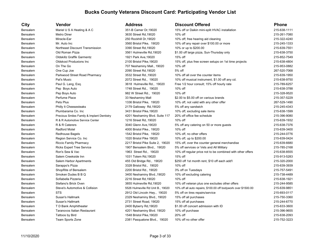| City            | Vendor                                     | <b>Address</b>                    | <b>Discount Offered</b>                                        | <b>Phone</b> |
|-----------------|--------------------------------------------|-----------------------------------|----------------------------------------------------------------|--------------|
| <b>Bensalem</b> | Mariel U S A Heating & A C                 | 351-B Camer Dr, 19020             | 15% off or Daikin mini-split HVAC installation                 | 215-638-1111 |
| <b>Bensalem</b> | <b>Metro Diner</b>                         | 3630 Street Rd, 19020             | 10% off                                                        | 215-261-7080 |
| <b>Bensalem</b> | Miracle-Ear                                | 250 Rockhill Dr, 19020            | 10% off; free hearing aid cleaning                             | 215-322-4240 |
| <b>Bensalem</b> | Mr. Auto Inc                               | 3560 Bristol Pike, 19020          | 10% off any repair over \$100.00 or more                       | 215-245-1333 |
| <b>Bensalem</b> | Northeast Discount Transmission            | 3390 Street Rd, 19020             | 10% or up to \$200.00                                          | 215-639-7551 |
| <b>Bensalem</b> | Old Roman Pizza                            | 3561 Hulmeville Rd, 19020         | \$1.00 off large pizza, Sun-Thursday only                      | 215-638-3750 |
| <b>Bensalem</b> | <b>Oldskillz Graffik Garmentz</b>          | 1921 Park Ave, 19020              | 15% off                                                        | 215-852-7549 |
| Bensalem        | Oldskool Produxions Inc                    | 2100 Bristol Pike, 19020          | 15% off, plus free screen setups on 1st time projects          | 215-638-4804 |
| <b>Bensalem</b> | On The Go                                  | 707 Neshaminy Mall., 19020        | 10% off                                                        | 215-953-0882 |
| <b>Bensalem</b> | One Cup Joe                                | 2090 Street Rd, 19020             | 5% off                                                         | 267-520-7068 |
| <b>Bensalem</b> | Parkwood Street Road Pharmacy              | 3532 Street Rd., 19020            | 10% off all over the counter items                             | 215-639-1950 |
| <b>Bensalem</b> | Pat's Music                                | 2072 Street Rd., 19020            | 10% off musical instrument, \$1.00 off any cd.                 | 215-638-9750 |
| <b>Bensalem</b> | Paul G. Lang, Esq.                         | 3618 Hulmeville Rd., 19020        | Free 1/2 hour consult; 15% off hourly rate                     | 215-789-6257 |
| <b>Bensalem</b> | Pep Boys Auto                              | 1748 Street Rd., 19020            | 10% off                                                        | 215-638-3788 |
| <b>Bensalem</b> | Pep Boys Auto                              | 982 W Street Rd., 19020           | 10% off                                                        | 215-328-9520 |
| <b>Bensalem</b> | Perfume Place                              | 33 Neshaminy Mall                 | \$2.00 to \$5.00 off on various brands                         | 215-357-5229 |
| <b>Bensalem</b> | Pets Plus                                  | 1336 Bristol Pike, 19020          | 10% off, not valid with any other offer                        | 267-529-1490 |
| <b>Bensalem</b> | Philly It Cheesesteaks                     | 2179 Galloway Rd, 19020           | 5% off any sandwich                                            | 215-245-4343 |
| Bensalem        | Plumbarama Co. Inc                         | 3431 Bristol Pike, 19020          | 10% off, excluding sale items                                  | 215-638-1599 |
| <b>Bensalem</b> | Precious Smiles Family & Implant Dentistry | 4201 Neshaminy Blvd. Suite 117    | 20% off office fee schedule                                    | 215-396-9080 |
| <b>Bensalem</b> | R & R Automotive Service Center            | 1216 Street Rd, 19020             | 10% off                                                        | 215-639-1932 |
| <b>Bensalem</b> | R & R Caterers                             | 3040 Glenn Ave, 19020             | 5% off any catering on 50 or more guests                       | 215-638-7376 |
| <b>Bensalem</b> | <b>Radford Motel</b>                       | 4000 Bristol Pike., 19020         | 10% off                                                        | 215-639-3400 |
| <b>Bensalem</b> | Redhouse Bagels                            | 1542 Bristol Pike, 19020          | 10% off, no other offers                                       | 215-244-0776 |
| <b>Bensalem</b> | Region Service Co. Inc.                    | 1020 Bristol Pike 19020           | 10% off, up to \$200.00                                        | 215-639-0424 |
| <b>Bensalem</b> | Riccio Family Pharmacy                     | 2217 Bristol Pike Suite 2, 19020  | 15% off, over the counter general merchandise                  | 215-639-6680 |
| <b>Bensalem</b> | <b>Ricks Expert Tree Service</b>           | 1907 Bensalem Blvd., 19020        | 5% off services or Vets and All Military                       | 215-785-2168 |
| <b>Bensalem</b> | Ron's Sew & Vac                            | 1963 Street Rd., 19020            | 10% off regular price not to be combined with other offers     | 215-638-8555 |
| Bensalem        | Salem Creekside Inn                        | 1031 Totem Rd, 19020              | 15% off                                                        | 215-913-5283 |
| <b>Bensalem</b> | Salem Harbor Apartments                    | 455 Old Bridge Rd., 19020         | \$250 off 1st month rent, \$10 off each add'l                  | 215-320-2000 |
| <b>Bensalem</b> | Sarappo's Pizza                            | 3328 Bristol Rd., 19020           | 10% off                                                        | 215-639-3939 |
| <b>Bensalem</b> | ShopRite of Bensalem                       | 2200 Bristol Rd., 19020           | 3% off on Tuesdays                                             | 215-757-5491 |
| <b>Bensalem</b> | Smoken Dudes B B Q                         | 3400 Neshaminy Blvd., 19020       | 10% off excluding catering                                     | 215-738-4489 |
| <b>Bensalem</b> | Sofiabella Pizzeria                        | 2216 Street Rd, 19020             | 10% off                                                        | 215-638-1921 |
| Bensalem        | Stefano's Brick Oven                       | 3855 Hulmeville Rd, 19020         | 10% off veteran plus one excludes other offers                 | 215-244-9585 |
| <b>Bensalem</b> | Steve's Automotive & Collision             | 5526 Hulmeville Rd Unit B., 19020 | 10% off all auto repairs; \$100.00 off bodywork over \$1500.00 | 215-639-9851 |
| <b>Bensalem</b> | <b>STS</b>                                 | 2912 Old Lincoln Hwy., 19020      | 5% off on tires repairs/service                                | 215-693-0117 |
| <b>Bensalem</b> | Susan's Hallmark                           | 2329 Neshaminy Blvd., 19020       | 15% off all purchases                                          | 215-750-3360 |
| <b>Bensalem</b> | Susan's Hallmark                           | 2731 Street Road, 19020           | 15% off all purchases                                          | 215-244-6770 |
| Bensalem        | T D Bank Amphitheater                      | 2400 Byberry Rd, 19020            | \$1.00 off concert admission with ID                           | 215-633-3600 |
| <b>Bensalem</b> | Taranovos Italian Restaurant               | 4201 Neshaminy Blvd. 19020        | 10% off purchase                                               | 215-396-9655 |
| <b>Bensalem</b> | Tattoos by Bird                            | 1548 Bristol Pike, 19020          | 20% off                                                        | 215-638-2093 |
| Bensalem        | Team Sports Zone                           | 2381 Pasqualone Blvd., 19020      | 10% off no other offer                                         | 215-752-3223 |
|                 |                                            |                                   |                                                                |              |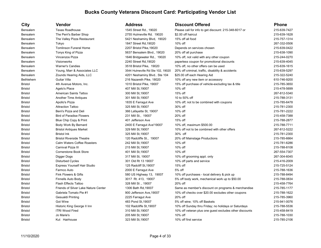| City             | Vendor                               | <b>Address</b>                    | Discount Offered                                        | <b>Phone</b> |
|------------------|--------------------------------------|-----------------------------------|---------------------------------------------------------|--------------|
| Bensalem         | <b>Texas Roadhouse</b>               | 1545 Street Rd., 19020            | Please call for info to get discount: 215-348-6017 or   | 215-639-7427 |
| <b>Bensalem</b>  | The Perri's Barber Shop              | 2755 Hulmeville Rd. 19020         | \$2.00 off haircut                                      | 215-639-1628 |
| Bensalem         | The Valley Pizza Restaurant          | 5421 Neshaminy Blvd, 19020        | 15% off all food                                        | 215-757-1314 |
| <b>Bensalem</b>  | Tokyo                                | 1847 Street Rd, 19020             | 10% off                                                 | 267-332-0506 |
| Bensalem         | <b>Tomlinson Funeral Home</b>        | 2207 Bristol Pike, 19020          | Depends on services chosen                              | 215-639-0422 |
| <b>Bensalem</b>  | Tonys King of Pizza                  | 5637 Bensalem Blvd., 19020        | 20% off all purchase                                    | 215-638-1090 |
| Bensalem         | Vincenzos Pizza                      | 1646 Bridgewater Rd., 19020       | 10% off, not valid with any other coupon                | 215-244-0270 |
| <b>Bensalem</b>  | Visionworks                          | 2240 Street Rd, 19020             | paperless coupon for promotional discounts              | 215-639-4045 |
| Bensalem         | <b>Warner's Candies</b>              | 3518 Bristol Pike, 19020          | 10% off, no other offers can be used                    | 215-639-1615 |
| Bensalem         | Young, Marr & Associates LLC         | 3544 Hulmeville Rd Ste 102, 19020 | 20% off criminal, traffic, disability & accidents       | 215-639-5297 |
| Bensalem         | Zounds Hearing Aids, LLC             | 4201 Neshaminy Blvd Ste 104       | \$25.00 off each Hearing Aid                            | 215-322-5240 |
| <b>Bethlehem</b> | Guitar Villa                         | 216 Nazareth Pike, 18020          | 10% off any new item or accessory                       | 610-746-9200 |
| <b>Bristol</b>   | 4th Avenue Motors, Inc.              | 1010 Bristol Pike, 19007          | 15% off purchase of vehicle-excluding tax & title       | 215-785-3650 |
| <b>Bristol</b>   | Agelo's Place                        | 407 Mill St, 19007                | 10% off                                                 | 215-478-5699 |
| <b>Bristol</b>   | American Saints Tattoo               | 300 Mill St, 19007                | 15% off                                                 | 267-812-5340 |
| <b>Bristol</b>   | <b>Another Time Antiques</b>         | 301 Mill St, 19007                | 10 to 50% off                                           | 215-788-3131 |
| <b>Bristol</b>   | Apollo's Pizza                       | 1835 E Farragut Ave               | 10% off; not to be combined with coupons                | 215-785-6478 |
| <b>Bristol</b>   | <b>Attraction Tattoo</b>             | 325 Mill St, 19007                | 30% off                                                 | 215-781-2300 |
| <b>Bristol</b>   | Beni's Pizza and Deli                | 366 Lafayette St, 19007           | 10% off                                                 | 215-781-2222 |
| <b>Bristol</b>   | <b>Bird of Paradise Flowers</b>      | 231 Mill St., 19007               | 20% off                                                 | 215-458-7388 |
| <b>Bristol</b>   | Blue Chip Copy & Print               | 401 Jefferson Ave                 | 15% off                                                 | 215-788-2877 |
| <b>Bristol</b>   | Body Work By Bernard                 | 2400 E Farragut Ave'19007         | 10% off, maximum \$500.00                               | 215-788-7711 |
| <b>Bristol</b>   | <b>Bristol Antiques Market</b>       | 329 Mill St, 19007                | 10% off not to be combined with other offers            | 267-812-5222 |
| <b>Bristol</b>   | <b>Bristol Ink</b>                   | 325 Mill St, 19007                | 30% off                                                 | 215-781-2300 |
| <b>Bristol</b>   | <b>Bristol Riverside Theatre</b>     | 120 Radcliffe St., 19007          | 20% off Mainstage Productions                           | 215-785-6664 |
| <b>Bristol</b>   | Calm Waters Coffee Roasters          | 242 Mill St, 19007                | 10% off                                                 | 215-781-6286 |
| <b>Bristol</b>   | Carnival Pizza III                   | 215 Mill St, 19007                | 10% off                                                 | 215-788-8108 |
| <b>Bristol</b>   | <b>Cornerstone Book Store</b>        | 401 Mill St, 19007                | 10% off                                                 | 267-554-7307 |
| <b>Bristol</b>   | Digger Dogs                          | 317 Mill St, 19007                | 10% off grooming appt. only                             | 267-304-6045 |
| <b>Bristol</b>   | <b>Disturbed Cycles</b>              | 301 Old Rt 13 19007               | 10% off parts and service                               | 215-416-2009 |
| <b>Bristol</b>   | <b>Express Yourself Hair Studio</b>  | 125 Radcliff St, 19007            | 15% off                                                 | 215-725-5124 |
| <b>Bristol</b>   | Farmco Auto                          | 2000 E Farragut Ave               | 5% off                                                  | 215-788-1636 |
| <b>Bristol</b>   | Fink Flowers & Gifts                 | 580 US Highway 13, 19007          | 10% off purchases - local delivery & pick up            | 215-788-8494 |
| <b>Bristol</b>   | Finnells Auto Body                   | 3017 Rt. 413, 19007               | 5% off body work, mechanical work up to \$50.00         | 215-788-0834 |
| <b>Bristol</b>   | <b>Flash Effects Tattoo</b>          | 328 Mill St., 19007               | 20% off                                                 | 215-458-7764 |
| <b>Bristol</b>   | Friends of Silver Lake Nature Center | 1306 Bath Rd, 19007               | Same as member's discount on programs & merchandise     | 215-785-1177 |
| <b>Bristol</b>   | Gabriela Tomato Pie #1               | 900 Jefferson Ave, 19007          | 10% off checks over \$20.00 excludes other coupons      | 215-788-1622 |
| <b>Bristol</b>   | Gesualdi Printing                    | 2225 Farragut Ave                 | 20% off                                                 | 215-785-3960 |
| <b>Bristol</b>   | Got Wine                             | 483 Pond St, 19007                | 5% off wine; 10% off Baskets                            | 215-941-0076 |
| <b>Bristol</b>   | Historic King George II Inn          | 102 Radcliffe St, 19007           | 10% off Sunday thru Friday; no holidays or Saturdays    | 215-788-5536 |
| <b>Bristol</b>   | <b>ITRI Wood Fired</b>               | 310 Mill St, 19007                | 10% off veteran plus one guest excludes other discounts | 215-458-8419 |
| <b>Bristol</b>   | Jo Marie's                           | 205 Mill St, 19007                | 10% off                                                 | 215-788-1030 |
| <b>Bristol</b>   | Kut Hairhouse                        | 323 Mill St, 19007                | 10% off first service                                   | 215-785-2106 |
|                  |                                      |                                   |                                                         |              |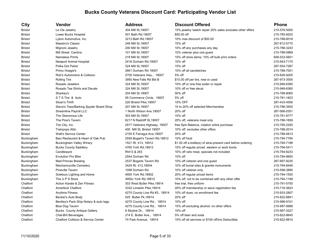| <b>City</b>    | <b>Vendor</b>                                  | <b>Address</b>                 | <b>Discount Offered</b>                                     | <b>Phone</b> |
|----------------|------------------------------------------------|--------------------------------|-------------------------------------------------------------|--------------|
| Bristol        | Le Cle Jewelry                                 | 304 Mill St, 19007             | 15% jewelry /watch repair 20% sales excludes other offers   | 215-578-5000 |
| <b>Bristol</b> | Lower Bucks Hospital                           | 501 Bath Rd, 19007             | \$50.00 off                                                 | 215-785-9202 |
| <b>Bristol</b> | Lykon Automotive, Inc.                         | 3213 Bath Rd, 19007            | 10% max discount of \$50.00                                 | 215-788-6018 |
| <b>Bristol</b> | Maestro's Classic                              | 246 Mill St, 19007             | 15% off                                                     | 267-812-5770 |
| <b>Bristol</b> | Mignoni Jewelry                                | 200 Mill St, 19007             | 10% off any purchases any day                               | 215-788-3243 |
| <b>Bristol</b> | Mill Street Cantina                            | 101 Mill St, 19007             | 10% veteran plus one guest                                  | 215-788-0969 |
| Bristol        | <b>Nameless Prints</b>                         | 219 Mill St, 19007             | 15% off store items; 10% off bulk print orders              | 609-533-5601 |
| Bristol        | <b>Newport Animal Hospital</b>                 | 2416 Durham Rd, 19007          | 10% off                                                     | 215-943-7175 |
| <b>Bristol</b> | Polka Dot Parlor                               | 324 Mill St, 19007             | 15% off                                                     | 267-554-7287 |
| <b>Bristol</b> | Primo Hoagie's                                 | 2661 Durham Rd 19007           | 10% off all sandwiches                                      | 215-788-7001 |
| <b>Bristol</b> | Rob's Automotive & Collision                   | 2700 Veterans Hwy., 19007      | 5% off                                                      | 215-826-9200 |
| <b>Bristol</b> | <b>Rolling Tire</b>                            | 3950 New Falls Rd Bld B        | \$10.00 off per tire, new or used                           | 267-973-3555 |
| <b>Bristol</b> | Rosado Jewelers                                | 324 Mill St, 19007             | 10% off or one free soder or repair                         | 215-946-6360 |
| <b>Bristol</b> | Rosado Tee Shirts and Decals                   | 324 Mill St, 19007             | 10% off or free decal                                       | 215-946-6360 |
| <b>Bristol</b> | Sharkey's                                      | 204 Mill St, 19007             | 50% off                                                     | 215-788-8065 |
| <b>Bristol</b> | STS Tire & Auto                                | 95 Commerce Circle, 19007      | 5% off                                                      | 215-781-1823 |
| <b>Bristol</b> | Sloan's Thrift                                 | 220 Bristol Pike, 19007        | 15% OFF                                                     | 267-433-4556 |
| <b>Bristol</b> | Steve's Tees/Barking Spyder Board Shop         | 207 Mill St, 19007             | 10 to 20% off selected Merchandise                          | 215-788-3500 |
| Bristol        | Streamline Payroll LLC                         | 1 North Wilson Ave, 19007      | 20% off                                                     | 267-566-0351 |
| Bristol        | The Glamorous Life                             | 303 Mill St, 19007             | 10% off                                                     | 215-781-9777 |
| Bristol        | The Pine's Tavern                              | 6217 N Radcliff St, 19007      | 20% off, veterans meal only                                 | 215-788-1659 |
| <b>Bristol</b> | Tire City, Inc.                                | 2917 Veterans Highway, 19007   | free Spin Balance, rotation w/tire purchase                 | 215-785-2255 |
| <b>Bristol</b> | <b>Trainpops Attic</b>                         | 400 Mill St, Bristol 19007     | 10% off, excludes other offers                              | 215-788-2014 |
| Bristol        | <b>Walt's Service Center</b>                   | 2105 E Farragut Ave, 19007     | 20% off                                                     | 215-788-4813 |
| Buckingham     | Baci Restaurant & Heart of Oak Pub             | 2559 Bogart's Tavern Rd, 18912 | 10% off food                                                | 215-794-7784 |
| Buckingham     | <b>Buckingham Valley Winery</b>                | 1521 Rt. 413, 18912            | \$1.00 off a bottle(s) of wine-present card before ordering | 215-794-7188 |
| Buckingham     | <b>Bucks County Saddlery</b>                   | 4765 York Rd, 18912            | 15% off regular priced western or work boots                | 215-794-5411 |
| Buckingham     | Candlewyck                                     | Rt413 & 263                    | 10% off vets meal, specials not included                    | 215-794-8233 |
| Buckingham     | <b>Evolution Pro Bike</b>                      | 2544 Durham Rd                 | 10% off                                                     | 215-794-9600 |
| Buckingham     | <b>Mad Princes Brewing</b>                     | 2537 Bogarts Tavern Rd         | 10% off veteran and one guest                               | 267-697-9235 |
| Buckingham     | Mechanicsville Cemetery                        | 3424 Rt. 413,18934             | 10% off burial sites & granite monuments                    | 215-794-8446 |
| Buckingham     | <b>Pineville Tavern</b>                        | 1098 Durham Rd                 | 10% off veteran only                                        | 215-598-3890 |
| Buckingham     | Solebury Lighting and Home                     | 4950 York Rd, 18902            | 20% off regular priced items                                | 215-794-1550 |
| Buckingham     | The U P S Store                                | 4950c York Rd, 18912           | 10% off, not to be combined with any other offer            | 215-794-1199 |
| Chalfont       | Action Karate & Zen Fitness                    | 303 West Butler Pike, 18914    | free trial, free uniform                                    | 215-791-5750 |
| Chalfont       | <b>Amerikick Chalfont</b>                      | 3332 Limekiln Pike, 18914      | 20% off membership or wave registration fee                 | 215-716-3623 |
| Chalfont       | <b>Anytime Fitness</b>                         | 4275 County Line Rd #3, 18914  | 10% off dues; no enrollment fee                             | 215-933-2807 |
| Chalfont       | Becker's Auto Body                             | 525 Butler Pk, 18914           | 20% off                                                     | 215-822-8841 |
| Chalfont       | Bentley's Pack Ship Notary & auto tags         | 4275 County Line Rd., 18914    | 10% off                                                     | 215-996-9101 |
| Chalfont       | <b>Blue Dog Tavern</b>                         | 4275 County Line Rd., 18914    | 15% off excluding alcohol; no other offers                  | 215-997-9988 |
| Chalfont       | <b>Bucks County Antique Gallery</b>            | 8 Skyline Dr., 18914           | 10% off                                                     | 215-997-3227 |
| Chalfont       | <b>Chal-Brit Beverages</b>                     | 214 E. Butler Ave., 18914      | 5% off beer and soda                                        | 215-822-8645 |
| Chalfont       | <b>Chalfont Collision &amp; Service Center</b> | 74 Park Avenue, 18914          | 15% off all services or \$100 off/Ins Deductible.           | 215-822-8810 |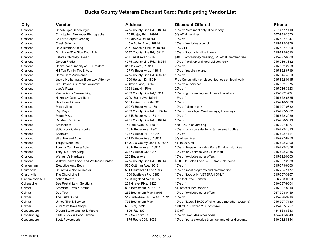| City             | Vendor                                 | <b>Address</b>                   | <b>Discount Offered</b>                                  | Phone        |
|------------------|----------------------------------------|----------------------------------|----------------------------------------------------------|--------------|
| Chalfont         | Cheeburger Cheeburger                  | 4275 County Line Rd., 18914      | 10% off Vets meal only, dine in only                     | 267-477-1110 |
| Chalfont         | Christopher Alexander Photography      | 175 Bluejay Rd., 18914           | 5% off all services                                      | 267-939-2673 |
| Chalfont         | <b>Collier's Carpet Cleaning</b>       | 18 Fairview Rd, 18914            | 10% off                                                  | 215-822-1947 |
| Chalfont         | Creek Side Inn                         | 115 e Butler Ave., 18914         | 10% off excludes alcohol                                 | 215-822-3976 |
| Chalfont         | Dale Rimmer Siding                     | 237 Township Line Rd, 18914      | 10% OFF                                                  | 215-822-1900 |
| Chalfont         | Dominicks/The Side Door Pub            | 3337 County Line Rd, 18914       | 10% off food only, dine in only                          | 215-822-8010 |
| Chalfont         | <b>Estates Chimney Sweep</b>           | 48 Sunset Ave, 18914             | \$10.00 off chimney cleaning, 3% off all merchandise.    | 215-997-6880 |
| Chalfont         | <b>Gordon Florist</b>                  | 4275 County Line Rd., 18914      | 10% off, pick up and local delivery only                 | 215-716-3332 |
| Chalfont         | Habitat for humanity of B C Restore    | 31 Oak Ave., 18914               | 20% off                                                  | 215-822-2708 |
| Chalfont         | Hill Top Family Tire & Auto            | 127 W Butler Ave., 18914         | 10% off repairs no tires                                 | 215-822-6719 |
| Chalfont         | Home Care Assistance                   | 4275 County Line Rd Suite 18     | $10\%$ off                                               | 215-645-4663 |
| Chalfont         | Jack J Hetherington Elder Law Attorney | 1700 Horizon Dr 18914            | Free Consultation or discounted fees on legal work       | 215-822-0115 |
| Chalfont         | Jim Grover Bux- Mont Locksmith         | 4 Clover Lane, 18914             | 10% off all services                                     | 215-822-7375 |
| Chalfont         | Luca's Pizza                           | 3324 Limekiln Pike               | 20% off                                                  | 215-716-3623 |
| Chalfont         | Mason Arms Gunsmithing                 | 4309 County Line Rd, 18914       | 10% off gun cleaning, excludes other offers              | 215-8221989  |
| Chalfont         | Nakmuay Gym Chalfont                   | 27 W Butler Ave, 18914           | 15% off                                                  | 215-622-6725 |
| Chalfont         | <b>Nex Level Fitness</b>               | 500 Horizon Dr Suite 505         | 15% off                                                  | 215-716-3599 |
| Chalfont         | Pasta Mista                            | 290 W Butler Ave., 18914         | 10% off, dine in only                                    | 215-997-0332 |
| Chalfont         | Pep Boys                               | 4309 County Line Rd., 18914      | 10% off Tuesdays, Wednesdays, Thursdays                  | 215-997-5862 |
| Chalfont         | Pina's Pizza                           | 215 E. Butler Ave, 18914         | 10% off                                                  | 215-822-2929 |
| Chalfont         | Randazzo's Pizza                       | 4275 County Line Rd., 18914      | 10% off                                                  | 215-768-3013 |
| Chalfont         | Smithprints                            | 74 Park Avenue, 18914            | 5 to 10% in advertising                                  | 215-997-8077 |
| Chalfont         | Solid Rock Café & Books                | 156 E Butler Ave, 18901          | 20% off any non sale items & free small coffee           | 215-822-1833 |
| Chalfont         | Spatola's                              | 403 W Butler Pk., 18914          | 10% off                                                  | 215-822-1121 |
| Chalfont         | STS Tire and Auto                      | 401 W Butler Ave., 18914         | 5% off services                                          | 215-997-8250 |
| Chalfont         | <b>Target World Inc</b>                | Rt 202 & County Line Rd, 18914   | 5% to 20% off                                            | 215-822-3900 |
| Chalfont         | Tommy Carr Tire & Auto                 | 196 E Butler Ave., 18914         | 10% off Repairs Includes Parts & Labor; No Tires         | 215-822-7379 |
| Chalfont         | Tony D's Hairstyling                   | 308 W Butler Dr, 18914           | 30% off any service with Jill or Matt                    | 215-822-3335 |
| Chalfont         | Wehrung's Hardware                     | 206 Butler Ave                   | 10% off excludes other offers                            | 215-822-0303 |
| Chalfont         | Willow Health Food and Wellness Center | 4275 County Line Rd., 18914      | \$5.00 Off Sales Over 25.00; Non Sale Items              | 215-997-2838 |
| Cheltenham       | Executive Auto Body                    | 560 Cottman Ave, 19012           | 10% off                                                  | 215-379-6600 |
| Churchville      | <b>Churchville Nature Center</b>       | 501 Churchville Lane, 18966      | 10% on most programs and merchandise                     | 215-785-1177 |
| Churchville      | The Churchville Inn                    | 1500 Bustleton Pk, 18966         | 10% off food only, VETERAN ONLY                          | 215-357-3967 |
| Cinnaminson N.J. | <b>Action Karate</b>                   | 1703 Highland Ave, 08077         | Free trial, free uniform                                 | 856-733-0593 |
| Collegeville     | See Pest & Lawn Solutions              | 204 Gravel Pike, 19426           | 15% off                                                  | 610-287-9804 |
| Colmar           | American Arms & Ammo                   | 808 Bethlehem Pk., 18915         | 5% off excludes specials                                 | 215-997-8010 |
| Colmar           | Dog Town                               | 252 Bethlehem Pike, 18915        | 10% off excludes other offers                            | 267-308-0459 |
| Colmar           | The Gutter Guys                        | 515 Bethlehem Pk. Ste 103, 18915 | 15% off                                                  | 215-996-9916 |
| Colmar           | United Tire & Service                  | 795 Bethlehem Pike               | 10% off labor, \$10.00 off oil change (no other coupons) | 215-997-7180 |
| Colmar           | Yum Yum Bake Shops                     | RT 309, 18915                    | 1.00 off 1/2 dozen 2.00 off dozen                        | 215-407-7227 |
| Coopersburg      | Dream Stone Granite & Marble           | 1896 Rte 309                     | 5% off                                                   | 484-863-8633 |
| Coopersburg      | Keith's Lock & Door Service            | 202 South 3rd St                 | 10% off. excludes other offers                           | 484-241-6040 |
| Coopersburg      | <b>Scott Powersports</b>               | 1675 Route 309,18036             | 10% off parts excludes tires, fuel and other discounts   | 610-282-8354 |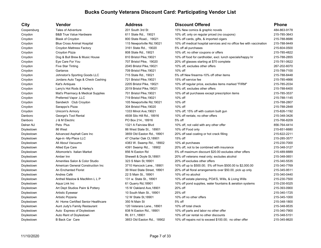| City        | Vendor                              | Address                     | <b>Discount Offered</b>                                              | <b>Phone</b> |
|-------------|-------------------------------------|-----------------------------|----------------------------------------------------------------------|--------------|
| Coopersburg | <b>Tales of Adventure</b>           | 201 South 3rd St            | 15% New comics & graphic novels                                      | 484-863-9178 |
| Croydon     | <b>B&amp;B True Value Hardware</b>  | 611 State Rd., 19021        | 10% off, only on regular priced (no coupons)                         | 215-785-3643 |
| Croydon     | Blask of Croydon                    | 800 State Road., 19021      | 10% off cards, gifts, & imported cigars                              | 215-788-8686 |
| Croydon     | <b>Blue Cross Animal Hospital</b>   | 115 Newportville Rd, 19021  | 10% off medical hospital services and no office fee with vaccination | 215-788-9449 |
| Croydon     | Croydon Mattress Factory            | 3161 State Rd., 19020       | 5% off all purchases                                                 | 215-604-0500 |
| Croydon     | Croydon Pizza                       | 808 State Rd., 19021        | 10% off, no other coupons or offers                                  | 215-785-4822 |
| Croydon     | Dog & Bull Brew & Music House       | 810 Bristol Pike, 19021     | 10% off food for cardholder, excl. lunch specials/happy hr           | 215-788-2855 |
| Croydon     | Eye Care For You                    | 707 Bristol Pike, 19020     | 20% off glasses starting at \$70 complete                            | 215-781-0622 |
| Croydon     | Five Star Tinting                   | 2045 Bristol Pike, 19021    | 10% off, excludes other offers                                       | 267-202-6070 |
| Croydon     | Gartanos                            | 709 Bristol Pike, 19021     | 10% off                                                              | 215-788-7100 |
| Croydon     | Johnston's Sporting Goods LLC       | 715 State Rd., 19021        | 5% off New firearms-10% off other items                              | 215-788-8448 |
| Croydon     | Jordans Auto Tags & Check Cashing   | 721 Bristol Pike, 19021     | 15% off service fee                                                  | 215-785-4666 |
| Croydon     | Kat's Antiques                      | 2205 Bristol Pike, 19021    | 10% off regular price, excludes items marked "FIRM"                  | 215-785-2034 |
| Croydon     | Larry's Hot Rods & Harley's         | 2019 Bristol Pike, 19021    | 10% off, excludes other offers                                       | 215-788-6400 |
| Croydon     | Mat's Pharmacy & Medical Supplies   | 701 Bristol Pike, 19021     | 10% off all purchases except prescription items                      | 215-785-3537 |
| Croydon     | <b>Preferred Vapor, LLC</b>         | 719 Bristol Pike, 19021     | 10% off                                                              | 215-788-1145 |
| Croydon     | Sandwich Club Croydon               | 105 Newportville Rd, 19021  | 10% off                                                              | 215-788-2807 |
| Croydon     | Sarappo's Pizza                     | 304 Bristol Pike, 19020     | 10% off                                                              | 215-788-2848 |
| Croydon     | Unicorn's Armory                    | 1333 Minot Ave, 19021       | 10% off; 15% off with custom built gun                               | 215-826-1192 |
| Danboro     | George's Tool Rental                | 4938 Silo Hill Rd., 18916   | 10% off rentals; no other offers                                     | 215-348-3426 |
| Danboro     | J & M Electric                      | PO Box 214., 18916          | 5% off                                                               | 215-766-8209 |
| Delran NJ   | Pets Plus                           | 1321 A Fairview Blvd        | 10% off, not valid with any other offer                              | 856-764-4414 |
| Doylestown  | 86 West                             | 86 West State St., 18901    | 10% off Food only                                                    | 215-651-6680 |
| Doylestown  | Advanced Asphalt Care Inc           | 3859 Old Easton Rd., 18901  | 20% off seal coating or hot crack filling                            | 215-622-2211 |
| Doylestown  | Age-in -My-Place LLC                | 47 Charter Oak Ct, 18901    | 15% off                                                              | 215-285-3577 |
| Doylestown  | All About Vacuums                   | 4383 W. Swamp Rd., 18902    | 10% all purchases                                                    | 215-230-7000 |
| Doylestown  | Allied Eye Care                     | 4391 Swamp Rd., 18902       | 20% off, not to be combined with insurance                           | 215-348-3127 |
| Doylestown  | Altomonte's Italian Market          | 856 N Easton Rd             | 5% off maximum discount \$20.00 excludes other offers                | 215-489-8889 |
| Doylestown  | Amber Inn                           | Shewell & Doyle St, 18901   | 20% off veterans meal only; excludes alcohol                         | 215-348-0651 |
| Doylestown  | Amenities Salon & Color Studio      | 323 S Main St, 18901        | 20% off excludes other offers                                        | 215-340-5535 |
| Doylestown  | American General Construction Inc   | 3710 Hancock Lane., 18901   | 10% off up to \$500.00; 5% off from \$500.00 to \$2,000.00           | 215-340-7769 |
| Doylestown  | An Enchanted Florist                | 39 West State Street, 18901 | 20% off all floral arrangements over \$50.00, pick up only           | 215-345-9511 |
| Doylestown  | Andres Café                         | 22 S Main St., 18901        | 10% off no alcohol                                                   | 215-340-0440 |
| Doylestown  | Antheil Maslow & MacMinn L L P      | 131 w. State St., 18901     | 10% off estate planning, POA'S, Wills, & Living Wills                | 215-230-7500 |
| Doylestown  | Aqua Link Inc                       | 61 Quarry Rd, 18901         | 10% off pond supplies, water fountains & aeration systems            | 215-230-9325 |
| Doylestown  | Art Dept Studios Painr & Pottery    | 15 W Oakland Ave, 18901     | 20% off                                                              | 215-393-0900 |
| Doylestown  | Artistic Eyewear                    | 10 South Main St., 18901    | 25% off                                                              | 215-340-1725 |
| Doylestown  | Artistic Pizzeria                   | 12 W State St, 18901        | 10% off no other offers                                              | 215-345-1000 |
| Doylestown  | At Home Certified Senior Healthcare | 350 N Main St               | 5% off                                                               | 215-348-1800 |
| Doylestown  | Aunt Judy's Family Restaurant       | 120 Veterans Lane., 18901   | 10% off total check                                                  | 215-348-9535 |
| Doylestown  | Auto Express of Doylestown          | 838 N Easton Rd., 18901     | 10% off parts and labor no other offer                               | 215-340-7900 |
| Doylestown  | Auto Rent of Doylestown             | Rt. 611., 18901             | 10% off car rental no other discounts                                | 215-348-5151 |
| Doylestown  | <b>B Back Car Care</b>              | 3853 Old Easton Rd., 18902  | 10% off repairs not to exceed \$100.00: no other offer               | 215-345-8620 |
|             |                                     |                             |                                                                      |              |

| <b>DISCOUNT Offered</b>                                              | <b>Phone</b> |
|----------------------------------------------------------------------|--------------|
| 15% New comics & graphic novels                                      | 484-863-9178 |
| 10% off, only on regular priced (no coupons)                         | 215-785-3643 |
| 10% off cards, gifts, & imported cigars                              | 215-788-8686 |
| 10% off medical hospital services and no office fee with vaccination | 215-788-9449 |
| 5% off all purchases                                                 | 215-604-0500 |
| 10% off, no other coupons or offers                                  | 215-785-4822 |
| 10% off food for cardholder, excl. lunch specials/happy hr           | 215-788-2855 |
| 20% off glasses starting at \$70 complete                            | 215-781-0622 |
| 10% off, excludes other offers                                       | 267-202-6070 |
| 10% off                                                              | 215-788-7100 |
| 5% off New firearms-10% off other items                              | 215-788-8448 |
| 15% off service fee                                                  | 215-785-4666 |
| 10% off regular price, excludes items marked "FIRM"                  | 215-785-2034 |
| 10% off, excludes other offers                                       | 215-788-6400 |
| 10% off all purchases except prescription items                      | 215-785-3537 |
| 10% off                                                              | 215-788-1145 |
| 10% off                                                              | 215-788-2807 |
| 10% off                                                              | 215-788-2848 |
| 10% off; 15% off with custom built gun                               | 215-826-1192 |
| 10% off rentals; no other offers                                     | 215-348-3426 |
| 5% off                                                               | 215-766-8209 |
| 10% off, not valid with any other offer                              | 856-764-4414 |
| 10% off Food only                                                    | 215-651-6680 |
| 20% off seal coating or hot crack filling                            | 215-622-2211 |
| 15% off                                                              | 215-285-3577 |
| 10% all purchases                                                    | 215-230-7000 |
| 20% off, not to be combined with insurance                           | 215-348-3127 |
| 5% off maximum discount \$20.00 excludes other offers                | 215-489-8889 |
| 20% off veterans meal only; excludes alcohol                         | 215-348-0651 |
| 20% off excludes other offers                                        | 215-340-5535 |
| 10% off up to \$500.00; 5% off from \$500.00 to \$2,000.00           | 215-340-7769 |
| 20% off all floral arrangements over \$50.00, pick up only           | 215-345-9511 |
| 10% off no alcohol                                                   | 215-340-0440 |
| 10% off estate planning, POA'S, Wills, & Living Wills                | 215-230-7500 |
| 10% off pond supplies, water fountains & aeration systems            | 215-230-9325 |
| 20% off                                                              | 215-393-0900 |
| 25% off                                                              | 215-340-1725 |
| 10% off no other offers                                              | 215-345-1000 |
| 5% off                                                               | 215-348-1800 |
| 10% off total check                                                  | 215-348-9535 |
| 10% off parts and labor no other offer                               | 215-340-7900 |
| 10% off car rental no other discounts                                | 215-348-5151 |
| 10% off repairs not to exceed \$100.00; no other offer               | 215-345-8620 |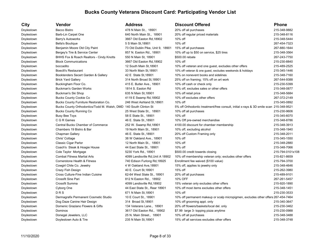| City       | Vendor                                                            | <b>Address</b>                    | <b>Discount Offered</b>                                                                | <b>Phone</b>     |
|------------|-------------------------------------------------------------------|-----------------------------------|----------------------------------------------------------------------------------------|------------------|
| Doylestown | <b>Bacco Bistro</b>                                               | 478 N Main St., 18901             | 20% off all purchases                                                                  | 215-348-9882     |
| Doylestown | Barb-Lin Carpet One                                               | 640 North Main St., 18901         | 20% off regular priced materials                                                       | 215-348-8116     |
| Doylestown | Barry's Autoworks                                                 | 3667 Old Easton Rd, 18902         | 10% off                                                                                | 215-348-5444     |
| Doylestown | <b>Bella's Boutique</b>                                           | 5 S Main St, 18901                | 10% off                                                                                | 267-454-7323     |
| Doylestown | Benjamin Moore Old City Paint                                     | 73 Old Dublin Pike, Unit 9, 18901 | 15% off all purchases                                                                  | 267-880-1644     |
| Doylestown | Bergey's Tire & Service Center                                    | 857 N. Easton Rd., 18901          | 10% off up to \$50 on service, \$25 tires                                              | 215-348-3564     |
| Doylestown | BHHS Fox & Roach Realtors - Cindy Knotts                          | 550 N Main St, 18901              | \$500.00 rebate                                                                        | 267-243-7750     |
| Doylestown | <b>Block Communications</b>                                       | 3667 Old Easton Rd, 18902         | 10% off                                                                                | 215-230-8840     |
| Doylestown | boccadito                                                         | 12 South Main St, 18901           | 10% off veteran and one guest, excludes other offers                                   | 215-489-2525     |
| Doylestown | <b>Boeclli's Restaurant</b>                                       | 33 North Main St, 18901           | 10% off veteran & one guest, excludes weekends & holidays                              | 215-345-1446     |
| Doylestown | Booktenders Secert Garden & Gallery                               | 42 E State St, 18901              | 10% on nonevent books and sidelines                                                    | 215-348-7160     |
| Doylestown | <b>Brick Yard Gallery</b>                                         | 314 North Broad St, 18901         | 25% off on framing; 15% off on art work                                                | 267-544-9388     |
| Doylestown | Buckingham Floor Co.                                              | 415 E. Butler Ave., 18901         | 10% off cash or check only                                                             | 215-230-5399     |
| Doylestown | <b>Buckman's Garden Works</b>                                     | 1814 S. Easton Rd                 | 10% off, excludes sales or other offers                                                | 215-348-0877     |
| Doylestown | Buckman's Ski Shop                                                | 635 N Main St, 18901              | 10% off retail price                                                                   | 215-348-5684     |
| Doylestown | <b>Bucks County Cookie Co</b>                                     | 4119 E Swamp Rd,18902             | 10% off excludes other offers                                                          | 267-372-2149     |
| Doylestown | Bucks County Furniture Restoration Co.                            | 246 West Ashland St, 18901        | 10% off                                                                                | 215-345-0892     |
| Doylestown | Bucks County Orthodontics/Todd M. Walsh, DMD 140 South Clinton St |                                   | 5% off Orthodontic treatment/free consult, initial x-rays & 3D smile scan 215-348-9521 |                  |
| Doylestown | <b>Bucks County Running Co</b>                                    | 25 West State St., 18901          | 10% off all purchases                                                                  | 215-230-9606     |
| Doylestown | <b>Busy Bee Toys</b>                                              | 58 E State St., 18901             | 10% off                                                                                | 215-345-6070     |
| Doylestown | C G R Games                                                       | 46 E. State St., 18901            | 10% Off pre-owned merchandise                                                          | 215-348-8786     |
| Doylestown | <b>Central Bucks Chamber of Commerce</b>                          | 252 W. Swamp Rd, 18901            | 4100.00 discount for chamber membership                                                | 215-348-3913     |
| Doylestown | Chambers 19 Bistro & Bar                                          | 19 North Main St., 18901          | 10% off, excluding alcohol                                                             | 215-348-1940     |
| Doylestown | Chapman Gallery                                                   | 46 E. State St., 18901            | 20% off Custom Framing only                                                            | 215-348-2011     |
| Doylestown | Chris' Cottage                                                    | 38 W Oakland Ave., 18901          | 10% off                                                                                | 215-345-1550     |
| Doylestown | Classic Cigar Parlor                                              | 12 North Main St., 18901          | 10% off                                                                                | 215-348-2880     |
| Doylestown | Coach's Steak & Hoagie House                                      | 44 East State St., 18901          | 10% off                                                                                | 215-348-7066     |
| Doylestown | Cole Taylor Mortgage                                              | 5230 York Rd., 18901              | \$500.00 credit towards closing                                                        | 215-794-0101x108 |
| Doylestown | <b>Combat Fitness Martial Arts</b>                                | 4099 Landisville Rd, Unit A 18902 | 10% off membership veteran only; excludes other offers                                 | 215-821-8659     |
| Doylestown | <b>Cornerstone Health &amp; Fitness</b>                           | 740 Edison Furlong Rd, 18925      | Enrollment fee waived (\$100 value)                                                    | 215-794-3700     |
| Doylestown | Cowgirl Chile Co. Jewelry                                         | 4 W Oakland Ave, 18901            | 15% off, applies to jewelry only                                                       | 215-348-4646     |
| Doylestown | Crazy Fish Design                                                 | 40 E. Court St, 18901             | 15% off                                                                                | 215-262-3980     |
| Doylestown | Cross Culture-Fine Indian Cuisine                                 | 62-64 West State St., 18901       | 20% off all purchases                                                                  | 215-489-9101     |
| Doylestown | Crossfit Sine Pari                                                | 812 N Easton Rd., 18902           | 10% OFF                                                                                | 267-261-5457     |
| Doylestown | Crossfit Summa                                                    | 4099 Landisville Rd, 18902        | 15% veteran only excludes other offers                                                 | 215-920-1890     |
| Doylestown | Cyborg One                                                        | 44 East State St., Rear 18901     | 10% off most items excludes other offers                                               | 215-348-1451     |
| Doylestown | DRS                                                               | 671 N Main St, 18901              | 10% off                                                                                | 215-230-3533     |
| Doylestown | Dermagrafix Permanent Cosmetic Studio                             | 10 E Court St., 18901             | 10% off permanent makeup or scalp micropigmen, excludes other offers 267-454-7464      |                  |
| Doylestown | Dog Daze Canine Hair Design                                       | 314 Broad St, 18901               | 10% off grooming appt. only                                                            | 215-340-3647     |
| Doylestown | Domenic Graziano Flowers & Gifts                                  | 134 Veterans Lane., 18901         | 20% off flowers/baskets/local del. only                                                | 215-230-3462     |
| Doylestown | Dominos                                                           | 3617 Old Easton Rd., 18902        | \$7.99 large 3- topping pizza anytime                                                  | 215-230-0988     |
| Doylestown | Donegal Jewelers, LLC                                             | 25 N. Main Street., 18901         | 10% off all purchases                                                                  | 215-348-3488     |
| Doylestown | Doylestown Auto & Tire                                            | 235 N Main St, 18901              | 15% off all services excludes other offers                                             | 215-348-3748     |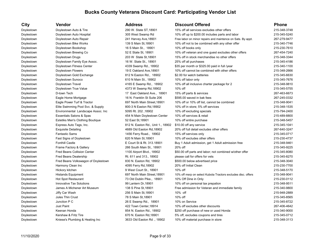Doylestown Kniese's Plumbing & Heating Inc 3633 Old Easton Rd ., 18902 10% off material purchase in store 215-348-3113

### **City Vendor Address Discount Offered Phone** Doylestown Doylestown Auto & Tire 290 W. State ST,18901 15% off all services excludes other offers 215-348-3748 Doylestown Doylestown Auto Hospital 305 West Swamp Rd 10% off up to \$200.00 includes parts and labor 215-345-5240 Doylestown Doylestown Auto Repair 1990 1241 Harvey Ave, 18901 Free labor on minor repairs and maintence on Sats. By appt. 267-279-9477 Doylestown Doylestown Bike Works 139 S Main St,18901 10% off not to be combined with any other offer 215-340-7746 Doylestown Doylestown Bookshop 16 S Main St., 18901 10% off books only 215-230-7610 Doylestown Doylestown Brewing Co 52 E State St, 18901 10% off veteran and one guest excludes other offers 267-454-7240 Doylestown Drugs Doylestown Drugs 203 W State St,18901 15% off in stock merchandise no other offers 215-348-3344 Doylestown Doylestown Family Eye Assoc. 16 W. State St., 18901 25% off all purchases 215-345-4186 Doylestown Doylestown Fitness Center 4339 Swamp Rd., 18902 \$35 per month or \$325.00 paid in full /year 215-340-1100 Doylestown Doylestown Flowers 19 E Oakland Ave, 18901 10% off cannot be combined with other offers 215-348-2666 Doylestown Doylestown Gold Exchange 812 N Easton Rd., 18902 \$2.00 for watch batteries 215-345-6630 215-345-6630 Doylestown Doylestown Sunoco 610 N Main St., 18902 10% off labor only 215-345-7676 Dovlestown Dovlestown Travel 2015-348-9810 4165 E Swamp Rd., 18902 10% off all inclusive charter package for 2 215-348-9810 Doylestown Doylestown True Value 4373 W Swamp Rd,18902 10% off 215-345-5755 Doylestown D-town Tech 267-463-6673 17 East Oakland Ave., 18901 15% off parts & services 267-463-6673 Doylestown Eagle Home Mortgage 16 N. Franklin St Suite 206 \$595.00 waved in bak fees 267-245-0332 Doylestown Eagle Power Turf & Tractor 697 North Main Street,18901 10% off or 10% off list, cannot be combined 215-348-9041 Doylestown Elite Swimming Pool Svc. & Supply 800-3 N Easton Rd,18902 10% off in store; 5% off services 215-348-1535 Doylestown Environmental Landscape Assoc. Inc 5095 Rt. 202 ,18902 10% off excluding specials 215-794-2400 215-794-2400 Doylestown Essentials Salons & Spas 454 N Main Doylestown Center 10% off services & retail 215-489-8800 Doylestown Estetiks Men's Clothing Boutique 52 East St,18901 10% off entire purchase 215-348-5457 215-348-5457 Doylestown Express Auto Tags, Inc. 6812 N. Easton Rd., Unit 1., 18902 \$10.00 off any service 215-345-1041 215-345-1041 Doylestown Exquisite Detailing external to the 4689 Old Easton Rd,18902 20% off full detail excludes other offers 267-640-3247 Doylestown Fantastic Sams 1456 Ferry Road., 18902 15% off services only 215-345-0717 Doylestown Fast Signs of Doylestown 620 N Main St,18901 10% off excludes other offers 215-230-4737 215-230-4737 Doylestown Fonthill Castle **Example 215-348-9461** E Court St & Rt. 313.18901 Buy 1 Adult admission, get 1 Adult admission free 215-348-9461 Doylestown Frame Factory & Gallery 2006 South Main St., 18901 20% off 215-345-9225 Doylestown Fred Beans Collision Center 1100 Airport Blvd., 18902 \$50.00 off parts and labor; not combined w/other offer 215-345-8080 Doylestown Fred Beans Dealership Rt. 611 and 313., 18902 please call for offers for vets 215-345-8270 Doylestown Fred Beans Volkswagon of Doylestown 830 N. Easton Rd, 18902 \$500.00 below advertised price 215-348-3040 Doylestown Harmony Clean Inc 4095 Ferry Rd,18902 20% off Initial Clean 215-230-7700 Doylestown Hickory kitchen 9 West Court St., 18901 10% off 215-348-5170 Doylestown Histands Equipment 697 North Main Street,18901 10% off msrp on select Kubota Tractors excludes disc. offers 215-348-9041 Doylestown Hot Spot Restaurant 1990 112 Provide the Muslim Pike., 18901 10% Off Dine in Only 215-230-0112 215-230-0112 Doylestown Innovative Tax Solutions 100 00 Eantern Dr,18901 10% off on personal tax prepation 215-348-9511 215-348-9511 Doylestown James A Michener Art Museum 138 S Pine St,18901 Free admission for Veteran and immediate family 215-340-9800 Doylestown Jiffy Car Wash 256 S Main St,18901 10% off 215-948-2889 Doylestown Jules Thin Crust 78 S Main St,18901 10% off 215-345-8565 Doylestown Junction P C 26 E Swamp Rd., 18901 10% on Service 215-345-8722 Doylestown Just Paint 10th Hust Paint 10% off excludes other discounts 267-406-4642 Doylestown Keenan Honda **Base 1 Concept Accord 854 N. Easton Rd., 18902** \$250 off purchase of new or used Honda 215-340-9000 Doylestown Kershaw & Fritz Tire 670 N. Easton Rd,18901 5% off, excludes coupons and tires 215-345-0712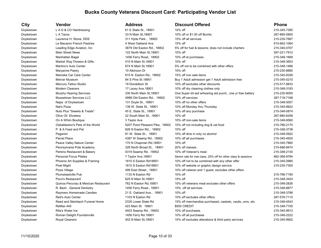| City       | Vendor                               | <b>Address</b>                  | <b>Discount Offered</b>                                       | <b>Phone</b> |
|------------|--------------------------------------|---------------------------------|---------------------------------------------------------------|--------------|
| Doylestown | L A D & CO Hairdressing              | 61 E State St., 18901           | 10% off                                                       | 215-345-7385 |
| Doylestown | L A Tacos                            | 33 N Main St, 18901             | 10% off or \$1.00 off Burrito                                 | 267-885-0900 |
| Doylestown | Laurence H. Stone, DDS               | 311 Hyde Park., 18902           | 15% off all services                                          | 215-230-7667 |
| Doylestown | Le Macaron French Pastries           | 4 West Oakland Ave              | 15% off                                                       | 610-662-1064 |
| Doylestown | Leading Edge Aviation, Inc.          | 3879 Old Easton Rd., 18902      | 5% off for fuel & lessons; does not include charters          | 215-340-0707 |
| Doylestown | <b>Main Street News</b>              | 122 North Main St, 18901        | 10% off                                                       | 267-221-7912 |
| Doylestown | Manhattan Bagel                      | 1456 Ferry Road, 18902          | 10% off al purchases                                          | 215-348-1669 |
| Doylestown | Market Way Flowers & Gifts           | 410 N Main St, 18901            | 10% off                                                       | 215-348-3653 |
| Doylestown | Martino's Auto Center                | 674 N Main St, 18901            | 5% off not to be combined with other offers                   | 215-348-1466 |
| Doylestown | Maryanne Pastry                      | 10 Atkinson Dr                  | 10% off                                                       | 215-230-8885 |
| Doylestown | Meineke Car Care Center              | 815 N Easton Rd., 18902         | 15% off non sale items                                        | 215-345-9326 |
| Doylestown | Mercer Museum                        | 84 S Pine St. 18901             | Buy 1 Adult admission get 1 Adult admission free              | 215-345-0210 |
| Doylestown | Mercury Tattoo Studio                | 19 Donaldson St                 | 10% off excludes other discounts                              | 215-517-8833 |
| Doylestown | <b>Modern Cleaners</b>               | 17 Lacey Ave, 18901             | 10% off dry cleaning clothes only                             | 215-348-3183 |
| Doylestown | Murphy Hearing Services              | 330 North Main St, 18901        | One Super dri-aid w/hearing aid purch., one yr free battery   | 215-230-9000 |
| Doylestown | Musselman Services LLC               | 4998 Old Easton Rd., 18902      | 10% off services                                              | 267-718-7168 |
| Doylestown | Napa of Doylestown                   | 131 Doyle St., 18901            | 10% off no other offers                                       | 215-348-5057 |
| Doylestown | Nat's Pizza                          | 138 W. State St., 18901         | 10% off Monday thru Thursday                                  | 215-345-8822 |
| Doylestown | Nuts Plus "Sweets & Treats"          | 45 E. State St., 18901          | 10% off any purchase                                          | 215-348-0874 |
| Doylestown | Olive Oil Etcetera                   | 22 South Main St., 18901        | 10% off                                                       | 267-880-6258 |
| Doylestown | On A Whim Boutique                   | 3 Taylor Ave                    | 10% off non-sale items                                        | 215-348-9560 |
| Doylestown | Osbaldeston's Pets of the World      | 5207 Point Pleasant Pike, 18902 | 10% off not including dog & cat food                          | 215-766-2170 |
| Doylestown | P & A Feed and Pet                   | 826 N Easton Rd., 18902         | 10% off                                                       | 215-348-3738 |
| Doylestown | Paganini                             | 81 W. State St., 18901          | 10% off dine in only no alcohol                               | 215-348-5922 |
| Doylestown | Parcel Place                         | 4387 W Swamp Rd., 18902         | 10% off all purchases                                         | 215-345-4930 |
| Doylestown | Peace Valley Nature Center           | 170 N Chapman Rd, 18901         | 10% off                                                       | 215-345-7860 |
| Doylestown | Pennsylvania Pole Academy            | 328 North Broad St., 18901      | 20% off classes                                               | 215-688-8474 |
| Doylestown | Perkins Restaurant & Bakery          | 4319 Swamp Rd 18902             | 10% off Veteran's meal                                        | 215-348-2130 |
| Doylestown | <b>Personal Focus Pilates</b>        | 7 Taylor Ave, 18901             | Senior rate for mat class, 25% off for other class & sessions | 862-368-9784 |
| Doylestown | Phoenix Art Supplies & Framing       | 1810 S Easton Rd18901           | 10% off not to be combined with any other offer               | 215-345-0980 |
| Doylestown | Pixel Might                          | 1810 S Easton Rd18901           | 10% off website or graphic design service                     | 215-230-7300 |
| Doylestown | Pizza Village                        | 499 East Street, 18901          | 10% off veteran and 1 guest, excludes other offers            |              |
| Doylestown | <b>Plumsteadville Pub</b>            | 1133 N Easton Rd                | 10% off                                                       | 215-766-7190 |
| Doylestown | Poco's Restaurant                    | 625 N Main St, 18901            | 15% off                                                       | 215-348-3424 |
| Doylestown | Quinoa Peruviau & Mexican Restaurant | 762 N Easton Rd, 18901          | 10% off veterans meal excludes other offers                   | 215-348-2826 |
| Doylestown | R. Bash, General Dentistry           | 1456 Ferry Road., 18901         | 15% off all services                                          | 215-348-8877 |
| Doylestown | Raymers Homemade Candies             | 21 E. Oakland Ave., 18901       | 10% off                                                       | 215-348-3788 |
| Doylestown | <b>Red's Auto Center</b>             | 1103 N Easton Rd                | 10% off excludes other offers                                 | 267-576-7110 |
| Doylestown | Reed and Steinbach Funeral Home      | 2335 Lower State Rd             | 15% off merchandise purchased, caskets, vaults, urns, etc.    | 215-348-4543 |
| Doylestown | ReMax 440                            | 423 Main St. 18901              | \$500 CREDIT                                                  | 215-348-7100 |
| Doylestown | Rita's Water Ice                     | 4403 Swamp Rd., 18902           | 10% off purchases                                             | 215-340-9913 |
| Doylestown | Roman Delight Fountainville          | 1456 Ferry Rd 18901             | 10% off all purchases                                         | 215-348-2222 |
| Doylestown | <b>Royal Cleaners</b>                | 402 N Main St, 18901            | 10% off excludes alterations & third party services           | 215-345-9952 |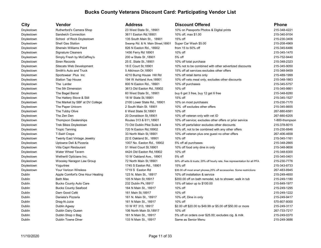| City          | Vendor                             | Address                           | <b>Discount Offered</b>                                                      | <b>Phone</b>   |
|---------------|------------------------------------|-----------------------------------|------------------------------------------------------------------------------|----------------|
| Doylestown    | Rutherford's Camera Shop           | 23 West State St., 18901          | 10% on Passports Photos & Digital prints                                     | 215-348-4221   |
| Doylestown    | Sandwich Connection                | 3611 Easton Rd, 18901             | 10% off, max \$1.00                                                          | 215-340-9104   |
| Doylestown    | School of Rock Doylestown          | 135 South Main St., 18901         | 15% off                                                                      | 215-230-3406   |
| Doylestown    | <b>Shell Gas Station</b>           | Swamp Rd. & N. Main Street, 18901 | Super Car Wash \$5.00                                                        | 215-208-4969   |
| Doylestown    | Sherwin Williams Paint             | 826 N Easton Rd., 18902           | from 15 to 50% off                                                           | 215-345-6486   |
| Doylestown    | <b>Signature Cleaners</b>          | 1456 Ferry Rd 18901               | 10% off                                                                      | 215-345-1470   |
| Doylestown    | Simply Fresh by McCaffrey's        | 18901, 200 w State St             | 5% off                                                                       | 215-752-9440   |
| Doylestown    | Siren Records                      | 25 E. State St., 18901            | 10% off total purchase                                                       | 215-348-2323   |
| Doylestown    | Sitecats Web Development           | 18 E Court St, 18901              | 10% not to be combined with other advertized discounts                       | 215-345-9050   |
| Doylestown    | Smith's Auto and Truck             | 5 Atkinson Dr, 18901              | 15% off all services excludes other offers                                   | 215-348-9459   |
| Doylestown    | Sportswear Plus Inc                | 4210 Burng House Hill Rd          | 10% off retail items only                                                    | 215-489-1999   |
| Doylestown    | <b>Station Tap House</b>           | 194 W Ashland Ave, 18901          | 10% off vets meal only, excludes other discounts                             | 215-348-1663   |
| Doylestown    | The Larder                         | 800 N Easton Rd., 18901           | 10% off purchases                                                            | 215-345-5757   |
| Doylestown    | The 5th Dimension                  | 3613 Old Easton Rd., 18902        | 10% off                                                                      | 215-345-9861   |
| Doylestown    | The Bagel Barrel                   | 60 West State St., 18901          | buy 6 get 3 free, buy 12 get 6 free                                          | 215-348-8280   |
| Doylestown    | The Hattery Stove & Still          | 18 W State St, 18901              | 15% off                                                                      | 215-345-1527   |
| Doylestown    | The Market by SBF at DV College    | 2100 Lower State Rd., 18901       | 10% on most purchases                                                        | 215-230-7170   |
| Doylestown    | The Paper Unicorn                  | 2 South Main St. 18901            | 10% off excludes other offers                                                | 215-345-8655   |
| Doylestown    | The Tubby Olive                    | 6 West State St, 18901            | 10% off                                                                      | 267-880-6581   |
| Doylestown    | The Zen Den                        | 20 Donaldson St, 18901            | 10% off veteran only with vet ID                                             | 267-880-6205   |
| Doylestown    | <b>Thompson Dealerships</b>        | Routes 313 & 611,18901            | 10% off service; excludes other offers or prior service                      | 1-800-thompson |
| Doylestown    | Trek Bikes Doylestown              | 73 Old Dublin Pike Suite 4        | 10% off parts/labor excludes other discounts                                 | 215-378-8015   |
| Doylestown    | <b>Tropic Tanning</b>              | 720 N Easton Rd, 18902            | 15% off, not to be combined with any other offers                            | 215-230-8846   |
| Doylestown    | <b>T-Swirl Crepe</b>               | 33 North Main St, 18901           | 10% off veteran plus one guest no other offers                               | 267-406-4658   |
| Doylestown    | <b>Twenty East Vintage Jewelry</b> | 22 E Oakland St., 18901           | 10% off                                                                      | 215-345-1161   |
| Doylestown    | Uptowne Deli & Pizzeria            | 1007 No. Easton Rd., 18902        | 5% off all purchases                                                         | 215-348-2665   |
| Doylestown    | Villa Capri Restaurant             | 51 West Court St, 18901           | 10% off food only dine in only                                               | 215-348-9656   |
| Doylestown    | Water Wheel Tavern                 | 4424 Old Easton Rd, 18902         | 10% off                                                                      | 215-348-8300   |
| Doylestown    | Wetherill Opticians Inc,           | 10 W Oakland Ave., 18901          | 5% off                                                                       | 215-345-0401   |
| Doylestown    | Woosley Naragon Law Group          | 72 North Main St, 18901           | 50% off wills & trusts; 20% off hourly rate, free representation for all PFA | 215-230-7776   |
| Doylestown    | Yogurtree                          | 1745 S Easton Rd., 18901          | 15% off                                                                      | 215-343-8733   |
| Doylestown    | Your Verizon Wireless              | 1719 S Easton Rd                  | \$35.00 off most smart phones, 25% off accessories. Some restrictions        | 267-483-8945   |
| Dublin        | Apple Comfort's One Hour Heating   | 123 N. Main St., 18917            | 10% off installation & service                                               | 215-249-4650   |
| Dublin        | <b>Bath Max</b>                    | 105 N Main St, 18917              | \$200.00 off on bath remodel, tub to shower, walk in tub                     | 215-249-1180   |
| Dublin        | <b>Bucks County Auto Care</b>      | 232 Dublin Pk, 18917              | 15% off labor up to \$100.00                                                 | 215-849-1977   |
| Dublin        | <b>Bucks County Seafood</b>        | 164 N Main St., 18917             | 10% off                                                                      | 215-249-1295   |
| Dublin        | Dam Good Café                      | 161 Main St, 18917                | 10% off                                                                      | 215-249-1222   |
| Dublin        | Daniela's Pizzeria                 | 161 N. Main St., 18917            | 10% off, Dine in only                                                        | 215-249-9417   |
| Dublin        | Drag-N-Juice                       | 161 N Main St., 18917             | 10% off                                                                      | 570-807-8000   |
| Dublin        | Dublin Agway                       | 10 W RT 313, 18917                | \$2.00 off \$20.00 to \$49.99 or \$5.00 off \$50.00 or more                  | 215-249-3117   |
| <b>Dublin</b> | Dublin Dairy Queen                 | 106 North Main St, 18917          | 10% off                                                                      | 267-733-7217   |
| Dublin        | Dublin Shop n Bag                  | 161 N Main St., 18917             | 5% off on orders over \$25.00; excludes cig. & milk                          | 215-249-0370   |
| Dublin        | <b>Dublin Towne Diner</b>          | 133 N Main St., 18917             | Same as Senior Menu                                                          | 215-249-3686   |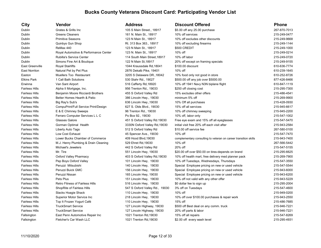| City                  | Vendor                                 | <b>Address</b>                 | <b>Discount Offered</b>                                         | <b>Phone</b> |
|-----------------------|----------------------------------------|--------------------------------|-----------------------------------------------------------------|--------------|
| Dublin                | Grates & Grills Inc                    | 105 S Main Street., 18917      | \$5.00 off any 25.00 purchase                                   | 267-870-7013 |
| Dublin                | <b>Greens Cleaners</b>                 | 161 N. Main St., 18917         | 10% off services                                                | 215-249-0477 |
| Dublin                | <b>Primitive Seasons</b>               | 123 N Main St., 18917          | 10% off excludes other discounts                                | 215-249-9668 |
| Dublin                | Quinbys Gun Shop                       | Rt. 313 Box 363., 18917        | 10% off excluding firearms                                      | 215-249-1144 |
| Dublin                | ReMax 440                              | 123 N Main St., 18917          | \$500 CREDIT                                                    | 215-249-1000 |
| Dublin                | Royal Automotive & Performance Center  | 123 N. Main St., 18917         | 10% off                                                         | 215-249-0214 |
| Dublin                | Rubilla's Service Center               | 114 South Main Street, 18917   | 10% off labor                                                   | 215-249-0720 |
| Dublin                | Simons Fine Art & Boutique             | 122 N Main St, 18917           | 20% off except on framing specials                              | 215-249-9155 |
| East Greenville       | <b>Royal Stairlifts</b>                | 1044 Kraussdale Rd, 18041      | \$100.00 discount                                               | 610-636-7774 |
| <b>East Norriton</b>  | Natural Pet by Pet Plus                | 2876 Dekalb Pike, 19401        | 10% off                                                         | 610-239-1645 |
| Easton                | <b>Muellers Too Restaurant</b>         | 3205 S Delaware DR., 18042     | 10% food only not good in store                                 | 610-252-8726 |
| <b>Elkins Park</b>    | 1 Call Bath Solutions                  | 530 Stahr Rd., 19027           | \$500.00 off any job over \$5000.00                             | 877-426-8466 |
| Erwinna               | Van Sant Airport                       | 516 Cafferty Rd, 18920         | 10% off 1941 Navy N3N biplane flight                            | 610-847-1119 |
| <b>Fairless Hills</b> | Alpha II Mortgage, Inc.                | 956 Trenton Rd., 19033         | \$250 off closing cost                                          | 215-295-7300 |
| <b>Fairless Hills</b> | Benjamin Moore Ricciardi Brothers      | 455 S Oxford Valley Rd         | 15% excludes other offers                                       | 215-486-4541 |
| <b>Fairless Hills</b> | Better Homes Hearth & Patio            | 386 Lincoln Hwy., 19030        | minimum 5% off                                                  | 215-269-9900 |
| <b>Fairless Hills</b> | Big Ray's Sub's                        | 636 Lincoln Hwy., 19030        | 10% Off all purchases                                           | 215-428-0930 |
| <b>Fairless Hills</b> | CompuPrint/Full Service Print/Design   | 627 S. Olds Blvd., 19030       | 15% off all services                                            | 215-945-6617 |
| <b>Fairless Hills</b> | E & E Chimney Sweeps                   | 96 Trenton Rd., 19030          | 10% off chimney sweeping                                        | 215-945-2200 |
| <b>Fairless Hills</b> | Ferraro Computer Services L L C        | Po Box 92., 19030              | 10% off, labor only                                             | 215-547-1002 |
| <b>Fairless Hills</b> | <b>Glasses Galore</b>                  | 451 S Oxford Valley Rd.19030   | Free eye exam and 15% off all eyeglasses                        | 215-547-5470 |
| <b>Fairless Hills</b> | Gorman Optimal Health                  | 3330N Oxford Valley Rd, 19030  | initial visit free 20% off each visit after                     | 215-943-2584 |
| <b>Fairless Hills</b> | Liberty Auto Tags                      | 512 S Oxford Valley Rd         | \$10.00 off service fee                                         | 267-580-0100 |
| <b>Fairless Hills</b> | Low Cost Exhaust                       | 45 Spencer Ave., 19030         | 10% off                                                         | 215-547-7470 |
| <b>Fairless Hills</b> | Lower Bucks Chamber of Commerce        | 409 Hood Blvd, 19030           | complementary consulting to veteran on career transition skills | 215-943-7400 |
| <b>Fairless Hills</b> | M.J. Henry Plumbing & Drain Cleaning   | 529 Ehret Rd, 19030            | 10% off                                                         | 267-566-5442 |
| <b>Fairless Hills</b> | Michael's Jewelers                     | 442 S Oxford Valley Rd         | 20% off                                                         | 215-547-5155 |
| <b>Fairless Hills</b> | Mr. Tire                               | 551 Lincoln Hwy, 19030         | \$20.00 off over \$50.00 on tires-depends on brand              | 215-295-6625 |
| <b>Fairless Hills</b> | Oxford Valley Pharmacy                 | 403 S Oxford Valley Rd, 19030  | 10% off health mart, free delivery med planner pack             | 215-269-7900 |
| <b>Fairless Hills</b> | Pep Boys Oxford Valley                 | 101 Lincoln Hwy, 19030         | 10% off Tuesdays, Wednesdays, Thursdays                         | 215-547-3550 |
| <b>Fairless Hills</b> | Peruzzi Mitsubishi                     | 140 Lincoln Hwy, 19030         | Special Employee pricing on new or used vehicle                 | 215-547-5544 |
| <b>Fairless Hills</b> | Peruzzi Buick GMC                      | 156 Lincoln Hwy, 19030         | Special Employee pricing on new or used vehicle                 | 215-943-6000 |
| <b>Fairless Hills</b> | Peruzzi Nissan                         | 165 Lincoln Hwy, 19030         | Special Employee pricing on new or used vehicle                 | 215-943-6200 |
| <b>Fairless Hills</b> | Pets Plus                              | 151 Lincoln Hwy, 19030         | 10% off not valid with any other offer                          | 215-943-5229 |
| <b>Fairless Hills</b> | <b>Retro Fitness of Fairless Hills</b> | 516 Lincoln Hwy, 19030         | \$0 dollar fee to sign up                                       | 215-295-2004 |
| <b>Fairless Hills</b> | ShopRite of Fairless Hills             | 547 S Oxford Valley Rd., 19030 | 3% off on Tuesdays                                              | 215-547-4600 |
| <b>Fairless Hills</b> | Slacks Hoagie Shack                    | 110 Lincoln Hwy, 19030         | 10% off                                                         | 215-949-0200 |
| <b>Fairless Hills</b> | Superior Motor Service Inc             | 218 Lincoln Hwy, 19030         | 10% off over \$100.00 purchases & repair work                   | 215-943-2550 |
| <b>Fairless Hills</b> | Top It Frozen Yogurt Café              | 110 Lincoln Hwy, 19030         | 15% off                                                         | 215-486-7685 |
| <b>Fairless Hills</b> | <b>TruckSmart Service</b>              | 127 Lincoln Highway, 19030     | \$500 off Best deal on any comm. truck                          | 215-946-7221 |
| <b>Fairless Hills</b> | <b>TruckSmart Service</b>              | 127 Lincoln Highway, 19030     | 20% off parts & labor                                           | 215-946-7221 |
| Fallsington           | East Penn Automotive Repair Inc        | 1021 Trenton Rd, 19030         | 15% off all repairs                                             | 215-547-8269 |
| Fallsington           | Fletcher's Car Wash LLC                | 1021 Trenton Rd. 19030         | \$2.00 off every wash level                                     | 215-295-4931 |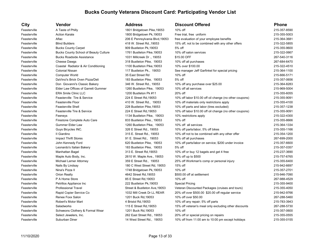| City         | Vendor                                       | <b>Address</b>                 | <b>Discount Offered</b>                                 | <b>Phone</b>      |
|--------------|----------------------------------------------|--------------------------------|---------------------------------------------------------|-------------------|
| Feasterville | A Taste of Philly                            | 1801 Bridgetown Pike, 19053    | 10% off                                                 | 215-357-8590      |
| Feasterville | <b>Action Karate</b>                         | 1800 Bridgetown Pk, 19053      | Free trial, free uniform                                | 215-355-5003      |
| Feasterville | Aflac                                        | 206 E Pennsylvania Blvd, 19053 | free evaluation of your employee benefits               | 215-364-3681      |
| Feasterville | <b>Blind Builders</b>                        | 418 W. Street Rd., 19053       | 15% off, not to be combined with any other offers       | 215-322-5855      |
| Feasterville | <b>Bucks County Carpet</b>                   | 909 Bustleton Pk, 19053        | 5% off                                                  | 215-355-9600      |
| Feasterville | <b>Bucks County School of Beauty Culture</b> | 1761 Bustleton Pike, 19053     | 10% off salon services                                  | 215-322-0667      |
| Feasterville | <b>Bucks Roadside Assistance</b>             | 1031 Millcreek Dr., 19053      | \$15.00 OFF                                             | 267-540-3116      |
| Feasterville | Cheese Dawgs                                 | 318 Bustleton Pike, 19053      | 10% off all purchases                                   | 267-684-6470      |
| Feasterville | Coastal Radiator & Air Conditioning          | 1100 Bustleton Pike, 19053     | 10% over \$100.00                                       | 215-322-4510      |
| Feasterville | <b>Colonial Nissan</b>                       | 117 Bustleton Pk., 19053       | See manager Jeff Garfinkel for special pricing          | 215-364-1100      |
| Feasterville | <b>Computer World</b>                        | 35 East Street Rd              | 10% off                                                 | 215-666-5171      |
| Feasterville | DaVinci's Brick Oven Pizza/Deli              | 183 Bustleton Pike, 19053      | 5% off                                                  | 215-357-0656      |
| Feasterville | Don Giovanni's Classic Bakery                | 346 W. Street Rd., 19053       | 10% off any purchase over \$25.00                       | 215-364-8283      |
| Feasterville | Elder Law Offices of Garrett Gummer          | 1260 Bustleton Pike, 19053     | 10% off all services                                    | 215-969-5004      |
| Feasterville | <b>ERA Smile Clinic LLC</b>                  | 1200 Bustleton Pk #11          | 20% off                                                 | 215-355-6055      |
| Feasterville | Feasterville Tire & Service                  | 224 E Street Rd, 19053         | 10% off labor \$10.00 off oil change (no other coupons) | 215-355-9091      |
| Feasterville | Feasterville Floor                           | 410 W. Street Rd., 19053       | 10% off materials only restrictions apply               | 215-355-4100      |
| Feasterville | <b>Feasterville Shell</b>                    | 228 Bustleton Pike, 19053      | 10% off parts and labor (tires excluded)                | 215-357-1238      |
| Feasterville | Feasterville Tire & Service                  | 224 E Street Rd, 19053         | 10% off labor \$10.00 off oil change (no other coupons) | 215-355-9091      |
| Feasterville | Feeneys                                      | 1134 Bustleton Pike, 19053     | 10% restrictions apply                                  | 215-322-4300      |
| Feasterville | Firestone Complete Auto Care                 | 833 Bustleton Pike., 19053     | 10% off                                                 | 215-355-8666      |
| Feasterville | <b>Gummer Elder Law</b>                      | 1260 Bustleton Pike, 19053     | 10% off all services                                    | 215-364-1334      |
| Feasterville | Guys Bicycles INC.                           | 326 E Street Rd., 19053        | 10% off parts/labor, 5% off bikes                       | 215-355-1166      |
| Feasterville | II Giardino                                  | 315 E. Street Rd., 19053       | 10% off not to be combined with any other offer         | 215-354-1200      |
| Feasterville | Impact Thrift Stores                         | 91 E. Street Rd., 19053        | 10% off all purchases                                   | 267-699-2000      |
| Feasterville | John Kennedy Ford                            | 620 Bustleton Pike, 19053      | 10% off parts/labor on service; \$200 under invoice     | 215-357-6600      |
| Feasterville | Leonardo's Italian Bakery                    | 183 Bustleton Pike, 19053      | 5% off                                                  | 215-357-0357      |
| Feasterville | Manhattan Bagel                              | 313 E. Street Rd, 19053        | 10% off or buy 12 bagels and get 4 free                 | 215-237-3690      |
| Feasterville | Maple Auto Body, Inc.                        | 2610 W. Maple Ave., 19053      | 10% off up to \$500                                     | 215-757-6765      |
| Feasterville | Michael Lerner Attorney                      | 359 E Street Rd., 19053        | 25% off Workman's comp or personal injury               | 215-355-6400      |
| Feasterville | Nails By Lindsay                             | 180 C West Street Rd, 19053    | 15% off                                                 | 215-942-6697      |
| Feasterville | Nina's Pizza II                              | 1748 Bridgetown Pk, 19053      | 10% off                                                 | 215-357-2701      |
| Feasterville | <b>Orion Realty</b>                          | 4642 Street Rd, 19053          | \$500.00 off at settlement                              | 215-946-7090      |
| Feasterville | P A Home Store                               | 85 E Street Rd, 19053          | 10% off                                                 | 267-988-4529      |
| Feasterville | Petrillos Appliance Inc                      | 222 Bustleton Pk, 19053        | <b>Special Pricing</b>                                  | 215-355-9400      |
| Feasterville | <b>Professional Travel</b>                   | Street & Bustleton Ave, 19053  | Veteran Discounted Packages (cruises and tours)         | 215-355-4050      |
| Feasterville | Rapid Copier Service Co                      | 1032 Mill Creek Dr LL REAR     | 20% off over \$500.00 \$20.00 off regular service       | 215-942-9766      |
| Feasterville | Renee Foxx Salon                             | 1201 Buck Rd, 19053            | 10% off over \$50.00                                    | 267-288-5460      |
| Feasterville | Robert's Motor Mart                          | 4 Bristol Rd, 19053            | 10% off any repair; 5% off parts                        | 215-783-3943      |
| Feasterville | Saladworks                                   | 115 E Street Rd, 19053         | 15% off veteran's meal only excluding other discounts   | 267-288-5730      |
| Feasterville | Schweons Clothery & Formal Wear              | 1201 Buck Rd, 19053            | 10% off                                                 | 215-357-0600      |
| Feasterville | Select Jewelers, Inc.                        | 262 East Street Rd., 19053     | 20% off or special pricing on repairs                   | 215-355-0555      |
|              | $\sim$ $\sim$ $\sim$                         | 11111 101 101 10000            | $100/555$ $1100$ $1000$                                 | $OAP$ $OCP$ $OAP$ |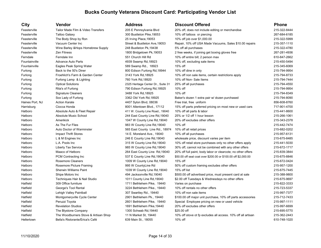Hatfield The Woodburners Stove & Artisan Shop 11 N Market St, 19440 10% off stove ot fp excludes all access. 10% off all artisan 215-362-2443 Hellertown Bella's Ristorante/Erica's Café 639 Main St., 18055 10% off 610-748-1020 610-748-1020

| City            | Vendor                             | <b>Address</b>                     | <b>Discount Offered</b>                                        | <b>Phone</b> |
|-----------------|------------------------------------|------------------------------------|----------------------------------------------------------------|--------------|
| Feasterville    | Tailor Made Film & Video Transfers | 205 E Pennsylvania Blvd            | 20% off, does not include editing or merchandise               | 215-322-8444 |
| Feasterville    | <b>Tattoo Galaxy</b>               | 300 Bustleton Pike, 19053          | 10% off tattoos or piercing                                    | 267-684-6185 |
| Feasterville    | The Body Shop by Ron               | 25 Irving Place, 19053             | 10% off job over \$1,000.00                                    | 215-322-5999 |
| Feasterville    | Vacuum Center Inc                  | Street & Bustleton Ave, 19053      | Repair, 10% off USA Made Vacuums, Sales \$10.00 repairs        | 215-357-1110 |
| Feasterville    | Wine Barley & Hops Homebrew Supply | 248 Bustleton Pk, 19438            | 5% off all purchases                                           | 215-322-4780 |
| Feasterville    | <b>Zen Fitness</b>                 | 1800 Bridgetown Pk, 19053          | 2 free weeks, if joining get boxing gloves free                | 267-281-4936 |
| Ferndale        | Ferndale Inn                       | 551 Church Hill Rd                 | 10% off entire bill; 2 person max                              | 610-847-2662 |
| Fountainville   | <b>Advance Auto Parts</b>          | 4939 Swamp Rd, 18923               | 10% off, excluding sale items                                  | 215-450-5494 |
| Fountainville   | Eagles Peak Spring Water           | 589 Swamp Rd., 18923               | 15% off                                                        | 215-345-6069 |
| Furlong         | Back to the 50's Diner             | 800 Edison Furlong Rd, 18944       | 10% off dine in only                                           | 215-794-9954 |
| Furlong         | Froehlich's Farm & Garden Center   | 3143 York Rd, 18925                | 10% off non sale items, certain restrictions apply             | 215-794-8733 |
| Furlong         | Furlong Lamp & Lighting            | 760 York Rd, 18920                 | 10% off Non-Sale Items                                         | 215-794-7444 |
| Furlong         | <b>Optical Solutions</b>           | 2325 Heritage Center Dr., Suite 31 | 25% off all purchases                                          | 215-794-4550 |
| Furlong         | Rita's of Furlong                  | 790 Edison Furlong Rd, 18925       | 10% off                                                        | 215-794-9954 |
| Furlong         | <b>Signature Cleaners</b>          | 3488 York Rd, 18925                | 10% off                                                        | 215-794-8349 |
| Furlong         | Sox Lady of Furlong                | 3362 Old York Rd, 18925            | Baker's dozen 1 extra pair w/ dozen purchased                  | 215-794-8090 |
| Haines Port, NJ | <b>Action Karate</b>               | 4407 Sylon Blvd, 08036             | Free trial, free uniform                                       | 856-608-8760 |
| Harrisburg      | Ciocca Honda                       | 8001 Allentown Blvd., 17112        | 15% off parts preferred pricing on most new or used cars       | 717-901-4700 |
| Hatboro         | Absolute Auto & Fleet Repair       | 411 W. County Line Road., 19040    | 10% off all parts & labor                                      | 215-441-8600 |
| Hatboro         | Absolute Music School              | 244 East County Line Rd, 19040     | 25% or 1/2 off 1 hour lesson                                   | 215-266-1061 |
| Hatboro         | Amerikick                          | 1047 W County Line Rd, 19040       | 20% off excludes other offers                                  | 215-343-2378 |
| Hatboro         | As The Fur Flies                   | 983 W County Line Rd, 19040        | 10% off                                                        | 215-442-7474 |
| Hatboro         | Auto Doctor of Warminster          | 565 East County Line Rd., 18974    | 10% off all retail prices                                      | 215-682-0202 |
| Hatboro         | <b>Impact Thrift Stores</b>        | 14 E. Moreland Ave., 19040         | 10% off all purchases                                          | 215-957-6131 |
| Hatboro         | L & M Engines Inc                  | 246 E County Line Rd, 19040        | wholesale price, discount varies per item                      | 215-675-8485 |
| Hatboro         | L.A. Pools Inc                     | 315 W County Line Rd, 19040        | 10% off retail store purchases only no other offers apply      | 215-441-5030 |
| Hatboro         | Liberty Tax Service                | 985 W County Line Rd, 19040        | 30% off, cannot not be combined with any other offers          | 215-672-1717 |
| Hatboro         | Maaco of Hatboro                   | 264 East County Line Rd, 19040     | 20% off full paint, body labor or clearcote; no other offers   | 215-839-3844 |
| Hatboro         | PCM Contracting Inc                | 537 E County Line Rd, 19040        | \$50.00 off seal coat over \$200.00 or \$100.00 off \$2,000.00 | 215-675-8846 |
| Hatboro         | <b>Rosemore Cleaners</b>           | 1009 W County Line Rd, 19040       | 15% off                                                        | 215-672-0424 |
| Hatboro         | Rosemore Picture Framing           | 995 W CountyLine Rd                | 50% off custom framing excludes other offers                   | 215-957-1200 |
| Hatboro         | Sherwin Williams Paint             | 1039 W County Line Rd, 19040       | 15% off list                                                   | 215-675-7445 |
| Hatboro         | Shipe Motors Inc                   | 494 Jacksonville Rd, 19040         | \$500.00 off advertised price, must present card at sale       | 215-388-9800 |
| Hatboro         | Techniques Hair & Nail Studio      | 1011 County Line Rd, 19040         | \$2.00 off Tuesdays & Wednesdays no other offers               | 215-675-9697 |
| Hatfield        | 309 Office furniture               | 1711 Bethlehem Pike, 19440         | Varies on purchase                                             | 215-822-3333 |
| Hatfield        | George's Tool Rental               | 3224 Bethlehem Pike., 19440        | 10% off rentals no other offers                                | 215-723-5337 |
| Hatfield        | Lehigh Valley Paintball            | 307 Swartley Rd., 19440            | 10% off non sale items                                         | 215-997-7377 |
| Hatfield        | Montgomeryville Cycle Center       | 2901 Bethlehem Pk., 19440          | \$100.00 off major unit purchase, 10% off parts accessories    | 215-712-7433 |
| Hatfield        | Peruzzi Toyota                     | 2601 Bethlehem Pike, 19440         | Special Employee pricing on new or used vehicle                | 215-997-1111 |
| Hatfield        | <b>Revelation Studios</b>          | 1691 Bethlehem Pike, 19440         | 20% off excludes other offers                                  | 215-997-6699 |
| Hatfield        | The Blystone Company               | 1300 Schwab Rd. 19440              | \$25.00 off                                                    | 215-695-5770 |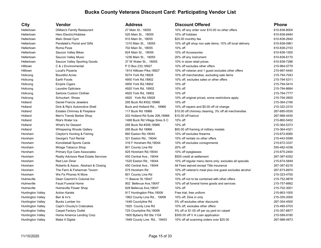| City                     | Vendor                               | <b>Address</b>                 | <b>Discount Offered</b>                                  | <b>Phone</b> |
|--------------------------|--------------------------------------|--------------------------------|----------------------------------------------------------|--------------|
| Hellertown               | DiMaio's Family Restaurant           | 27 Main St., 18055             | 10% off any order over \$10.00 no other offers           | 610-838-8004 |
| Hellertown               | Hero Electric/Hobbies                | 520 Main St., 18055            | 10% off hobbies                                          | 610-838-8484 |
| Hellertown               | Main Street Gym                      | 910 Main St., 18055            | \$25.00 monthly fee                                      | 610-838-2640 |
| Hellertown               | Pandelek's Florist and Gifts         | 1310 Main St., 18055           | 10% off gift shop non sale items; 10% off local delivery | 610-838-0961 |
| Hellertown               | Roma Pizza                           | 702 Main St., 18055            | 10% off                                                  | 610-838-2153 |
| Hellertown               | Saucon Valley Bikes                  | 824 Main St., 18055            | 10% off Accessories                                      | 610-838-1500 |
| Hellertown               | Saucon Valley Music                  | 1236 Main St., 18055           | 20% off any instrument                                   | 610-838-6170 |
| Hellertown               | Saucon Valley Sporting Goods         | 37 W Water St., 18055          | 10% in store retail prices                               | 610-838-7296 |
| Hilltown                 | C & J Environmental                  | P O Box 233,18927              | 10% off excludes other offers                            | 215-964-0779 |
| Hilltown                 | Local's Pizzeria                     | 1914 Hilltown Pike, 18927      | 10% off veteran and 1 guest excludes other offers        | 215-997-4440 |
| Holicong                 | <b>Bountiful Acres</b>               | 5074 York Rd, 18928            | 10% off merchandise, excluding sale items                | 215-794-7043 |
| Holicong                 | Earth Foods                          | 4950 York Rd, 18902            | 10% off, excludes sales or other offers                  | 215-794-5311 |
| Holicong                 | <b>Empire Cigars</b>                 | 4950 York Rd, 18902            | 10% off                                                  | 215-794-5414 |
| Holicong                 | Laundre Opticians                    | 4920 York Rd, 18902            | 10% off                                                  | 215-794-8684 |
| Holicong                 | Sartoria Custom Clothier             | 4920 York Rd, 18902            | 10% off                                                  | 215-794-7777 |
| Holicong                 | Schuckert Shoes                      | 4920 York Rd, 18928            | 10% off original priced, some restrictions apply         | 215-794-2600 |
| Holland                  | Daniel Francis Jewelers              | 295 Buck Rd #302,18966         | 10% off                                                  | 215-364-2190 |
| Holland                  | Dick & Rip's Automotive Shell        | Buck and Holland Rd., 18966    | 10% off repairs and \$5.00 off oil change                | 215-322-2310 |
| Holland                  | Estates Chimney & Fireplace          | 117 Buck Rd 18966              | \$10.00 off chimney cleaning, 3% off all merchandise.    | 267-685-0530 |
| Holland                  | Men's Trendz Barber Shop             | 202 Holland Rd Suite 206,18966 | \$10.00 off haircut                                      | 267-988-4430 |
| Holland                  | Rita's Water Ice                     | 1468 Buck Rd Village Sires S C | 10% off                                                  | 215-860-5402 |
| Holland                  | What's for Dessert                   | 295 Buck Rd #309,18966         | 10% off                                                  | 215-364-5373 |
| Holland                  | Whispering Woods Gallery             | 295 Buck Rd 18966              | \$50.00 off framing of military medals                   | 215-364-4321 |
| Horsham                  | Clayton's Hunting & Fishing          | 660 Easton Rd, 19044           | 10% off excludes firearms                                | 215-672-6060 |
| Horsham                  | George's Tool Rental                 | 321 Easton Rd., 19044          | 10% off rentals no other offers                          | 215-443-5599 |
| Horsham                  | Konckleball Sports Cards             | 316 F Horsham Rd, 19044        | 10% off excludes consignments                            | 215-672-3337 |
| Horsham                  | Mirage Tobacco Shop                  | 801 County Line Rd             | 20% off                                                  | 555-482-4336 |
| Horsham                  | <b>Primary Eye Care Associates</b>   | 925 Horsham Rd, 19044          | 10% off eyeglasses                                       | 215-675-2404 |
| Horsham                  | Realty Advisors Real Estate Services | 450 Central Ave., 19044        | \$500 credit at settlement                               | 267-387-6352 |
| Horsham                  | <b>Red Lion Diner</b>                | 1520 Easton Rd., 19044         | 10% off regular menu items only; excludes all specials   | 215-674-5849 |
| Horsham                  | Roberto & Assoc. Abstract & Closing  | 450 Central Ave., 19044        | All Fees waived except Title insurance                   | 267-387-6216 |
| Horsham                  | The Farm & Fisherman Tavern          | 575 Horsham Rd                 | 10% off veteran's meal plus one guest excludes alcohol   | 267-673-8974 |
| Horsham                  | We Fix Phones N More                 | 801 County Line Rd             | 10% off                                                  | 215-323-4750 |
| Hulmeville               | Dean Casmirri's Colonial Inn         | 11 Beaver St.19047             | 10% off not to be combined with other offers             | 215-752-9878 |
| Hulmeville               | <b>Faust Funeral Home</b>            | 902 Bellevue Ave, 19047        | 10% off all funeral home goods and services              | 215-757-6662 |
| Hulmeville               | Hulmeville Flower Shop               | 828 Bellevue Ave, 19047        | 10% off                                                  | 215-702-3001 |
| <b>Huntington Valley</b> | <b>Action Karate</b>                 | 917 Huntingdon Pike, 19006     | Free trial, free uniform                                 | 215-663-1005 |
| <b>Huntington Valley</b> | Ben & Irv's                          | 1962 County Line Rd., 19006    | 10% off, Dine in only                                    | 215-355-2000 |
| <b>Huntington Valley</b> | <b>Bucks Lumber Inc</b>              | 1448 Countyline Rd             | 5% off excludes other discounts                          | 267-354-4500 |
| <b>Huntington Valley</b> | Capt'n Chucky's Crabcakes            | 1920 County Line Rd            | 10% off, excludes other offers                           | 215-485-5703 |
| <b>Huntington Valley</b> | <b>Carpet Factory Outlet</b>         | 725 Countyline Rd, 19006       | 5% off or \$1.00 off per sq yard on carpet               | 215-357-8877 |
| <b>Huntington Valley</b> | Home America Lending Corp            | 1800 Byberry Rd Ste 1104       | \$300.00 off V A Loan application                        | 215-589-9180 |
| <b>Huntington Valley</b> | Make It Digital                      | 1948 County Line Rd., 19403    | 10% off all scanning orders over \$25.00                 | 267-988-4973 |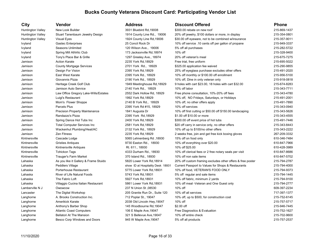Langhorne **Anthony's Barber Shop** 145 Woodbourne Rd,19047 \$2.00 off 215-946-7445 Langhorne and Atlantic Coast Computers 106 E Maple Ave, 19047 Free Diagnostics & Evaluation 215-752-1627 1627-752-1627 Langhorne Bellatori At The Mansion 321 S Bellevue Ave, 19047 10% off entire check 215-702-9600 Langhorne Besco Corp Windows and Doors 945 W Maple Ave, 19047 5% off all products 215-757-2537 2537

### **City Vendor Address Discount Offered Phone** Huntington Valley New Look Builder 3931 Bluebird Rd,19008 \$300.00 rebate on new roof 215-869-1437 Huntington Valley Stuart Tanenbaum Jewelry Design 1914 County Line Rd., 19006 20% off jewelry, \$100 dollars or more, in display 215-354-0801 Huntington Valley Visual Eyes 1925-357-9011 1924 County Line Rd,19006 \$30.00 off eyeware, not to be combined w/insurance 215-357-9011 Ivyland Gastec Enterprises 25 Concil Rock Dr 10% off service .10 cents off per gallon of propane 215-949-3337 Ivyland Seasons Unlimited 120 Wilson Ave., 19006 5% off all purchases 215-282-5722 Ivyland Spring Mill Athlrtic Club 173 Jacksonville Rd,18974 10% off 215-328-9400 Ivyland Tony's Place Bar & Grille 1297 Greeley Ave., 18974 20% off veteran's meal 215-675-7275 215-675-7275 Jamison Action Karate 2235 York Rd,18929 Free trial, free uniform 215-695-5022 Jamison County Mortgage Services 2701 York Rd., 18929 \$325.00 application fee waived 215-290-9855 Jamison Design For Vision 2395 York Rd,18929 25% off eyeglass purchase excludes other offers 215-491-2020 Jamison East West Karate 2395 York Rd., 18929 10% off monthly or \$100.00 off enrollment 215-956-5100 Jamison Giovannis Pizza 2190 York Rd., 18929 10% off, Dine in only veteran only 215-918-0818 Jamison Heritage Creek Golf Club 1949 Meetinghouse Rd,18929 9 holes with cart \$23.00, 18 holes with cart \$32.00 215-674-8283 Jamison Jamison Auto Service 2140 York Rd., 18929 10% off labor 215-343-7711 Jamison Law Office Gregory Lake-Wills/Estates 2552 Dark Hollow Rd, 18929 Free phone consultation, 10%-20% off fees 215-343-4780 Jamison Luigi's Restaurant 1992 York Rd,18929 10% off, NO Fridays, Saturdays, or Holidays 215-491-2001 Jamison Mom's Flower Shoppe 215-491-7890 2014 2140 B York Rd., 18929 10% off, no other offers apply 215-491-7890 Jamison Parcels Plus 2395 York Rd #15, 18929 10% off services 215-343-0940 Jamison Precision Property Maintenance 1841 Augusta Dr 10% off first cutting or \$50.00 off \$150.00 landscaping 215-343-5626 Jamison Randazzo's Pizza 2395 York Rd,18929 \$1.00 off \$10.00 or more 215-343-4555 Jamison Spring Dance Hot Tubs Inc 2000 York Rd, 18929 \$300.00 off event price of hot tubs 215-491-7446 Jamison Total Computer Services Inc 2581 York Rd,18929 \$20 off carry in service only, no other offers 215-343-8443 Jamison Wackenhut Plumbing/Heat/AC 2132 York Rd., 18929 10% off up to \$100/no other offers 215-343-2222 Jamison Zen Fitness 2235 York Rd,18929 2 weeks free, join and get free kick boxing gloves 267-209-3332 Kintnersville Cascade Lodge Cascade Codge 5065 Lehnenberg Rd ,18930 15% off on food only 610-346-7484 610-346-7484 Kintnersville Gristies Antiques Cristies Antiques 610-847-7966 10:00 9730 Easton Rd., 18930 10% off everything over \$20.00 Kintnersville Kintnersville Antiques Rt. 611., 18930 10% off \$25.00 610-428-3989 Kintnersville Tohickon Tags and The State of the Hoster and A333 Durham Rd., 18930 10% off clerical fees or 2 free notary seals per visit 610-847-8686 Kintnersville Trauger's Farm Market 370 Island Rd., 18930 10% off non sale items 610-847-5702 Lahaska **As you like it Gallery & Frame Stuido** 5820 Lower York Rd,18914 20% off custom framing excludes other offers & free poster 215-794-2787 Lahaska **Peddlers Village Show ID at Hospitality Desk 18931** Current Passport to Values for Shops & Restaurants 215-794-4000 Lahaska Porterhouse Restaurant 5775 Lower York Rd,18931 10% off food, VETERAN'S FOOD ONLY 215-794-9373 Lahaska River of Life Natural Foods 6743 York Rd,18931 5% off regular and sale items 215-794-1445 Lahaska The Fabric Loft 6927 York Rd,18931 10% off fabric, minimum 2 yards 215-794-9100 Lahaska Villaggio Cucina Italian Restaurant 5861 Lower York Rd,18931 10% off meal -Veteran and One Guest only 215-794-2777 Lamberville N J Owowcow 237 N Union St ,08530 10% off 609-397-2234 Lancaster The Digital Workshop 205 Granite Run Dr., Suite 120 10% off all services 717-397-1377 Langhorne A. Brooks Construction Inc. 712 Poplar St., 19047 10% off, up to \$500, for construction cost 215-752-6145 Langhorne Amerikick Karate 2038 Old Lincoln Hwy, 19047 10% off 215-757-5717 205-757-5717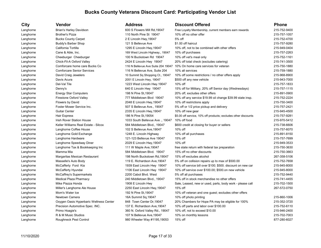| City      | Vendor                                  | Address                          | <b>Discount Offered</b>                                                  | <b>Phone</b> |
|-----------|-----------------------------------------|----------------------------------|--------------------------------------------------------------------------|--------------|
| Langhorne | <b>Brian's Harley Davidson</b>          | 600 S Flowers Mill Rd, 19047     | Free Loyalty Membership, current members earn rewards                    | 215-752-9400 |
| Langhorne | <b>Brother's Pizza</b>                  | 110 North Pine St 19047          | 10% off no other offer                                                   | 215-757-1057 |
| Langhorne | <b>Bucks County Carpet</b>              | 2 E Lincoln Hwy, 19047           | 5% off                                                                   | 215-752-4700 |
| Langhorne | Buddy's Barber Shop                     | 121 S Bellevue Ave               | \$1.00 off haircut                                                       | 215-757-9280 |
| Langhorne | California Tortilla                     | 1295 E Lincoln Hwy, 19047        | 10% off, not to be combined with other offers                            | 215-949-0404 |
| Langhorne | Cane & Able, Inc.                       | 169 West Lincoln Highway., 19047 | 10% off purchases                                                        | 215-757-2263 |
| Langhorne | Cheeburger Cheeburger                   | 100 N Buckstown Rd 19047         | 10% off vet's meal only                                                  | 215-752-1161 |
| Langhorne | Chick-Fil-A Oxford Valley               | 2424 E Lincoln Hwy 19047         | 20% off total check (excludes catering)                                  | 215-741-3500 |
| Langhorne | Comforcare home care Bucks Co           |                                  | 116 N Bellevue Ave Suite 204 19047 10% On home care services for veteran | 215-750-1880 |
| Langhorne | <b>Comforcare Senior Services</b>       | 116 N Bellevue Ave, Suite 204    | 10% all services                                                         | 215-759-1880 |
| Langhorne | David Craig Jewelers                    | 10 Summit Sq Shopping Ct., 19047 | 10% off some restrictions / no other offers apply                        | 215-968-8900 |
| Langhorne | Davis Acura                             | 2051 E Lincoln Hwy, 19047        | \$500 off any new vehicle                                                | 215-943-7000 |
| Langhorne | Del-Val Tile                            | 1223 West Lincoln Hwy.19047      | 10% off                                                                  | 215-757-1833 |
| Langhorne | Denny's                                 | 640 E Lincoln Hwy 19047          | 15% off for Military, 20% off Senior day (Wednesdays)                    | 215-757-1115 |
| Langhorne | <b>Energy Star Computers</b>            | 198 N Pine St, 19047             | 20% off, excludes other offers                                           | 215-891-0900 |
| Langhorne | Firestone Oxford Valley                 | 777 Middletown Blvd 19047        | 10% off any service \$19.99 oil change \$39.99 state insp.               | 215-752-2224 |
| Langhorne | Flowers by David                        | 2048 E Lincoln Hwy, 19047        | 10% off restrictions apply                                               | 215-750-3400 |
| Langhorne | Foster Mower Service Inc.               | 507 S Bellevue Ave., 19047       | 5% off or 1/2 price pickup and delivery                                  | 215-757-2421 |
| Langhorne | <b>Guitar Center</b>                    | 2335 E Lincoln Hwy, 19047        | 10% off new gear                                                         | 215-945-4500 |
| Langhorne | Hair Express                            | 186 N Pine St, 19054             | \$5.00 off service, 10% off products; excludes other discounts           | 215-757-9281 |
| Langhorne | Irish Rover Station House               | 1033 South Bellevue Ave., 19047  | 10% off food                                                             | 215-970-5412 |
| Langhorne | Keller Williams Real Estate - Silcox    | 584 Middletown Blvd., 19047      | \$600 credit at closing for buyer or sellers                             | 215-738-6606 |
| Langhorne | Langhorne Coffee House                  | 102 S Bellevue Ave, 19047        | 10% off                                                                  | 215-757-6070 |
| Langhorne | Langhorne Gold Exchange                 | 1248 E. Lincoln Highway          | 10% off all purchases                                                    | 215-891-8150 |
| Langhorne | Langhorne Hardware                      | 121-123 Bellevue Ave 19047       | 15% off                                                                  | 215-757-7699 |
| Langhorne | Langhorne Speedway Diner                | 2029 E Lincoln Hwy, 19047        | 10% off                                                                  | 215-949-3533 |
| Langhorne | Langhorne Tax & Bookkeeping Inc         | 111 W Maple Ave, 19047           | free state return with federal tax preparation                           | 215-750-3630 |
| Langhorne | Mamma Mia                               | 584 Middletown Blvd. 19047       | 15% off no other discounts                                               | 215-750-3663 |
| Langhorne | Margaritas Mexican Restaurant           | 198 North Buckstown Rd, 19047    | 15% off excludes alcohol                                                 | 267-358-5106 |
| Langhorne | Masselle's Auto Body                    | 119 E. Richardson Ave, 19047     | 5% off on collision repairs up to max of \$500.00                        | 215-752-7658 |
| Langhorne | McCafferty Ford Kia                     | 1939 East Lincoln Hwy 19047      | 10% off service bill over \$100; \$500, discount on new car              | 215-945-8000 |
| Langhorne | McCafferty Hyundai                      | 1106 East Lincoln Hwy 19047      | 10% off service over \$100.00; \$500.on new vehicle                      | 215-945-8000 |
| Langhorne | McCaffrey's Supermarkets                | 2200 Cabot Blvd. West            | 5% off all purchases                                                     | 215-752-9440 |
| Langhorne | <b>Medical Plaza Pharmacy</b>           | 240 Middletown Blvd., 19047      | 15% off in stock merchandise no other offers                             | 215-741-4455 |
| Langhorne | Mike Piazza Honda                       | 1908 E Lincoln Hwy               | Sale, Leased, new or used, parts, body work - please call                | 215-702-1500 |
| Langhorne | Miller's Langhorne Ale House            | 2250 East Lincoln Hwy, 19047     | 15% off                                                                  | 267-572-0750 |
| Langhorne | Mom's Water Ice                         | 192 N Pine St, 19047             | 10% off veteran and one guest; excludes other offers                     |              |
| Langhorne | Newtown Camera                          | 16A Summit Sq, 19047             | 10% off photo printing                                                   | 215-860-1006 |
| Langhorne | Oxygen Oasis Hyperbaric Wellness Center | 848 Town Center Dr, 19047        | 20% Chambers for Hope PA may be eligible for 100%                        | 215-352-3720 |
| Langhorne | Precision Automotive Spec. INC.         | 137 E. Richardson Ave, 19047     | 10% off parts and labor over \$100.00                                    | 215-752-6110 |
| Langhorne | Primo Hoagie's                          | 360 N. Oxford Valley Rd., 19047  | 10% off, not to exceed \$10.00                                           | 215-946-2400 |
| Langhorne | R & M Music Studios                     | 107 N Bellevue Ave, 19047        | 10% on monthly lessons                                                   | 215-702-7003 |
| Langhorne | <b>Roughneck Pest Control</b>           | 980 Wheeler Way #1195,19053      | 15% off                                                                  | 877-280-6027 |
|           |                                         |                                  |                                                                          |              |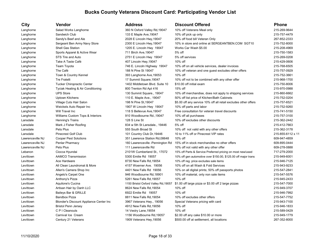# Langhorne Salad Works Langhorne 360 N Oxford Valley Rd, 19047 10 Langhorne Sandy's Beef and Ale 2028 E Lincoln Hwy, 19047 20 Langhorne Sergeant Ben Army Navy Store 2300 E Lincoln Hwy, 19047 10 Langhorne Shell Gas Station 1205 E. Lincoln Hwy 19047 W Langhorne Sports Apparel & Active Wear 711 Birch Ave, 19047 5 Langhorne STS Tire and Auto 2751 E Lincoln Hwy 19047 5 Langhorne Team Toyota 746 E. Lincoln Highway 19047 1 Langhorne Town & Country Kennel 1998 Country 1 2006 2014 2015-2016 393 Langhorne Ave, 19053 Langhorne Tucker Chiropractic Center 1402 Middletown Blvd. Suite 10 \$10.000 \$10.00 Langhorne Tyciak Heating & Air Conditioning 800 Trenton Rd Apt 416 15 Langhorne UPS Store 130 Summit Square., 19047 10% off merchandise apply to shipping services 215-860-6660-6660 Langhorne Uptown Kitchens 110 E. Maple Ave., 19047 50 Langhorne Weickels Auto Repair Inc 1907 W Lincoln Hwy 19047 10% of the Meickels Auto Repair Inc Langhorne Will Travel Inc 118 S Bellevue Ave, 19047 F Langhorne Williams Custom Tops & Interiors 61.910 Woodbourne Rd.,19047 10 Lansdale Mark J Fisher Roofing 834 w 5th St Lansdale., 19446 5th St Lansdale. Lawrenceville NJ Cooper Pest Solutions 351 Lawrence Station Rd,08648 1 Lawrenceville NJ Penlar Pharmacy **160 Lawrenceville -Pennington Rd** 15 Lebanon Ciocca Hyundai 2101W Cumberland St., 17072 15% off Parts and Parts and Museum pricing Preferred 1 Levittown Ace Hardware **Ace Hardware 10 Communist Rd**,19054 10 Levittown All Clean Laundromat & More 4157 Woerner Ave. 19056 10 Levittown Allen's Camera Shop Inc 4401 New Falls Rd 19056 10% on all digital prints; 50% off passports photos 215-547-2841 Levittown Angelo's Carpet One 10 and 10% of 946 Woodbourne Rd,18901 10% of material, only non-Levittown **Anthony's Pizza** 10. Anthony's Pizza 10. Anthony's Pizza 10% of 261 New Falls Rd,19057 Levittown Aquilone's Cucina 1150 Bristol Oxford Valley Rd,19057 \$ Levittown **Artisan Hair by Oanh LLC** 8624 New Falls Rd,19054 10 Levittown Bandbox Pizza 10% of the 8811 New Falls Rd,19054 10% of the Bandbox Pizza Levittown Blonder's Discount Appliance Center Inc 3967 Veterans Hwy., 19056 S Levittown **Bristol Penn Jersey 10** and 2012 New Falls Rd,19056 10 Levittown Carnival Ice Cream 1156 Woodbourne Rd,19057 \$2.00 Levittown Century 21 Veterans 1909 Veterans Hwy,19056 \$500.000 off at settlement, and the settlement, and the s

| <b>City</b>      | Vendor                                  | <b>Address</b>                       | <b>Discount Offered</b>                                         | <b>Phone</b>      |
|------------------|-----------------------------------------|--------------------------------------|-----------------------------------------------------------------|-------------------|
| Langhorne        | Salad Works Langhorne                   | 360 N Oxford Valley Rd, 19047        | 10% off Veterans Meal only                                      | 215-269-9644      |
| Langhorne        | Sandwich Club                           | 133 E Maple Ave, 19047               | 10% off pick up only                                            | 215-757-4479      |
| Langhorne        | Sandy's Beef and Ale                    | 2028 E Lincoln Hwy, 19047            | 20% off food bill Veteran Only                                  | 267-852-2333      |
| Langhorne        | Sergeant Ben Army Navy Store            | 2300 E Lincoln Hwy, 19047            | 10% in store and online at SERGEANTBEN.COM SGT10                | 215-752-8000      |
| Langhorne        | Shell Gas Station                       | 1205 E. Lincoln Hwy 19047            | Works Car Wash \$5.00                                           | 215-208-4969      |
| Langhorne        | Sports Apparel & Active Wear            | 711 Birch Ave, 19047                 | 5% off                                                          | 215-750-1583      |
| Langhorne        | STS Tire and Auto                       | 2751 E Lincoln Hwy 19047             | 5% off services                                                 | 215-269-0208      |
| Langhorne        | Take A Taste Café                       | 407 Lincoln Hwy, 19047               | 10% off                                                         | 215-429-0606      |
| Langhorne        | Team Toyota                             | 746 E. Lincoln Highway 19047         | 10% off on all vehicle services, dealer invoices                | 215-768-6505      |
| Langhorne        | The Café                                | 188 N Pine St 19047                  | 10% off veteran and one guest excludes other offers             | 215-757-0929      |
| Langhorne        | Town & Country Kennel                   | 393 Langhorne Ave, 19053             | 10% off                                                         | 215-752-3661      |
| Langhorne        | <b>Tre Fratelli</b>                     | 17 Summit Square, 19047              | 10% off not to be combined with any other offer                 | 215-968-1700      |
| Langhorne        | <b>Tucker Chiropractic Center</b>       | 1402 Middletown Blvd. Suite 10       | \$10.00 off initial exam                                        | 215-750-8006      |
| Langhorne        | Tyciak Heating & Air Conditioning       | 800 Trenton Rd Apt 416               | 15% off                                                         | 215-970-0988      |
| Langhorne        | <b>UPS Store</b>                        | 130 Summit Square., 19047            | 10% off merchandise, does not apply to shipping services        | 215-860-6662      |
| Langhorne        | Uptown Kitchens                         | 110 E. Maple Ave., 19047             | 50% off list price of Kitchen/Bath Cabinets                     | 215-752-0204      |
| Langhorne        | Village Cuts Hair Salon                 | 198 N Pine St, 19047                 | \$5.00 off any service 10% off all retail excludes other offers | 215-757-6521      |
| Langhorne        | Weickels Auto Repair Inc                | 1907 W Lincoln Hwy 19047             | 10% off parts and labor                                         | 215-752-9260      |
| Langhorne        | Will Travel Inc                         | 118 S Bellevue Ave, 19047            | Free consultation for veteran travel discounts                  | 215-741-5150      |
| Langhorne        | Williams Custom Tops & Interiors        | 910 Woodbourne Rd., 19047            | 10% off all purchases                                           | 215-757-3100      |
| Lansdale         | Henning's Trains                        | 128 S Line St                        | 10% off excludes other discounts                                | 215-362-2442      |
| Lansdale         | Mark J Fisher Roofing                   | 834 w 5th St Lansdale., 19446        | 5% off                                                          | 215-412-7663      |
| Lansdale         | Pets Plus                               | 555 South Broad St                   | 10% off not valid with any other offers                         | 215-362-3178      |
| Lansdale         | <b>Pinecrest Golf Club</b>              | 101 Country Club Dr, 19446           | 10 to 11% off or Pinecrest VIP rates                            | 215-855-6112 x 11 |
| Lawrenceville NJ | <b>Cooper Pest Solutions</b>            | 351 Lawrence Station Rd,08648        | 10% off                                                         | 609-947-4859      |
| Lawrenceville NJ | Penlar Pharmacy                         | 160 Lawrenceville -Pennington Rd     | 15% off in stock merchandise no other offers                    | 609-895-0444      |
| Lawrenceville NJ | Pets Plus                               | 111 Lawrenceville Rd                 | 10% off not valid with any other offer                          | 609-278-0888      |
| Lebanon          | Ciocca Hyundai                          | 2101W Cumberland St., 17072          | 15% off Parts & Service Preferred pricing on most new/used      | 717-279-2000      |
| Levittown        | <b>AAMCO Transmission</b>               | 5300 Emilie Rd 19057                 | 10% off gen automotive over \$150.00, \$125.00 off major trans  | 215-949-6001      |
| Levittown        | Ace Hardware                            | 8730 New Falls Rd, 19054             | 10% off reg. price excludes sale items                          | 215-946-7125      |
| Levittown        | All Clean Laundromat & More             | 4157 Woerner Ave. 19056              | 10% off on all Wash & Fold Services                             | 215-943-9233      |
| Levittown        | Allen's Camera Shop Inc                 | 4401 New Falls Rd 19056              | 10% on all digital prints; 50% off passports photos             | 215-547-2841      |
| Levittown        | Angelo's Carpet One                     | 946 Woodbourne Rd, 18901             | 10% off material, only non sale items                           | 215-547-5576      |
| Levittown        | Anthony's Pizza                         | 5261 New Falls Rd, 19057             | 10% off                                                         | 215-945-2433      |
| Levittown        | Aquilone's Cucina                       | 1150 Bristol Oxford Valley Rd, 19057 | \$1.00 off large pizza or \$3.00 off 2 large pizzas             | 215-547-7000      |
| Levittown        | Artisan Hair by Oanh LLC                | 8624 New Falls Rd, 19054             | 10% off                                                         | 215-949-3707      |
| Levittown        | Baileys Bar & GRILLE                    | 6922 Emilie Rd 19057                 | 10% off                                                         | 215-946-7992      |
| Levittown        | <b>Bandbox Pizza</b>                    | 8811 New Falls Rd, 19054             | 10% off excludes other offers                                   | 215-547-7752      |
| Levittown        | Blonder's Discount Appliance Center Inc | 3967 Veterans Hwy., 19056            | Special Veterans pricing with card                              | 215-943-7100      |
| Levittown        | <b>Bristol Penn Jersey</b>              | 4912 New Falls Rd, 19056             | 10% off                                                         | 215-946-1833      |
| Levittown        | C P I Cleanouts                         | 14 Vestry Lane, 19054                | 10% off                                                         | 215-589-0429      |
| Levittown        | Carnival Ice Cream                      | 1156 Woodbourne Rd, 19057            | \$2.00 off any cake \$10.00 or more                             | 215-949-1779      |
| Levittown        | Century 21 Veterans                     | 1909 Veterans Hwy, 19056             | \$500.00 off at settlement, all locations                       | 267-352-8000      |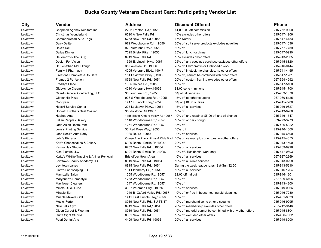| City      | Vendor                                     | <b>Address</b>                      | <b>Discount Offered</b>                                   | <b>Phone</b> |
|-----------|--------------------------------------------|-------------------------------------|-----------------------------------------------------------|--------------|
| Levittown | Chapman Agency Realtors Inc                | 2222 Trenton Rd.19056               | \$1,000.00 off commission                                 | 215-752-9000 |
| Levittown | Christmas Wonderland                       | 8520 A New Falls Rd                 | 10% excludes other offers                                 | 215-547-1906 |
| Levittown | <b>Commonwealth Auto Tags</b>              | 5253 New Falls Rd, 19056            | <b>Free Notary</b>                                        | 215-547-4433 |
| Levittown | Dairy Delite                               | 972 Woodbourne Rd., 19056           | 20% off soft serve products excludes novelties            | 215-547-1636 |
| Levittown | Dale's Deli                                | 929 Veterans Hwy, 19056             | 10% off                                                   | 215-757-7759 |
| Levittown | <b>Dallas Dinner</b>                       | 7025 Bristol Pike 19055             | 25% off lunch or dinner                                   | 215-547-0990 |
| Levittown | DeLorenzo's The Burg                       | 8919 New Falls Rd                   | 15% excludes other offers                                 | 215-943-2605 |
| Levittown | Design For Vision                          | 1329 E. Lincoln Hwy, 19067          | 25% off any eyeglass purchase excludes other offers       | 215-945-8820 |
| Levittown | Dr. Jonathan McCullough                    | 35 Lakeside Dr. 19056               | 25% off Chiropractic or Orthopedic work                   | 215-946-0444 |
| Levittown | Family 1 Pharmacy                          | 4005 Veterans Blvd., 19047          | 15% off in stock merchandise, no other offers             | 215-741-4455 |
| Levittown | Firestone Complete Auto Care               | 151 Levittown Pkwy, 19055           | 10% off, cannot be combined with other offers             | 215-547-1281 |
| Levittown | Framed 2 Perfection                        | 8728 New Falls Rd, 19054            | 20% off custom framing excludes other offers              | 267-594-4292 |
| Levittown | Freddy's Place                             | 1635 Haines Rd., 19055              | 10% off                                                   | 215-547-5100 |
| Levittown | Gibby's Ice Cream                          | 4010 Veterans Hwy, 19056            | \$1.00 cone - limit one                                   | 215-945-1700 |
| Levittown | Gilardi General Contracting, LLC           | 38 Four Leaf Rd., 19056             | 5% off all services                                       | 215-269-1870 |
| Levittown | Giovanni's Pizza                           | 928 S Woodbourne Rd., 19056         | 15% off no other coupons                                  | 267-980-5125 |
| Levittown | Goodyear                                   | 1417 E Lincoln Hwy, 19054           | 5% or \$10.00 off tires                                   | 215-945-7700 |
| Levittown | Hesski Service Center                      | 225 Levittown Pkwy., 19054          | 15% off all services                                      | 215-946-9827 |
| Levittown | Horvath Brothers Seal Coating              | 35 Idolstone Rd, 19057              | 10% off                                                   | 215-943-8268 |
| Levittown | Hughes Auto                                | 1155 Bristol Oxford Valley Rd 19057 | 10% off any repair or \$5.00 off any oil change           | 215-346-1747 |
| Levittown | Italian Peoples Bakery                     | 1140 Woodbourne Rd, 19057           | 10% off or daily bongo                                    | 609-273-3773 |
| Levittown | Jade Asian Restaurant                      | 1251 Woodbourne Rd, 19057           | 15% off                                                   | 215-486-5922 |
| Levittown | Jerry's Printing Service                   | 33 Red Rose Way, 19056              | 10% off                                                   | 215-946-1660 |
| Levittown | John Beck's Auto Body                      | 7985 Rt. 13 19057                   | 10% off services                                          | 215-945-6600 |
| Levittown | Julio's Pizzeria                           | Queen Ann Plaza Pkwy & Olds Blvd    | 10% off veteran plus one guest no other offers            | 215-945-4355 |
| Levittown | Kari's Cheesecakes & Bakery                | 6906 Bristol - Emilie Rd, 19057     | 20% off                                                   | 215-943-1500 |
| Levittown | Karma Hair Studio                          | 8752 New Falls Rd., 19054           | 15% off all services                                      | 215-269-6996 |
| Levittown | <b>Kiss Electric LLC</b>                   | 5921 Bristol-Emilie Rd, 19057       | 10% off, Residential work only                            | 215-547-0603 |
| Levittown | Kurko's Wildlife Trapping & Animal Removal | <b>Bristol/Levittown Area</b>       | 10% off all services                                      | 267-987-2969 |
| Levittown | Levittown Beauty Academy LLC               | 8919 New Falls Rd., 19054           | 10% off all clinic services                               | 215-943-0298 |
| Levittown | Levittown Lanes                            | 8815 New Falls Rd, 19054            | During the week league rates, Sat-Sun \$2.50              | 215-943-5610 |
| Levittown | Liam's Landscaping LLC                     | 101 Elderberry Dr., 19054           | 10% off all services                                      | 215-946-1704 |
| Levittown | Mam'zelle Salon                            | 1255 Woodbourne Rd, 19057           | \$2.00 off haircut                                        | 215-946-1201 |
| Levittown | Maryanne's Homestyle                       | 1263 Woodbourne Rd, 19057           | 10% off                                                   | 267-589-6196 |
| Levittown | <b>Mayflower Cleaners</b>                  | 1047 Woodbourne Rd, 19057           | 10% off                                                   | 215-943-4200 |
| Levittown | Millers Quick Lube                         | 3997 Veterans Hwy., 19056           | 10% off services                                          | 215-949-0866 |
| Levittown | Miracle-Ear                                | 1049-B Oxford Valley Rd, 19057      | 10% off or free in house hearing aid cleanings            | 215-946-7230 |
| Levittown | <b>Muscle Makers Grill</b>                 | 1411 East Lincoln Hwy, 19056        | 10% off                                                   | 215-431-8333 |
| Levittown | Music Forte                                | 8919 New Falls Rd., SUITE 17        | 10% off merchandise no other discounts                    | 215-946-9295 |
| Levittown | New Falls Gym                              | 8919 New Falls Rd, 19054            | 20% off membership excludes other offers                  | 267-242-9146 |
| Levittown | Olden Carpet & Flooring                    | 8919 New Falls Rd, 19054            | 10% off material cannot be combined with any other offers | 215-945-8804 |
| Levittown | Outta Sight Studios                        | 8801 New Falls Rd                   | 15% off excluded other offers                             | 215-486-7002 |
| Levittown | <b>Pearl Dental Arts</b>                   | 4409 New Falls Rd 19056             | 20% off all services                                      | 215-949-8000 |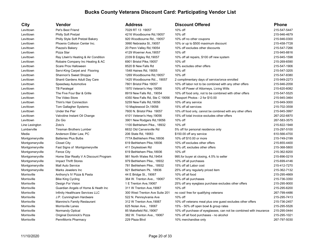### Levittown Pet's Best Friend 7029 RT 13 19057 10% off 215-547-5447 Levittown Philly Soft Pretzel 4216 Woodbourne Rd,19057 10% off 215-946-4679 Levittown Philly Style Soft Pretzel Bakery 10 920 Woodbourne Rd., 19057 Levittown Phoenix Collision Center Inc. 3990 Nebraska St.,19057 10% or up to \$500 maximum discount 215-458-7728 Levittown Piazza's Bakery 20 Penn Valley Rd,19054 10% off excludes other discounts 215-547-7266 Levittown Pizza Star **Provides Ave, 19057** 129 Woerner Ave, 19057 Levittown Ray Litwin's Heating & Air Condition 2339 B Edgley Rd, 19057 Levittown Robaire Company Inc Heating & AC 6901 Bristol Pike, 19057 Levittown Scare Pros Halloween 8520 B New Falls Rd 10% excludes other offers 215-547-1906 Levittown Servi-King Carpet and Flooring 1548 Haines Rd, 19055 Levittown Shannon's Sweet Shoppe 1269 Woodbourne Rd,19057 Levittown Shanti Gardens Adult Day Care 1425 Woodbourne Rd.., 19057 Levittown Speedway Automotive 7801 Bristol Pike 19057 10% off labor not to be combined with any other offers 215-946-2058 Levittown TB Paralegal 1970 Veteran's Hwy 19056 Levittown The Five Four Bar & Grille 8919 New Falls Rd., 19054 10% off food only, not to be combined with other offers 215-547-5525 Levittown The Video Store 19056 Passes 14350 New Falls Rd, Ste C 19056 Levittown Thim's Hair Connection 5259 New Falls Rd,19056 10% off any service 215-949-3000 Levittown Tom Gallagher Systems 10 Maplewood Dr, 19056 Levittown Under the Pier 10 and 100 of 10% of Food only, cannot be computed with any other off for food only, c Levittown Valvoline Instant Oil Change 15 and 101 Veteran's Hwy,19056 Levittown Zio Gio 3901 New Rodgers Rd,19056 Line Lexington **2**oto's 2007 2008 2009 2010 2020 2021 2032 2040 2040 205-8232 Lumberville Tinsman Brothers Lumber 6632 Old Carversville Rd 5% off for personal residence only 215-297-5100 Media Anderson Elder Law, PC 206 State Rd, 19063 \$150.00 off any service 610-566-4700 Montgomeryville Batteries Plus Bulbs 777A Bethlehem Pike, 18936 Montgomeryville Closet City 619 Bethlehem Pike,18936 Montgomeryville Fast Signs of Montgomeryville 411 Doylestown Rd Montgomeryville Fence City 619 Bethlehem Pike,18936 Montgomeryville Home Star Realty V A Discount Program 981 North Wales Rd,19454 Montgomeryville Impact Thrift Stores 10 and 100 and 979 Bethlehem Pike., 18932 Montgomeryville Mall Auto Service 781 Bethlehem Pike., 18932 Montgomeryville Marks Jewelers Inc 1921 Bethlehem Pk. 18936 Morrisville **Anthony's IV Pizza & Pasta** 44 E Bridge St., 19067 Morrisville **Bike King Cycling 364 W. Trenton Ave., 19067** 10 Morrisville Morrisville **Design For Vision** 1 E Trenton Ave, 19067 Morrisville **Guardian Angels of Home & Heath Inc** 311 W Trenton Ave, 19067 Morrisville **Infinity Healthcare Services LLC** 300 West Trenton Ave Suite 201 Morrisville J.P. Cunningham Hardware 10 and 10 and 522 N. Pennsylvania Ave Morrisville Mannino's Family Restaurant 312 W Trenton Ave, 19067 Morrisville Morrisville Lanes 625 Nolan Ave., 19067 15% - 50% off open bowl & group rates 215-295-5526 Morrisville Normandy Optical 85 Makefield Rd.,19067 10% off purchase of eyeglasses, can not be combined with insurance 215-295-0444 Morrisville **Calculation Coriginal Dominick's Pizza** 382 W. Trenton Ave., 19067

| City            | <b>Vendor</b>                         | Address                        | <b>Discount Offered</b>                                            | <b>Phone</b> |
|-----------------|---------------------------------------|--------------------------------|--------------------------------------------------------------------|--------------|
| Levittown       | Pet's Best Friend                     | 7029 RT 13 19057               | 10% off                                                            | 215-547-5447 |
| Levittown       | Philly Soft Pretzel                   | 4216 Woodbourne Rd, 19057      | 10% off                                                            | 215-946-4679 |
| Levittown       | Philly Style Soft Pretzel Bakery      | 920 Woodbourne Rd., 19057      | 10% off no other coupons                                           | 215-946-0300 |
| Levittown       | Phoenix Collision Center Inc.         | 3990 Nebraska St., 19057       | 10% or up to \$500 maximum discount                                | 215-458-7728 |
| Levittown       | Piazza's Bakery                       | 20 Penn Valley Rd, 19054       | 10% off excludes other discounts                                   | 215-547-7266 |
| Levittown       | Pizza Star                            | 4129 Woerner Ave, 19057        | 10% off                                                            | 215-945-8816 |
| Levittown       | Ray Litwin's Heating & Air Condition  | 2339 B Edgley Rd, 19057        | 10% off all repairs, \$100 off new system                          | 215-945-1598 |
| Levittown       | Robaire Company Inc Heating & AC      | 6901 Bristol Pike, 19057       | 10% off                                                            | 215-269-6590 |
| Levittown       | Scare Pros Halloween                  | 8520 B New Falls Rd            | 10% excludes other offers                                          | 215-547-1906 |
| Levittown       | Servi-King Carpet and Flooring        | 1548 Haines Rd, 19055          | 10% off                                                            | 215-547-3205 |
| Levittown       | Shannon's Sweet Shoppe                | 1269 Woodbourne Rd, 19057      | 10% off                                                            | 215-547-8380 |
| Levittown       | Shanti Gardens Adult Day Care         | 1425 Woodbourne Rd, 19057      | 2 complimentary days of service/once enrolled                      | 215-949-2273 |
| Levittown       | Speedway Automotive                   | 7801 Bristol Pike 19057        | 10% off labor not to be combined with any other offers             | 215-946-2058 |
| Levittown       | <b>TB Paralegal</b>                   | 1970 Veteran's Hwy 19056       | 10% off Power of Attorneys, Living Wills                           | 215-620-6082 |
| Levittown       | The Five Four Bar & Grille            | 8919 New Falls Rd., 19054      | 10% off food only, not to be combined with other offers            | 215-547-5525 |
| Levittown       | The Video Store                       | 4350 New Falls Rd, Ste C 19056 | Passport Photos - 2 for \$10.00                                    | 215-945-3464 |
| Levittown       | Thim's Hair Connection                | 5259 New Falls Rd, 19056       | 10% off any service                                                | 215-949-3000 |
| Levittown       | Tom Gallagher Systems                 | 10 Maplewood Dr, 19056         | 15% off all services                                               | 215-702-3558 |
| Levittown       | Under the Pier                        | 7600 N. Bristol Pike 19057     | 10% off food only, cannot be combined with any other offers        | 215-945-3997 |
| Levittown       | Valvoline Instant Oil Change          | 4101 Veteran's Hwy, 19056      | 15% off total invoice excludes other offers                        | 267-202-6870 |
| Levittown       | Zio Gio                               | 3901 New Rodgers Rd, 19056     | 10% off                                                            | 267-583-3575 |
| Line Lexington  | Zoto's                                | 1100 Bethlehem Pike., 18932    | 10% off                                                            | 215-822-1948 |
| Lumberville     | <b>Tinsman Brothers Lumber</b>        | 6632 Old Carversville Rd       | 5% off for personal residence only                                 | 215-297-5100 |
| Media           | Anderson Elder Law, PC                | 206 State Rd, 19063            | \$150.00 off any service                                           | 610-566-4700 |
| Montgomeryville | <b>Batteries Plus Bulbs</b>           | 777A Bethlehem Pike, 18936     | 10% off \$10.00 or more                                            | 215-749-2199 |
| Montgomeryville | <b>Closet City</b>                    | 619 Bethlehem Pike, 18936      | 10% off excludes other offers                                      | 215-855-4400 |
| Montgomeryville | Fast Signs of Montgomeryville         | 411 Doylestown Rd              | 10% off, excludes other offers                                     | 215-368-5800 |
| Montgomeryville | <b>Fence City</b>                     | 619 Bethlehem Pike, 18936      | 10% off                                                            | 215-362-8200 |
| Montgomeryville | Home Star Realty V A Discount Program | 981 North Wales Rd, 19454      | 995 for buyer at closing, 4.5% to seller                           | 215-896-0219 |
| Montgomeryville | <b>Impact Thrift Stores</b>           | 979 Bethlehem Pike., 18932     | 10% off all purchases                                              | 215-699-4146 |
| Montgomeryville | <b>Mall Auto Service</b>              | 781 Bethlehem Pike., 18932     | 15% off all Labor cost                                             | 215-412-7270 |
| Montgomeryville | Marks Jewelers Inc                    | 921 Bethlehem Pk. 18936        | 25% off any regularly priced item                                  | 215-362-7132 |
| Morrisville     | Anthony's IV Pizza & Pasta            | 44 E Bridge St., 19067         | 10% off all food                                                   | 215-295-4669 |
| Morrisville     | <b>Bike King Cycling</b>              | 364 W. Trenton Ave., 19067     | 10% off all purchases                                              | 215-736-3350 |
| Morrisville     | Design For Vision                     | 1 E Trenton Ave, 19067         | 25% off any eyeglass purchase excludes other offers                | 215-295-9000 |
| Morrisville     | Guardian Angels of Home & Heath Inc   | 311 W Trenton Ave, 19067       | 10% off                                                            | 215-295-6200 |
| Morrisville     | Infinity Healthcare Services LLC      | 300 West Trenton Ave Suite 201 | no cost/ free for qualifying veterans                              | 267-799-4486 |
| Morrisville     | J.P. Cunningham Hardware              | 522 N. Pennsylvania Ave        | 10% off                                                            | 215-295-7413 |
| Morrisville     | Mannino's Family Restaurant           | 312 W Trenton Ave, 19067       | 10% off veterans meal plus one guest excludes other offers         | 215-736-2457 |
| Morrisville     | Morrisville Lanes                     | 625 Nolan Ave., 19067          | 15% - 50% off open bowl & group rates                              | 215-295-5526 |
| Morrisville     | Normandy Optical                      | 85 Makefield Rd., 19067        | 10% off purchase of eyeglasses, can not be combined with insurance | 215-295-0444 |
| Morrisville     | Original Dominick's Pizza             | 382 W. Trenton Ave., 19067     | 10% off all food purchases - no alcohol                            | 215-295-1021 |
| Morrisville     | PennMorris Pharmacy                   | 229 Plaza Blvd                 | 10% merchandise only                                               | 267-797-5030 |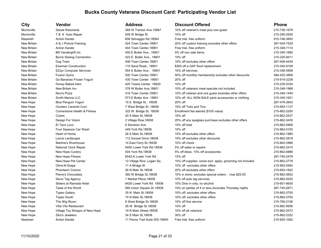Newtown **Action Karate 11 Penns Trail Suite 500.18940** Free trial, free uniform 215-820-1082

### **City Vendor Address Discount Offered Phone** Morrisville Salute Ristorante 368 W Trenton Ave, 19067 10% off veteran's meal plus one quest 215-736-1978 Morrisville Morrisville T& K Auto Repair the Subsection of the Subsection of the Subsection of the Subsection of the Subsection of the Subsection of the Subsection of the Subsection of the Subsection of the Subsection of the Subsectio Nazareth Action Karate 606 Selvaggio Rd,18064 Free trial, free uniform 610-746-3600 New Britain A & J Picture Framing 424 Town Center, 18901 20% off custom framing excludes other offers 267-454-7529 New Britain Action Karate 444 Town Center,18901 Free trial, free uniform 215-348-7110 New Britain Bill Vandergrift Inc (215-345-1892) 450 E Butler Ave., 18901 5% off non sale items 215-345-1892 215-345-1892 New Britain Byrne Sewing Connection 422 E. Butler Ave., 18901 10% off 215-230-9411 New Britain Dog Town 406 Town Center,18901 10% off excludes other offers 267-406-4439 New Britain Eiseman Construction 110 Sand Road., 18901 5300 off a GAF Roof replacement 215-345-9159 New Britain EZ/pc Computer Services 554 E Butler Ave., 18901 10% off services 215-348-5958 New Britain Fusion Gyms 500 Town Center,18901 50% off monthly membership excludes other discounts 484-425-3908 New Britain Go Bananas Frozen Yogurt 430 Town Center 18901 20% off 215-919-3239 Australian 20% off 215-919-3239 New Britain Honey Baked Ham 420 Towne Center 18920 10% off 215-230-5334 New Britain New Britain Inn 1576 W Butler Ave, 18901 10% off veterans meal specials not included 215-348-1968 New Britain Nico's Pizza **116 Town Center, 18901** 10% off veteran and one quest excludes other offers 215-340-1440 New Britain Smith Marine LLC 573 E Butler Ave 18901 10% off ALL NON-SALE parts accessories or clothing 215-345-1621 New Hope Blue Penguin Yogurt 15 E. Bridge St , 18938 20% off 267-476-2645 New Hope Clusters Caramel Corn 7 West Bridge St ,18938 10% off Tubs and Tins 215-693-1137 New Hope Cornerstone Health & Fitness 322 W. Bridge St, 18938 Enrollment fee waived (\$100 value) 215-862-2200 New Hope Cryers 20 S Main St,18938 10% off 215-862-2537 New Hope Design For Vision 2008 3 Village Row, 18938 25% off any eyeglass purchase excludes other offers 215-862-3435 New Hope El Taco Loco 6 Stockton Ave 10% off total 215-862-0908 New Hope Four Seasons Car Wash 449 York Rd,18938 10% off 215-862-5105 New Hope Heart of Home 15-862-1880 New Hope 28 S Main St,18938 10% off excludes other offers 215-862-1880 New Hope 215-862-1880 New Hope Lance Landscape 112 Sunset Drive, 18938 10% off excludes other discounts 215-862-2819 New Hope Martine's Riverhouse 14 East Ferry St,18938 10% off check 215-862-2966 New Hope National Clock Repair 6450 Lower York Rd,18938 5% off sales or repairs 215-862-2415 New Hope New Hope Cyclery **15-862-6888** 404 York Rd,18938 5% off bikes; 10% off accessories 215-862-6888 215-862-6888 New Hope New Hope Fitness 6542-K Lower York Rd 15% off 267-740-2479 New Hope New Hope Pet Center 12 Village Row ,Logan Sq. 10% off supplies, some excl. apply; grooming not included 215-862-2778 New Hope Olive-N-Grape 11 A Bridge St 10% off excludes other offers 215-862-5464 New Hope Phantasm Comics 2000 26 N Main St,18938 20% off excludes other offers 215-693-1822 New Hope Pierre's Chocolates 360 W Bridge St,18938 10% in store; excludes special orders - max \$25.00 215-862-0602 New Hope Savio Tag Agency Savio Tag Agency 1 Market Place,18938 10% off auto tag services 215-862-2025 New Hope Sliders at Ramada Hotel 6426 Lower York Rd 18938 10% Dine in only; no alcohol 215-651 215-651-6630 New Hope Taste of the World Taste of the World 560 Union Square Dr,18938 10% on parties of 4 or less,/excludes Thursday nights 267-740-2671 New Hope Topeo Gallery 15-862-2750 35 N Main St,18938 10% off; excludes other offers 215-862-2750 New Hope Topeo South 15 N Main St,18938 10% off; excludes other offers 215-862-2750 New Hope The Wig Room the State Microsoft Communication of the State of the State of the State of the State of M New Hope Villa Vito Restaurant 26 W. Bridge St,18938 10% off 215-862-9936 New Hope Village Toy Shoppe of New Hope 19 N Main Street, 18938 10% off all veterans 215-862-2072 New Hope Ziko's Jewelers 34 S Main St,18938 30% off 215-862-2322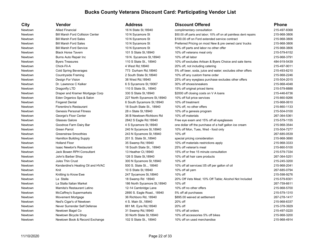| City    | <b>Vendor</b>                           | <b>Address</b>               | <b>Discount Offered</b>                                            | <b>Phone</b> |
|---------|-----------------------------------------|------------------------------|--------------------------------------------------------------------|--------------|
| Newtown | <b>Allied Financial</b>                 | 16 N State St. 18940         | complimentary consultation                                         | 215-497-8368 |
| Newtown | <b>Bill Marsh Ford Collision Center</b> | 10 N Sycamore St             | \$50.00 off parts and labor; 10% off on all paintless dent repairs | 215-968-3806 |
| Newtown | <b>Bill Marsh Ford Sales</b>            | 10 N Sycamore St             | \$100.00 off on Ford extended service contract                     | 215-968-3806 |
| Newtown | <b>Bill Marsh Ford Sales</b>            | 10 N Sycamore St             | Preferred Pricing on most New & pre owned cars/ trucks             | 215-968-3806 |
| Newtown | <b>Bill Marsh Ford Service</b>          | 10 N Sycamore St             | 10% off parts and labor no other offer                             | 215-968-3806 |
| Newtown | <b>Black Horse Tavern</b>               | 101 S State St, 18940        | 10% off veterans meal only                                         | 215-579-6152 |
| Newtown | Burns Auto Repair Inc                   | 19 N. Sycamore St, 18940     | 10% off all labor                                                  | 215-968-3791 |
| Newtown | <b>Byers Treasures</b>                  | 110 S State St., 18940       | 10% off excludes Artisan & Byers Choice and sale items             | 484-919-5439 |
| Newtown | Chick-Fil-A                             | 4 West Rd, 18940             | 20% off, not including catering                                    | 215-497-9011 |
| Newtown | <b>Cold Spring Beverages</b>            | 773 Durham Rd, 18940         | 5% off beer, soda, juice and water; excludes other offers          | 215-493-6210 |
| Newtown | <b>Countryside Framing</b>              | 2 South State St, 18940      | 10% off any custom frame order                                     | 215-968-2246 |
| Newtown | Design For Vision                       | 38 West Rd, 18940            | 25% off any eyeglass purchase excludes other offers                | 215-504-2015 |
| Newtown | Dr. Lawrence C Kalker                   | 6 S Sycamore St, 19067       | 30% off shoes/sneakers                                             | 215-968-4048 |
| Newtown | Dragonfly LTD                           | 110 S State St., 18940       | 15% off original priced items                                      | 215-579-8888 |
| Newtown | Draper and Kramer Mortgage Corp         | 330 S State St, 18940        | \$2000 off closing costs on V A loans                              | 215-446-6736 |
| Newtown | Eden Organics Spa & Salon               | 227 North Sycamore St, 18940 | 10% off full price services                                        | 215-860-9266 |
| Newtown | <b>Fingeret Dental</b>                  | 6 South Sycamore St, 18940   | 10% off treatment                                                  | 215-968-0610 |
| Newtown | <b>Florentino's Restaurant</b>          | 18 South State St., 18940    | 10% off, no other offers                                           | 215-860-1133 |
| Newtown | <b>Genesis Personal Fitness</b>         | 28 n State St, 18940         | 10% off a genesis program                                          | 215-504-0100 |
| Newtown | George's Floor Center                   | 36 B Newtown-Richboro Rd     | 10% off materials                                                  | 267-364-5361 |
| Newtown | Glasses Galore                          | 2842 S Eagle Rd. 18940       | Free eye exam and 15% off all eyeglasses                           | 215-579-1155 |
| Newtown | Goodnoe Farm Dairy Bar                  | 4 S Sycamore St, 18940       | one dollar off the purchase of a half gallon ice cream             | 215-968-3544 |
| Newtown | <b>Green Parrot</b>                     | 240 N Sycamore St, 18940     | 10% off Mon, Tues, Wed - food only                                 | 215-504-7277 |
| Newtown | <b>Greenstraw Smoothies</b>             | 243 N Sycamore St, 18940     | 10% off                                                            | 267-685-0539 |
| Newtown | <b>Hamilton Building Supply</b>         | 201 S. State St., 18940      | special pricing consideration                                      | 215-968-3690 |
| Newtown | <b>Holland Floor</b>                    | 35 Swamp Rd, 18940           | 10% off materials restrictions apply                               | 215-968-3333 |
| Newtown | <b>Isaac Newton's Restaurant</b>        | 18 South State St., 18940    | 25% off veteran's meal                                             | 215-860-5100 |
| Newtown | Jack Bowen RPH Consultant               | 13 Heather Ct, 18940         | 15% off or free 15 minute consultation                             | 215-579-7334 |
| Newtown | John's Barber Shop                      | 126 S State St, 18940        | 10% off all hair care products                                     | 267-364-5251 |
| Newtown | Jules Thin Crust                        | 300 N Sycamore St, 18940     | 10% off                                                            | 215-245-3200 |
| Newtown | Kenderdine's Heating Oil and HVAC       | 500 S. State St, 18940       | 10% off all services/.05 off per gallon of oil                     | 215-968-2041 |
| Newtown | Knit                                    | 10 S State St, 18940         | 10% off all yarn                                                   | 267-685-0794 |
| Newtown | Knitting to Know Ewe                    | 247 Sycamore St, 18940       | 10% off                                                            | 215-598-9276 |
| Newtown | La Stalla                               | 18 Swamp Rd 18940            | 20% Off Vets Meal; 10% Off Table; Alcohol Not Included             | 215-579-8301 |
| Newtown | La Stalla Italian Market                | 186 North Sycamore St, 18940 | 10% off                                                            | 267-759-6611 |
| Newtown | Mamita's Restaurant Latino              | 12-14 Cambridge Lane         | 10% off no other offers                                            | 215-968-5700 |
| Newtown | McCaffrey's Supermarkets                | 2890 S. Eagle Road., 18940   | 5% off all purchases                                               | 215-579-1310 |
| Newtown | Movement Mortgage                       | 36 Richboro Rd, 18940        | \$895.00 waived at settlement                                      | 267-278-1417 |
| Newtown | Ned's Cigar's of Newtown                | 4 S. Main St., 18940         | 20% off                                                            | 215-968-6337 |
| Newtown | Never Surrender Self Defense            | 881 Mt. Eyre Rd, 18940       | 20% off                                                            | 215-378-3929 |
| Newtown | Newtown Bagel Co                        | 31 Swamp Rd, 18940           | 15% off all orders                                                 | 215-497-0220 |
| Newtown | Newtown Bicycle Shop                    | 30 North State St, 18940     | 10% off accessories 5% off bikes                                   | 215-968-3200 |
| Newtown | Newtown Book & Record Exchange          | 102 S State St., 18940       | 10% off on used merchandise                                        | 215-968-4914 |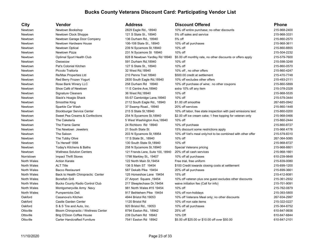| City               | Vendor                                 | <b>Address</b>                     | <b>Discount Offered</b>                                       | <b>Phone</b> |
|--------------------|----------------------------------------|------------------------------------|---------------------------------------------------------------|--------------|
| Newtown            | Newtown Bookshop                       | 2829 Eagle Rd., 18940              | 10% off entire purchase; no other discounts                   | 215-968-2400 |
| Newtown            | Newtown Clock Shoppe                   | 121 S State St., 18940             | 5% off sales and service                                      | 215-968-3331 |
| Newtown            | Newtown Garage Door Company            | 136 Durham Rd., 18940              | 5% off                                                        | 215-860-2570 |
| Newtown            | Newtown Hardware House                 | 106-108 State St., 18940           | 10% off all purchases                                         | 215-968-3611 |
| Newtown            | Newtown Optical                        | 239 N Sycamore St, 18940           | 10% off                                                       | 215-860-8855 |
| Newtown            | Newtown Pizza                          | 231 N Sycamore St 18940            | 10% off                                                       | 215-504-2232 |
| Newtown            | Optimal Sport Health Club              | 828 B Newtown Yardley Rd 18940     | \$5.00 off monthly rate, no other discounts or offers apply   | 215-579-7600 |
| Newtown            | Owowcow                                | 591 Durham Rd, 18940               | 10% off                                                       | 215-598-3248 |
| Newtown            | Pat's Colonial Kitchen                 | 127 S State St., 18940             | 10% off                                                       | 215-860-0570 |
| Newtown            | Piccolo Trattoria                      | 32 West Rd, 18940                  | 10% off, no other offers                                      | 215-860-4247 |
| Newtown            | Re/Max Properties Ltd                  | 210 Penns Trail. 18940             | \$500.00 credit at settlement                                 | 215-470-7748 |
| Newtown            | Red Berry Frozen Yogurt                | 2830 South Eagle Rd, 18940         | 10% off excludes other offers                                 | 215-493-2111 |
| Newtown            | Rose Bank Winery LLC                   | 258 Durham Rd 18940                | 10% off purchase of wine; no other coupons                    | 215-860-5899 |
| Newtown            | Shoe Café of Newtown                   | 11 E Centre Ave, 18940             | extra 10% off any item                                        | 215-378-2328 |
| Newtown            | <b>Signature Cleaners</b>              | 36 West Rd, 18940                  | 10% off                                                       | 215-968-5535 |
| Newtown            | Slack's Hoagie Shack                   | 55-57 Cambridge Lane, 18940        | 10% off                                                       | 215-579-3444 |
| Newtown            | Smoothie King                          | 2112 South Eagle Rd., 18940        | \$1.00 off smoothie                                           | 267-685-0942 |
| Newtown            | Sparkle Car Wash                       | 37 Swamp Road., 18940              | 20% off services                                              | 215-860-1448 |
| Newtown            | Stockburger Service Center             | 215 S State St, 18940              | 10% off labor, free state inspection with paid emissions test | 215-860-0200 |
| Newtown            | Sweet Pea Creams & Confections         | 254 N Sycamore St, 18940           | \$2.00 off ice cream cake; 1 free topping for veteran only    | 215-968-0466 |
| Newtown            | The Caketeria                          | 5 West Washington Ave, 18940       | 10% off                                                       | 215-860-2444 |
| Newtown            | The Frame Game                         | 24 Richboro Rd 18940               | 10% off purchase                                              | 215-860-8727 |
| Newtown            | The Newtown Jewelers                   | 21 South State St                  | 15% discount some restrictions apply                          | 215-968 4778 |
| Newtown            | The Saloon                             | 203 N Sycamore St, 18954           | 10% off Vet's meal only/not to be combined with other offer   | 215-579-8310 |
| Newtown            | The Tubby Olive                        | 17 S State St., 18940              | 10% off                                                       | 267-364-5085 |
| Newtown            | Tis Herself 1898                       | 130 South State St, 18940          | 10% off                                                       | 215-968-8727 |
| Newtown            | Today's Kitchens & Baths               | 258 N Sycamore St, 18940           | Special Veterans pricing                                      | 215-968-8801 |
| Newtown            | <b>Wellness Solution Centers</b>       | 121 Friends Lane, Suite 100, 18940 | 20% off all cash services                                     | 215-968-1661 |
| Norristown         | <b>Impact Thrift Stores</b>            | 1798 Markley St., 19407            | 10% off all purchases                                         | 610-239-9848 |
| North Wales        | <b>Action Karate</b>                   | 122 North Main St, 19454           | Free trial, free uniform                                      | 215-839-0080 |
| North Wales        | <b>ALT Title</b>                       | 136 S Main ST 19454                | \$100 Credit towards closing costs at settlement              | 215-699-1200 |
| North Wales        | <b>Bacco Restaurant</b>                | 587 Dekalb Pike 19454              | 20% off all purchases                                         | 215-699-3661 |
| North Wales        | Back to Health Chiropractic Center     | 125 Horseshoe Lane 19454           | 15% off                                                       | 215-412-8081 |
| North Wales        | <b>Bonefish Grill</b>                  | 27 Airport Square, 19454           | 10% off veteran plus one guest excludes other discounts       | 215-361-2932 |
| North Wales        | <b>Bucks County Radio Control Club</b> | 217 Steeplechase Dr, 19454         | waive initiation fee (Call for info)                          | 215-701-9091 |
| North Wales        | Montgomeryville Army Navy              | 981 North Wales #15 19454          | 10% off                                                       | 215-762-0879 |
| <b>North Wales</b> | Pumpernicks Deli                       | 917 Bethlehem Pike 19454           | 10% off non-holidays                                          | 215-393-5800 |
| Oakford            | Casanova's Kitchen                     | 4944 Bristol Rd.19053              | 10% off Veterans Meal only; no other discounts                | 267-934-2997 |
| Oakford            | Castle Garden Center                   | 1120 Bristol Rd                    | 10% off non sale items                                        | 215-322-0227 |
| Oakford            | S & S Tire and Auto, Inc.              | 920 Bristol Rd., 19053             | 10% off all purchases                                         | 215-364-8752 |
| Ottsville          | Bloom Chiropractic / Wellness Center   | 8794 Easton Rd., 18942             | 25% off                                                       | 610-847-9936 |
| Ottsville          | Brig O'Doon Coffee House               | 239 Durham Rd 18942                | 10% Off                                                       | 610-847-6844 |
| Ottsville          | <b>Carter Handcrafted Furniture</b>    | 7541 Easton Rd 18942               | \$5.00 off \$25.00 or \$10.00 off over \$50.00                | 610-847-2101 |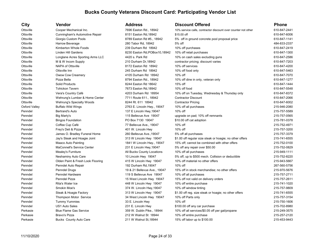| <b>City</b>          | Vendor                            | <b>Address</b>                 | <b>Discount Offered</b>                                       | Phone        |
|----------------------|-----------------------------------|--------------------------------|---------------------------------------------------------------|--------------|
| Ottsville            | Cooper Mechanical Inc.            | 7696 Easton Rd., 18942         | 10% service calls, contractor discount over counter not other | 610-847-2441 |
| Ottsville            | Cunningham's Automotive Repair    | 8151 Easton Rd, 18942          | \$15.00 off                                                   | 610-847-6006 |
| Ottsville            | Giorgio Custom Pools              | 8789 Easton Rd #5., 18942      | 5% off in ground concrete pool proposal price                 | 610-847-1141 |
| Ottsville            | Harrow Beverage                   | 280 Tabor Rd, 18942            | 5% off                                                        | 484-833-2337 |
| Ottsville            | Kimberton Whole Foods             | 239 Durham Rd 18942            | 10% off purchases                                             | 610-847-2419 |
| Ottsville            | Linden Hill Gardens               | 8230 Easton Rd, POBox10, 18942 | 10% off retail purchases                                      | 610-847-1300 |
| Ottsville            | Longlane Acres Sporting Arms LLC  | 4420 s. Park Rd                | 10% on cash sales excluding guns                              | 610-847-2586 |
| Ottsville            | M & W Incom Supply                | 210 Durham Dr, 18942           | contractor pricing; discount varies                           | 610-847-7203 |
| Ottsville            | <b>NAPA of Ottsville</b>          | 8172 Easton Rd 18942           | 10% off services                                              | 610-847-4200 |
| Ottsville            | Ottsville Inn                     | 245 Durham Rd 18942            | 10% off food only                                             | 610-847-5463 |
| Ottsville            | Owow Cow Creamery                 | 4105 Durham Rd 18942           | 10% off                                                       | 610-847-7070 |
| Ottsville            | Pizza Bella                       | 8794 Easton Rd., 18942         | 10% off dine in only, veteran only                            | 610-847-1277 |
| Ottsville            | Solid Products                    | 8244 Easton Rd 18642           | 15% off                                                       | 610-847-1444 |
| Ottsville            | <b>Tohickon Tavern</b>            | 7673 Easton Rd, 18942          | 10% off food                                                  | 610-847-5548 |
| Ottsville            | Vera's Country Café               | 4203 Durham Rd 18954           | 10% off on Tuesday, Wednesday & Thursday only                 | 610-847-8372 |
| Ottsville            | Wehrung's Lumber & Home Center    | 7711 Route 611., 18942         | <b>Contractor Discount</b>                                    | 610-847-2066 |
| Ottsville            | <b>Wehrung's Specialty Woods</b>  | 8244 Rt. 611 18942             | <b>Contractor Pricing</b>                                     | 610-847-6002 |
| <b>Oxford Valley</b> | <b>Buffalo Wild Wings</b>         | 2763 E. Lincoln Hwy., 19047    | 10% off all purchases                                         | 215-946-2080 |
| Penndel              | <b>Bertrand's Auto</b>            | 137 E Lincoln Hwy, 19047       | 10% off                                                       | 215-757-5589 |
| Penndel              | Big Marty's                       | 115 Bellevue Ave 19047         | upgrade on pad; 10% off remnants                              | 215-757-0565 |
| Penndel              | <b>Bingos Foundation</b>          | PO Box 7130 19047              | \$10.00 off cat adoption                                      | 215-781-0378 |
| Penndel              | Coffee Cup Café                   | 77 Bellevue Ave., 19047        | 10% off                                                       | 215-752-4971 |
| Penndel              | Frey's Deli & Pizza               | 401 W. Lincoln Hwy             | 10% off                                                       | 215-757-3200 |
| Penndel              | James O. Bradley Funeral Home     | 260 Bellevue Ave., 19047       | 5% off all purchases                                          | 215-757-3379 |
| Penndel              | Jay's Steak and Hoagie Joint      | 313 W Lincoln Hwy 19047        | \$1.00 off regular size steak or hoagie; no other offers      | 215-741-6555 |
| Penndel              | Maaco Auto Painting               | 1841 W Lincoln Hwy., 19047     | 15% off; cannot be combined with other offers                 | 215-752-0100 |
| Penndel              | MaConnell's Service Center        | 231 E Lincoln Hwy, 19047       | 5% off any repair over \$50.00                                | 215-752-0829 |
| Penndel              | Mealey's Furniture                | All Bucks County Locations     | 10% off all purchases                                         | 215-949-1111 |
| Penndel              | Neshaminy Auto Care               | 10 Lincoln Hwy 19047           | 5% off, up to \$500 mech. Collision or deductible             | 215-752-8220 |
| Penndel              | Olden Paint & Fresh Look Flooring | 415 W Lincoln Hwy 19047        | 10% off material no other offers                              | 215-943-5667 |
| Penndel              | Penndel Auto Repair               | 192 Durham Rd, 19047           | 10% off                                                       | 267-560-5756 |
| Penndel              | Penndel Drugs                     | 19 & 21 Bellevue Ave., 19047   | 15% off in stock merchandise; no other offers                 | 215-970-5676 |
| Penndel              | Penndel Hardware                  | 119 S Bellevue Ave 19047       | 10% off all purchases                                         | 215-757-2711 |
| Penndel              | <b>Penndel Pizza</b>              | 15 West Lincoln Hwy 19047      | 15% off not valid on delivery orders                          | 215-757-2611 |
| Penndel              | Rita's Water Ice                  | 448 W Lincoln Hwy 19047        | 10% off entire purchase                                       | 215-741-1020 |
| Penndel              | Smokin Moe's                      | 374 W. Lincoln Hwy, 19047      | 10% off window tinting                                        | 215-757-9809 |
| Penndel              | Steak & Hoagie Factory            | 313 W Lincoln Hwy 19047        | \$1.00 off reg. size steak or hoagie; no other offers         | 215-741-6555 |
| Penndel              | Thompson Motor Service            | 34 West Lincoln Hwy 19047      | 10% off Parts only                                            | 215-757-3154 |
| Penndel              | <b>Tummy Yummies</b>              | 33 E. Lincoln Hwy              | 10% off                                                       | 215-750-1606 |
| Penndel              | <b>US1 Auto Sales</b>             | 231 E. Lincoln Hwy             | \$100.00 off any car purchase                                 | 215-702-8980 |
| Perkasie             | <b>Blue Flame Gas Service</b>     | 359 W. Dublin Pike., 18944     | 10% off all services/\$0.05 off per gal/propane               | 215-249-3575 |
| Perkasie             | Bravo's Pizza                     | 212 W Walnut St 18944          | 10% off entire purchase                                       | 215-257-2120 |
| Perkasie             | Bucks County Auto Care            | 211 W Walnut St. 18944         | 15% off labor up to \$100.00                                  | 215-453-9443 |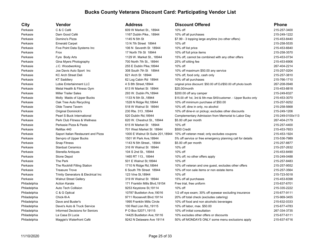| City         | Vendor                                          | Address                           | <b>Discount Offered</b>                                          | <b>Phone</b>     |
|--------------|-------------------------------------------------|-----------------------------------|------------------------------------------------------------------|------------------|
| Perkasie     | C & C Café                                      | 609 W Market St., 18944           | 10% off                                                          | 215-257-3400     |
| Perkasie     | Dam Good Café                                   | 1167 Dublin Pike., 18944          | 10% off all purchases                                            | 215-249-1222     |
| Perkasie     | Domino's Pizza                                  | 1145 N 5th St                     | \$7.99 - 3 topping large anytime (no other offers)               | 215-453-8440     |
| Perkasie     | <b>Emerald Carpet</b>                           | 13 N 7th Street 18944             | 10% off                                                          | 215-258-5535     |
| Perkasie     | Five Point Data Systems Inc                     | 106 N Seventh St 18944            | 10% off list price                                               | 215-453-6640     |
| Perkasie     | Frox                                            | 17 North 7th St 18944             | 10% off full price items                                         | 215-258-3570     |
| Perkasie     | Fyre Body Arts                                  | 1129 W. Market St., 18944         | 15% off, cannot be combined with any other offers                | 215-453-0734     |
| Perkasie     | Gina Myers Photography                          | 700 North 7th St., 18944          | 25% off sitting fee                                              | 215-453-6906     |
| Perkasie     | J.C. Woodworking                                | 255 E Dublin Pike, 18944          | 10% off                                                          | 267-404-2214     |
| Perkasie     | Joe Davis Auto Sport Inc                        | 308 South 7th St 18944            | 10% off maximum \$50.00 any service                              | 215-257-0204     |
| Perkasie     | <b>KC Arch Street Deli</b>                      | 621 Arch St 18944                 | 10% off, food only, cash only                                    | 215-257-3810     |
| Perkasie     | <b>KT Saddlery</b>                              | 62 Log Cabin Rd 18944             | 10% off all purchases                                            | 215-766-1710     |
| Perkasie     | Lobie Entertainment LLC                         | 4 S 8th Street, 18944             | original price discount: \$50.00 off DJ/\$50.00 off photo booth  | 267-208-0948     |
| Perkasie     | Metal Health & Fitness Gym                      | 613 W Market St 18944             | \$25.00/month                                                    | 215-453-8818     |
| Perkasie     | <b>Miller Trailer Sales</b>                     | 293 W. Dublin Pk, 18944           | \$200.00 off any camper                                          | 215-249-8327     |
| Perkasie     | Molly Maids of Upper Bucks                      | 1133 N 5th St., 18944             | \$15.00 off 1st, 3rd & 5th-max \$45/customer. - Upper Bucks only | 215-453-3070     |
| Perkasie     | Oak Tree Auto Recycling                         | 1528 N Ridge Rd, 18944            | 10% off minimum purchase of \$50.00                              | 215-257-9252     |
| Perkasie     | Olde Towne Tavern                               | 518 W Walnut St 18944             | 10% off, dine in only, no alcohol                                | 215-258-5668     |
| Perkasie     | <b>Original Dominick's</b>                      | 230 Rte. 313, 18944               | 10% off dine-in or pickup; excludes other discounts              | 215-249-1206     |
| Perkasie     | Pearl S Buck International                      | 520 Dublin Rd, 18944              | Complementary Admission from Memorial to Labor Day               | 215-249-0100x113 |
| Perkasie     | Perk Club Fitness & Wellness                    | 620 W. Chestnut St., 18944        | \$5.00 off per month                                             | 267-404-2179     |
| Perkasie     | Perkasie Pizza & Pasta                          | 615 W Market St 18944             | 10% off                                                          | 215-257-4400     |
| Perkasie     | ReMax 440                                       | 701 West Market St 18944          | \$500 Credit                                                     | 215-453-7653     |
| Perkasie     | Sapori Italian Restaurant and Pizza             | 1000 E Walnut St Suite 201, 18944 | 10% off veteran meal; only excludes coupons                      | 215-453-1924     |
| Perkasie     | Servpro of Upper Bucks                          | 1501 W Park Ave, 18944            | 5% off service or free emergency planning call for details       | 215-536-7989     |
| Perkasie     | Snap Fitness                                    | 1143 N 5th Street., 18944         | \$5.00 off per month                                             | 215-257-8877     |
| Perkasie     | <b>Stardust Ceramics</b>                        | 316 W Walnut St 18944             | 10% off                                                          | 215-257-2632     |
| Perkasie     | Stenella Antiques                               | 104 S 2nd St., 18944              | 10% off                                                          | 215-453-8490     |
| Perkasie     | Stone Depot                                     | 1465 RT 113., 18944               | 10% off; no other offers apply                                   | 215-249-0488     |
| Perkasie     | The Perk                                        | 501 E Walnut St, 18944            | 10% off                                                          | 215-257-8483     |
| Perkasie     | The Rockhill Filling Station                    | 1710 N Ridge Rd, 18944            | 10% off veteran and one guest, excludes other offers             | 215-257-9552     |
| Perkasie     | <b>Treasure Trove</b>                           | 6 South 7th Street 18944          | 10% off non sale items or non estate items                       | 215-257-3564     |
| Perkasie     | <b>Trinity Generators &amp; Electrical Inc.</b> | 123 Vine St, 18944                | 10% off                                                          | 215-723-5018     |
| Perkasie     | <b>Walnut Street Gallery</b>                    | 319 W Walnut St 18944             | 15% off all purchases                                            | 215-453-8398     |
| Philadelphia | <b>Action Karate</b>                            | 171 Franklin Mills Blvd, 19154    | Free trial, free uniform                                         | 215-637-6701     |
| Philadelphia | Auto Tech Collision                             | 9253 Keystone St, 19114           | 10% off                                                          | 215-335-2222     |
| Philadelphia | C & G Optical                                   | 10787 Bustleton Ave, 19016        | 1/2 off eye exam; 30% off eyewear excluding insurance            | 215-677-9111     |
| Philadelphia | Chick-fil-A                                     | 9711 Roosevelt Blvd.19114         | 20% off total check (excludes catering)                          | 215-969-3455     |
| Philadelphia | Dave and Buster's                               | 1995 Franklin Mills Circle        | 10% off food and non alcoholic beverages                         | 215-632-0333     |
| Philadelphia | Dave's Auto & Truck Service                     | 100 Red Lion Rd,, 19115           | 10% off labor, max. \$50.00                                      | 215-677-4783     |
| Philadelphia | Informed Decisions for Seniors                  | P O Box 52071,19115               | 10% off initial consultation                                     | 267-334-3735     |
| Philadelphia | La Casa Di Lucia                                | 14425 Bustleton Ave, 19116        | 10% excludes other offers or discounts                           | 215-677-6111     |
| Philadelphia | Maggie's Waterfront Café                        | 9242 N Delaware Ave 19114         | 50% off MONDAYS ONLY some menu exclusions apply                  | 215-637-6716     |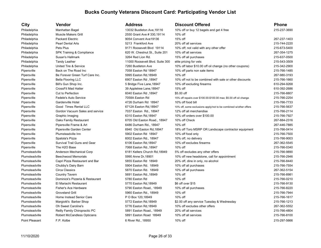### **City Vendor Address Discount Offered Phone** Philadelphia Manhattan Bagel 13032 Bustleton Ave, 19116 10% off or buy 12 bagels and get 4 free 215-237-3690 Philadelphia **Muscle Makers Grill 2550 Grant Ave # 330,19114** 10% off Philadelphia Packard Electric 9054 Convent Ave19136 15% off 267-237-1403 Philadelphia Pearl Dental Arts 5213 Frankford Ave 20% off all services 215-744-2220 Philadelphia Pets Plus Pus 9175-673-5400 Philadelphia SPK Training & Compliance 620 W. Chestnut St., Suite 201 10% off all services 267-354-1275 Philadelphia Susan's Hallmark 3264 Red Lion Rd. 15% off all purchases 215-637-0500 Philadelphia Tandy Leather 11000 Roosevelt Blvd. Suite 300 elite pricing for vets 215-543-3509 Philadelphia Philadelphia United Tire & Service 7260 Bustleton Ave 10% off labor \$10.00 off oil change (no other coupons) 215-342-2900 Pipersville Back on The Road Inc 7058 Easton Rd 18947 10% off parts non sale items 215-766-1485 Pipersville Be Forever Green Turf Care Inc. 6995 Easton Rd, 18949 10% off 267-980-3193 267-980-3193 Pipersville Bella Flooring LLC 6907 Easton Rd ,18947 10% off not to be combined with sale or other discounts 215-766-1660 Pipersville Bill's Gun Shop Inc. 5 Bridge Five Lane,18947 10% off excluding firearms 610-294-9268 Pipersville CrossFit Mad Hatter 39 Appletree Lane,18947 15% off 610-392-2686 Pipersville Cut to Perfection 6040 Easton Rd ,18947 \$5.00 off 215-766-8807 Pipersville Fedele's Auto Service 7058A Easton Rd 15% off repairs over \$100.00-\$100.00 max; \$5.00 off oil change 215-766-2254 Pipersville Gardenville Hotel 4726 Durham Rd 18947 10% off food bill 215-766-7733 Pipersville Good Times Rental LLC 6712A Easton Rd,18947 10% off, some exclusions apply/not to be combined w/other offers 215-766-5637 Pipersville Gordon Vacuum Sales and service 7037 Easton Rd., 18947 12% off all merchandise 215-766-2114 215-766-2114 Pipersville Graphic Imaging Craphic Imaging 6310 Easton Rd,18947 10% off orders over \$100.00 215-766-7927 215-766-7927 Pipersville Caks Family Restaurant 6705 Old Easton Road., 18947 10% off Check 267-884-2316 Pipersville Pipersville Frame & Art 6486 Durham Rd., 18947 10% off 267-446-7885 Pipersville Pipersville Garden Center 6940 Old Easton Rd,18947 18% off Toro MSRP OR Landscape contractor equipment 215-766-0414 Pipersville Plumsteadville Inn 5902 Easton Rd 18947 10% off food only 215-766-7500 Pipersville Spatola's Pizza 6002 Easton Rd., 18947 10% off, no delivery 215-766-9003 Pipersville Survival Trail Guns and Gear 6106 Easton Rd, 18947 10% off excludes firearms 267-362-5545 267-362-5545 Pipersville The H2O Base 7068 Easton Rd.,18947 10% off 215-766-0340 Plumsteadville Anderson Mechanical Corp 6181 Kellers Church Rd,18949 5% off excludes any other offers 215-766-9890 Plumsteadville Beechwood Memorials 6990 Anne Dr,18901 10% off new headstone, call for appointment 215-766-2946 Plumsteadville Capri Pizza Restaurant and Bar 5855 Easton Rd 18949 20% off, dine in only, no alcohol 215-766-8440 Plumsteadville Chubby's Dairy Barn 5904 Easton Rd. 18949 10% off all purchases 215-766-7554 Plumsteadville Circa Classics 5870 Easton Rd. 18949 10% off all purchases 267-362-5154 Plumsteadville Country Tavern 5691 Easton Rd.,18949 10% off 215-766-8981 Plumsteadville Dominick's Pizzeria & Restaurant 5780 Easton Rd 10% off 215-766-0210 Plumsteadville El Mariachi Restaurant 5770 Easton Rd,18949 \$6 off over \$15 215-766-9130 Plumsteadville Fisher's Ace Hardware 68 (215-766-8220) 5790 Easton Road., 18949 10% off all purchases 215-766-8220 215-766-8220 Plumsteadville Groveland Grill 5960 Easton Rd., 18949 10% off 215-766-7944 Plumsteadville Home Instead Senior Care P O Box 120,18949 10% off 215-766-1617 Plumsteadville Margiotti's Barber Shop 5772 Easton Rd,18949 \$2.00 off any service Tuesday & Wednesday 215-766-1213 Plumsteadville Oh Sweet Caroline's 5776 Easton Rd,18949 10% off excludes other offers 267-362-5552 Plumsteadville Reilly Family Chiropractic PC 66-4804 2691 Easton Road., 18949 20% off all services 215-766-4804 215-766-4804 Plumsteadville Robert McCandless Opticians 6891 Easton Road 18949 10% off all services 215-766-8100 Plumsteadville

Point Pleasant F.P. Kolbe 6 River Rd., 18950 10% off 215-297-5666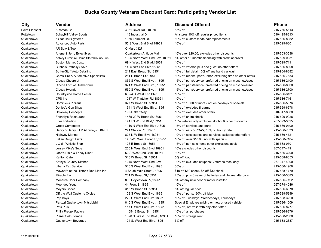| City           | Vendor                                  | <b>Address</b>                  | <b>Discount Offered</b>                                        | <b>Phone</b> |
|----------------|-----------------------------------------|---------------------------------|----------------------------------------------------------------|--------------|
| Point Pleasant | Kinsman Co                              | 4961 River Rd., 18950           | 15% off                                                        | 215-766-5613 |
| Pottstown      | Schuylkill Valley Sports                | 118 Industrial Dr.              | All stores 10% off regular priced items                        | 610-495-8813 |
| Quakertown     | 5 Star Hair Systems                     | 1050 Fairmont Dr.               | 10% off custom made hair replacements                          | 215-536-8382 |
| Quakertown     | <b>Advanced Auto Parts</b>              | 55 S West End Blvd 18951        | $10\%$ off                                                     | 215-529-6801 |
| Quakertown     | AR Saw & Tool                           | Q-Mart #327                     |                                                                |              |
| Quakertown     | Arlene & Jerry Eclectibles              | Quakertown Antique Mall         | 10% over \$20.00; excludes other discounts                     | 215-603-3538 |
| Quakertown     | Ashley Furniture Home Store/County Jun. | 1025 North West End Blvd, 18951 | 5% off or 18 months financing with credit approval             | 215-529-0331 |
| Quakertown     | Boston Market Corp.                     | 69 N West End Blvd, 18951       | $10\%$ off                                                     | 215-529-7111 |
| Quakertown     | <b>Bubba's Potbelly Stove</b>           | 1485 NW End Blvd, 18951         | 10% off veteran plus one guest no other offers                 | 215-536-8308 |
| Quakertown     | Buff-n-Stuff Auto Detailing             | 211 East Broad St, 18951        | 10% off full detail 10% off any hand car wash                  | 215-964-8882 |
| Quakertown     | Carr's Tire & Automotive Specialists    | 211 E Broad St, 18951           | 10% off repairs, parts, labor, excluding tires no other offers | 215-536-7633 |
| Quakertown     | Ciocca Chevrolet                        | 855 S West End Blvd., 18951     | 15% off parts/service; preferred pricing on most new/used      | 215-536-2100 |
| Quakertown     | Ciocca Ford of Quakertown               | 321 S West End Blvd., 18951     | 15% off parts/service; preferred pricing on most new/used      | 215-536-8600 |
| Quakertown     | Ciocca Hyundai                          | 550 S West End Blvd., 18951     | 15% off parts/service; preferred pricing on most new/used      | 215-536-2700 |
| Quakertown     | Countryside Home Center                 | 609-4 S West End Blvd           | 10% off                                                        | 215-536-3131 |
| Quakertown     | CPS Inc                                 | 1017 W Thatcher Rd, 18951       | 10% off                                                        | 215-536-7161 |
| Quakertown     | Dominicks Pizzeria                      | 327 W Broad St 18951            | 10% off 10.00 or more - not on holidays or specials            | 215-536-5076 |
| Quakertown     | Donley's Gun Shop                       | 1541 N West End Blvd, 18951     | 10% off excludes firearms                                      | 215-529-6578 |
| Quakertown     | <b>Driveway Concepts</b>                | 19 Quaker Way                   | 10% off excludes other offers                                  | 610-847-8888 |
| Quakertown     | Friendly's Restaurant                   | 1465-29 W Broad St, 18951       | 10% off entire check                                           | 215-529-9028 |
| Quakertown     | Fries Rebellion                         | 1441 S W End Blvd, 18951        | 15% veteran only excludes alcohol & other discounts            | 267-373-3525 |
| Quakertown     | <b>Grace Computers</b>                  | 18951, 1110 N West End Blvd     | 15% off services and parts                                     | 215-536-0100 |
| Quakertown     | Henry & Henry, LLP Attorneys., 18951    | 241 Station Rd. 18951           | 10% off wills & POA's; 15% off hourly rate                     | 215-536-7333 |
| Quakertown     | <b>Highway Marine</b>                   | 825 N W End Blvd, 18951         | 10% on accessories and services excludes other offers          | 215-536-4721 |
| Quakertown     | Italian Delight Pizza                   | 1465-23 West Broad St, 18951    | 10% off over \$10.00, not with specials                        | 215-538-7104 |
| Quakertown     | J & d Whistle Stop                      | 106 E Broad St 18951            | 15% off non-sale items other exclusions apply                  | 215-538-0501 |
| Quakertown     | Jersey Mike's Subs                      | 260 N West End Blvd 18951       | 10% excludes other discounts                                   | 267-347-4191 |
| Quakertown     | John's Plain & Fancy Diner              | 50 S West End Blvd 18951        | 10% off                                                        | 215-536-3290 |
| Quakertown     | Karlton Café                            | 310 W Broad St 18951            | 5% off food                                                    | 215-538-8353 |
| Quakertown     | Kathy's Country Kitchen                 | 1045 North West End Blvd        | 10% off excludes coupons; Veterans meal only                   | 267-347-4300 |
| Quakertown     | Liberty Tax Service                     | 515 S West End Blvd, 18951      | 30% off                                                        | 215-536-1969 |
| Quakertown     | McCool's at the Historic Red Lion Inn   | 4 South Main Street., 18951     | \$10 off \$60 check, \$5 off \$30 check                        | 215-538-1779 |
| Quakertown     | Miracle Ear                             | 231 W Broad St, 18951           | 25% off plus 3 years of batteries and lifetime aftercare       | 215-536-3883 |
| Quakertown     | Monarch Door Company                    | 808 Doylestown Pk, 18951        | 5% off any new door or motor installed                         | 215-536-7192 |
| Quakertown     | Moondog Yoga                            | 44 Front St, 18951              | 10% off                                                        | 267-374-4046 |
| Quakertown     | <b>Moyers Shoes</b>                     | 316 W Broad St 18951            | 5% off regular price                                           | 215-536-6378 |
| Quakertown     | Off the Wall Customs Cycles             | 103 S West End Blvd 18951       | 15% off parts, 20% off labor                                   | 215-529-5999 |
| Quakertown     | Pep Boys                                | 222 S West End Blvd 18951       | 10% off Tuesdays, Wednesdays, Thursdays                        | 215-538-3220 |
| Quakertown     | Peruzzi Quakertown Mitsubishi           | 840 S West End Blvd., 18951     | Special Employee pricing on new or used vehicle                | 215-536-1009 |
| Quakertown     | Pets Plus                               | 117 S West End Blvd 18951       | 10% off, not valid with any other offer                        | 215-536-8777 |
| Quakertown     | <b>Philly Pretzel Factory</b>           | 1465-12 Broad St 18951          | 10% off all purchases                                          | 215-536-8276 |
| Quakertown     | <b>Planet Self Storage</b>              | 1320 S. West End Blvd., 18951   | 10% off storage rent                                           | 215-538-2800 |
| Quakertown     | Quakertown Beverage                     | 124 S. West End Blvd, 18951     | 5% off                                                         | 215-538-2337 |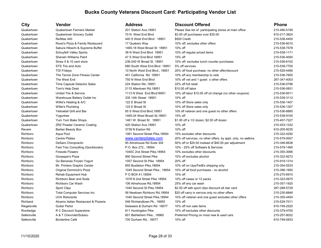| <b>City</b>  | Vendor                               | <b>Address</b>                  | <b>Discount Offered</b>                                      | <b>Phone</b> |
|--------------|--------------------------------------|---------------------------------|--------------------------------------------------------------|--------------|
| Quakertown   | <b>Quakertown Farmers Market</b>     | 201 Station Ave, 18951          | Please See list of participating stores at main office       | 215-490-5195 |
| Quakertown   | Quakertown Grocery Outlet            | 70 N West End Blvd              | \$3.00 off purchases over \$35.00                            | 610-217-3824 |
| Quakertown   | Re/Max 440                           | 440 S West End Blvd 18951       | \$500 Credit                                                 | 215-538-4400 |
| Quakertown   | Rossi's Pizza & Family Restaurant    | 17 Quakers Way                  | 10% off; excludes other offers                               | 215-536-6010 |
| Quakertown   | Sakura Hibachi & Supreme Buffet      | 1465-18 West Broad St 18951     | 10% off                                                      | 215-538-7578 |
| Quakertown   | Schuylkill Valley Sports             | 38 N West End Blvd 18951        | 10% off regular priced items                                 | 215-538-1171 |
| Quakertown   | <b>Sherwin Williams Paint</b>        | 47 S West End Blvd 18951        | 15% off                                                      | 215-536-4000 |
| Quakertown   | Sines 5 & 10 cent store              | 236-240 W Broad St 18951        | 10% off; excludes lunch counter purchases                    | 215-536-6102 |
| Quakertown   | STS Tire and Auto                    | 680 South West End Blvd 18951   | 5% off services                                              | 215-538-7700 |
| Quakertown   | <b>TGI Fridays</b>                   | 10 North West End Blvd., 18951  | 20% off food purchase; no other offer/discount               | 215-529-4490 |
| Quakertown   | The Tennis Zone Fitness Center       | 451 California Rd 18951         | 10% off any membership to vets                               | 215-536-7600 |
| Quakertown   | The West End                         | 750 N West End Blvd             | 10% off vet and 1 guest o other offers                       | 267-347-4003 |
| Quakertown   | Time Capsule Detector Sales          | 224 Station Rd., 18951          | 22% off full retail                                          | 215-536-0796 |
| Quakertown   | Tom's Help Desk                      | 2115 Allentown Rd, 18951        | \$10.00 off labor                                            | 215-536-0831 |
| Quakertown   | United Tire & Service                | 1113 N West End Blvd18951       | 10% off labor \$10.00 off oil change (no other coupons)      | 215-536-8511 |
| Quakertown   | Warehouse Battery Outlet Inc         | 335 14th Street 18951           | 10% off                                                      | 215-538-3112 |
| Quakertown   | Willie's Heating & A/C               | 122 E Broad St                  | 10% off Store sales only                                     | 215-536-1407 |
| Quakertown   | Willie's Plumbing                    | 122 E Broad St                  | 10% off Store sales only                                     | 215-536-1307 |
| Quakertown   | Yellowtail Grill and Bar             | 85 S West End Blvd, 18951       | 105 off veteran and one guest no other offers                | 215-536-8885 |
| Quakertown   | Yogurtree                            | 1465-24 West Broad St, 18951    | 15% off                                                      | 215-538-9100 |
| Quakertown   | Yum Yum Bake Shops                   | 1461 W. Broad St 18951          | \$1.00 off a 1/2 dozen; \$2.00 off dozen                     | 215-407-7227 |
| Quakertown   | <b>ZRZ Powder Ceramic Coating</b>    | 420 Station Ave, 18951          | 10% off                                                      | 215-453-1332 |
| Revere       | <b>Barber Beauty Box</b>             | 3739 N Easton Rd                | 10% off                                                      | 610-205-9235 |
| Richboro     | Aqua Pool                            | 1061 Second Street Pike, 18954  | 15% excludes other discounts                                 | 215-322-4292 |
| Richboro     | <b>Centre Pilates</b>                | www.centerpilates.com           | 20% off services, no other offers. by appt. only, no walkins | 215-579-0007 |
| Richboro     | DeSaro Chiropractic                  | 95 Almshouse Rd Suite 304       | 50% off or \$20.00 instead of \$40.00 per adjustment         | 215-346-6636 |
| Richboro     | Fast Trac Consulting (Quickbooks)    | P.O. Box 272., 18954            | 10% - 25% off Software & Services                            | 215-579-1465 |
| Richboro     | <b>Fireside Flowers</b>              | 1040C 2nd Street Pike, 18954    | 10% excludes other discounts                                 | 215-355-3066 |
| Richboro     | Giuseppe's Pizza                     | 990 Second Street Pike          | 10% off excludes alcohol                                     | 215-322-9272 |
| Richboro     | Go Bananas Frozen Yogurt             | 1057 Second St Pike 18954       | 20% off                                                      | 215-919-1314 |
| Richboro     | Mr. Printers Graphic Center          | 855 Bustleton Pike, 18954       | 10% off on Ups/FedEx shipping only                           | 215-354-5533 |
| Richboro     | Original Dominick's Pizza            | 1045 Second Street Pike., 18954 | 10% off all food purchases - no alcohol                      | 215-396-1950 |
| Richboro     | Rehab Equipment Hub                  | P O BOX 41,18954                | 10% off                                                      | 215-275-6910 |
| Richboro     | Richboro Beer and Soda               | 1078 N 2nd Street Pike 18954    | 10% off cases or 12 packs                                    | 215-322-0675 |
| Richboro     | Richboro Car Wash                    | 106 Almshouse Rd, 18954         | 25% off any car wash                                         | 215-357-1925 |
| Richboro     | <b>Sport Clips</b>                   | 1040 Second St Pike, 18954      | \$2.00 off with sport clips discount all star card           | 267-288-5729 |
| Richboro     | <b>Total Computer Services Inc</b>   | 56 Newtown Richboro Rd, 18954   | \$20 off carry in service only no other offers               | 215-230-8846 |
| Richboro     | <b>UVA Ristorante</b>                | 1040 Second Street Pike, 18954  | 10% off veteran and one guest excludes other offers          | 215-355-4454 |
| Richland     | Alcamo Italian Restaurant & Pizzeria | 546 Richlandtown Pk., 18955     | 10% off                                                      | 215-529-7011 |
| Riegelsville | <b>Guitar Parlor</b>                 | Delaware & Durham Rd 18077      | 10% off non sale items                                       | 610-749-2520 |
| Rockledge    | R C Discount Superstore              | 811 Huntingdon Pike             | 10% off excludes other discounts                             | 215-379-4700 |
| Sellersville | A & T Chevrolet/Subaru               | 801 Bethlehem Pike., 18960      | Preferred Pricing on most new & used cars                    | 215-257-8022 |
| Sellersville | Borderline Café                      | 700 Durham Rd., 18077           | 10% off                                                      | 610-749-0833 |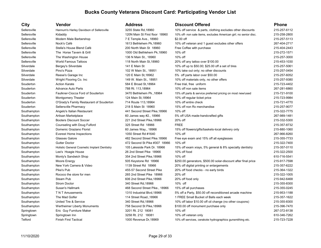### **City Vendor Address Discount Offered Phone** Sellersville Hannum's Harley Davidson of Sellersville 3255 State Rd,18960 10% off service & parts, clothing excludes other discounts 215-257-6112 Sellersville Kidaddy Kidaddy 120N Main St First floor 18960 10% off- non sale items, excludes American girl; no senior disc. 215-258-2800 Sellersville Modern Male Barbershop 7 E Temple Ave., 18960 \$2.00 off 215-257-5113 Sellersville Nock's Café 1613 Bethlehem Pk,18960 10% off veteran and 1 quest excludes other offers 267-404-2717 Sellersville Stella's House Blend Café 200 North Main St 18960 Free Coffee with purchase 215-404-2443 Sellersville The Horse Tavern & Grill 215-272-1571 1000 Old Bethlehem Pk,18960 10% off 215-272-1571 215-272-1571 Sellersville The Washington House 136 N Main St., 18960 10% off 215-257-3000 Sellersville World Famous Tattoos 118 North Main St,18960 20% off any tattoo over \$100.00 215-453-1030 Silverdale Bergey's Silverdale 141 E Main St 10% off up to \$50.00; \$25.00 off a set of tires 215-257-5061 Silverdale Pino's Pizza Pinote Pizza 102 W Main St., 18951 10% take out only: no other discounts 215-257-0454 Silverdale Reese's Garage Inc 15-257-6052 120 E Main St,18962 5% off parts labor over \$50.00 215-257-6052 215-257-6052 Silverdale Wright Flooring Co. Inc 149 W. Main St., 18951 10% off materials only, no other offers 215-257-9380 Souderton Action Karate 584 E Broad St,18964 Free trial, free uniform 215-723-4402 Souderton Advance Auto Parts 788 Rt. 113,18964 10% off non sale items 267-281-6860 Souderton Faulkner-Ciocca Ford of Souderton 3470 Bethlehem Pk.,18964 15% off parts & service preferred pricing on most new/used 215-721-9100 Souderton Montgomery Theater 124 Main St,18964 10% off regular ticket price 215-723-9984 215-723-9984 Souderton O'Grady's Family Restaurant of Souderton 714 Route 113,18964 10% off entire check 215-721-4770 Souderton Sellersville Pharmacy 218 S Main St 18960 15% off non Rx merchandise 215-257-9077 Southampton Angelo's Italian Restaurant 441 Second Street Pike, 18966 10% off 215-322-7775 Southampton **Artisan Marketplace 60 James way #2., 18966** 5% off USA made-handcrafted gifts 267-989-1481 Southampton Booters Discount Soccer 221 2nd Street Pike,18966 20% off 215-332-5300 215-332-5300 Southampton Counseling with Doug Fulford 325 Street Rd 18966 FREE 215-357-8732 Southampton Domenic Graziano Florist 60 James Way., 18966 15% off flowers/gifts/baskets-local delivery only 215-880-1060 Southampton Everest Home Inspections 1050 Street Rd #1640 10% off 267-966-8260 Southampton Glasses Galore 482 Second Street Pike.18966 Free eye exam and 15% off all eyeglasses 315-355-7733 Southampton Gutter Doctor Cutter Contocom Cutter Control Cutter Control and Area 472 Second St Pike #307 18966 10% off Cutter Doctor 215-322-7400 Southampton Holistic General Cosmetic Implant Dentistry 105 Lakeside Park Dr. 18966 15% off exam xrays, 5% general & 8% specialty dentistry 215-357-0110 Southampton Lee's Hoagie House 26 2nd Street Pike 18966 10% off food 215-322-2500 Southampton Monty's Sandwich Shop 354 2nd Street Pike,18966 10% off 610-716-5541 610-716-5541 Southampton Moore Energy 605 Meystone Rd 18966 \$250.00 generators, \$500.00 solar-discount after final price 215-917-7598 Southampton New York Camera & Video 1139 Street Rd 18966 20% off digital printing or enlargements 215-357-6222 Southampton Pike's Pub **Pike's Pub 1455-57 Second Street Pike** 20% off food checks - no early birds 215-364-1322 Southampton Rococo the store for men 265 2nd Street Pike 18966 20% off 215-322-1005 Southampton Steam Pub Steam Pub 606 2nd Street Pike,18966 20% off food only 215-942-6468 Southampton Strom Doctor 340 Street Rd,18966 10% off 215-355-8300 Southampton Susan's Hallmark Cases and Street Pike., 18966 15% off all purchases 215-355-0245 Southampton TN T Amusements 1310 Industrial Blvd,18966 5% off a Party, \$50.00 off reconditioned arcade machine 215-953-1188 Southampton The Mad Golfer 114 Street Road.,18966 1 FREE Small Bucket of Balls each week 215-357-1622 Southampton United Tire & Service 355-8300 340 Street Rd,18966 10% off labor \$10.00 off oil change (no other coupons) 215-355-8300 Southampton Wertheimer Liberty Monuments 758 Second St Pike,18966 \$100.00 off monument purchase only 215-396-7470 Springtown Eric Guy Furniture Maker 267-372-8138 3201 Rt. 212 18081 10% off 267-372-8138 Springtown Springtown Inn 3258 Rt. 212 18081 10% off veteran only 610-346-7262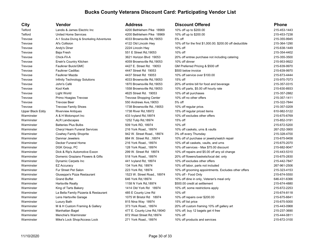| ∪ιту             |
|------------------|
| Telford          |
| Telford          |
| Trevose          |
| Trevose          |
| Trevose          |
| Trevose          |
| Trevose          |
| Trevose          |
| Trevose          |
| Trevose          |
| Trevose          |
| Trevose          |
| Trevose          |
| Trevose          |
| Trevose          |
| Trevose          |
| Trevose          |
| Trevose          |
| Upper Black Eddy |
| Warminster       |
| Warminster       |
| Warminster       |
| Warminster       |
| Warminster       |
| Warminster       |
| Warminster       |
| Warminster       |
| Warminster       |
| Warminster       |
| Warminster       |
| Warminster       |
| Warminster       |
| Warminster       |
| Warminster       |
| Warminster       |
| Warminster       |
| Warminster       |
| Warminster       |
| Warminster       |
| Warminster       |
| Warminster       |
| Warminster       |
|                  |

| City             | Vendor                                   | Address                        | Discount Offered                                          | <b>Phone</b> |
|------------------|------------------------------------------|--------------------------------|-----------------------------------------------------------|--------------|
| Telford          | Landis & James Electric Inc              | 4200 Bethlehem Pike 18969      | 10% off up to \$200.00                                    | 215-453-1443 |
| Telford          | United Home Services                     | 4200 Bethlehem Pike 18969      | 10% off up to \$200.00                                    | 215-453-7238 |
| <b>Trevose</b>   | A-1 Scuba Diving & Snorkeling Adventures | 4033 Brownsville Rd, 19053     | 5% off                                                    | 215-355-9945 |
| Trevose          | Al's Collision                           | 4122 Old Lincoln Hwy           | 10% off for the first \$1,000.00; \$200.00 off deductible | 215-364-1290 |
| Trevose          | Andy's Diner                             | 2224 Lincoln Hwy               | 10% off                                                   | 215-638-1449 |
| Trevose          | Baja Fresh                               | 551 E Street Rd, 19053         | 10% off                                                   | 215-354-4402 |
| Trevose          | Chick-Fil-A                              | 3621 Horizon Blvd 19053        | 20% off entree purchase not including catering            | 215-355-3500 |
| Trevose          | Erwin's Country Kitchen                  | 4059 Brownsville Rd, 19053     | 10% off dinner                                            | 215-953-9922 |
| Trevose          | Faulkner Buick/GMC                       | 4427 E. Street Rd. 19053       | GM Preferred Pricing & \$500 off                          | 215-639-9970 |
| Trevose          | <b>Faulkner Cadillac</b>                 | 4447 Street Rd 19053           | \$500 below invoice                                       | 215-639-9970 |
| Trevose          | Faulkner Mazda                           | 4437 Street Rd 19053           | 10% off service over \$100.00                             | 215-673-4444 |
| Trevose          | Infinity Technology Solutions            | 4033 Brownsville Rd, 19053     | 15% off                                                   | 215-970-7073 |
| Trevose          | John's Café                              | 1870 Brownsville Rd, 19053     | 20% off entire bill for food and beverage                 | 215-357-0315 |
| Trevose          | Kool Kwik                                | 1558 Brownsville Rd, 19053     | 10% off parts, \$5.00 off hourly rate                     | 215-630-8933 |
| Trevose          | Light World                              | 4625 Street Rd. 19053          | 10% off all purchases                                     | 215-357-2882 |
| Trevose          | Primo Hoagies Trevose                    | <b>Trevose Shopping Center</b> | 10% off no other offers                                   | 215-357-1411 |
| Trevose          | <b>Trevose Beer</b>                      | 550 Andrews Ave, 19053         | 5% off                                                    | 215-322-7844 |
| Trevose          | <b>Trevose Family Shoes</b>              | 1738 Brownsville Rd., 19053    | 10% off regular price.                                    | 215-357-0209 |
| Upper Black Eddy | <b>Riverview Antiques</b>                | 1738 River Rd, 18972           | 15% off regular priced items                              | 610-982-5122 |
| Warminster       | A & H Motorsport Inc                     | 433 Ivyland Rd,18974           | 10% off excludes other offers                             | 215-675-6769 |
| Warminster       | <b>ALR Landscapes</b>                    | 1252 Tulip Rd, 18974           | 15% off                                                   | 215-852-3191 |
| Warminster       | <b>Batteries Plus Bulbs</b>              | 509 York RD, 18974             | 10% off                                                   | 215-672-5200 |
| Warminster       | <b>Cheryl Hearn Funeral Services</b>     | 216 York Road., 18974          | 10% off caskets, urns & vaults                            | 267-252-3900 |
| Warminster       | Cowhey Family Shoprite                   | 942 W. Street Road., 18974     | 3% off every Thursday                                     | 215-328-4700 |
| Warminster       | Danmar Jewelers                          | 884 W. Street Rd., 18974       | 10% off of purchase or jewelry/watch repair               | 215-675-9458 |
| Warminster       | Decker Funeral Home                      | 216 York Road., 18974          | 10% off all caskets, vaults, and urns                     | 215-675-2070 |
| Warminster       | DGK Group, PC                            | 128 York Road., 18974          | 10% off services - Max \$75.00 discount                   | 215-682-9047 |
| Warminster       | Dick & Rip's Automotive Exxon            | 299 W. Street Rd 18974         | 10% off repairs and \$5.00 off any oil change             | 215-443-5310 |
| Warminster       | Domenic Graziano Flowers & Gifts         | 518 York Road., 18974          | 20% off flowers/baskets/local del. only                   | 215-675-2830 |
| Warminster       | <b>Dynamic Carpets Inc</b>               | 441 Ivyland Rd, 18974          | 10% off excludes other offers                             | 215-442-7847 |
| Warminster       | <b>EZ Accuracy</b>                       | 134 York Rd, 18974             | 10% off labor, parts not included                         | 267-961-2506 |
| Warminster       | Fur Street Pet Salon                     | 223 York Rd, 18974             | 10% off grooming appointments. Excludes other offers      | 215-323-4153 |
| Warminster       | Giuseppe's Pizza Restaurant              | 1523 W. Street Road., 18974    | 10% off - Food Only                                       | 215-674-5550 |
| Warminster       | <b>Grand Buffet</b>                      | 646 York Rd, 18974             | 10% off dine in only, Veteran's meal only                 | 646-431-6366 |
| Warminster       | <b>Hartsville Realty</b>                 | 1158 N York Rd, 18974          | \$500.00 credit at settlement                             | 215-674-4880 |
| Warminster       | King of Tarts Bakery                     | 1414 Old York Rd 18974         | 10% off, some restrictions apply                          | 215-672-2253 |
| Warminster       | La Bella Family Pizzeria & Restaurant    | 485 E County Line Rd           | 10% off                                                   | 215-674-8118 |
| Warminster       | Lens Hartsville Garage                   | 1075 W Bristol Rd 18974        | 10% off repairs over \$200.00                             | 215-675-6641 |
| Warminster       | Luxury Bath                              | 815 Nina Way 18974             | 15% off list price                                        | 215-675-5000 |
| Warminster       | M & H Custom Framing & Gallery           | 373 York Road., 18974          | 20% off custom framing 10% off gallery art                | 215-443-0968 |
| Warminster       | Manhattan Bagel                          | 477 E. County Line Rd, 19040   | 10% off; buy 12 bagels get 4 free                         | 215-237-3690 |
| Warminster       | Menchie's Warminster                     | 872 West Street Rd, 18974      | 10% off                                                   | 215-444-0811 |
| Warminster       | Mike's Lock Shop/Access Lock             | 271 York Road., 18974          | 10% off products and services                             | 215-672-3100 |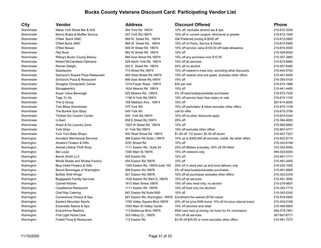| City       | Vendor                                  | <b>Address</b>                  | <b>Discount Offered</b>                                              | <b>Phone</b> |
|------------|-----------------------------------------|---------------------------------|----------------------------------------------------------------------|--------------|
| Warminster | Mikes York Street Bar & Grill           | 544 York Rd 18974               | 10% off, excludes alcohol tax & tips                                 | 215-672-3300 |
| Warminster | Monro Brake & Muffler Service           | 257 York Rd, 18974              | 10% off or current coupon, whichever is greater                      | 215-672-1040 |
| Warminster | O'Neil Buick GMC                        | 869 W. Street Rd. 18974         | GM Preferred pricing & \$500 off                                     | 215-672-0900 |
| Warminster | O'Neil Buick GMC                        | 869 W. Street Rd. 18974         | 10% off on Parts, Service & Detail                                   | 215-672-0900 |
| Warminster | O'Neil Nissan                           | 849 W Street Rd 18974           | 10% off service: extra \$100.00 off trade allowance                  | 215-674-9300 |
| Warminster | Pep Boys                                | 982 W Street Rd 18974           | 10% off                                                              | 215-328-9520 |
| Warminster | <b>Rilling's Bucks County Bakery</b>    | 868 East Street Rd, 18974       | 10% off any purchase over \$10.00                                    | 215-357-3860 |
| Warminster | Robert McCandless Opticians             | 529 North York Rd 18974         | 10% off all services                                                 | 215-672-6660 |
| Warminster | Roman Delight                           | 255 E Street Rd 18974           | 20% off no alcohol                                                   | 215-957-6465 |
| Warminster | Saladworks                              | 774 Street Rd, 18974            | 15% off veteran's meal only, excluding other discounts               | 215-444-0752 |
| Warminster | Santucci's Square Pizza Restaurant      | 460 West Street Rd, 18974       | 10% off veteran and one guest, excludes other offers                 | 215-441-9400 |
| Warminster | Schiano's Pizza & Restaurant            | 846 East Street Rd, 18974       | $10\%$ off                                                           | 215-355-0120 |
| Warminster | Shragher Chiropractic Center            | 1319 Foster Road., 18974        | \$35 per visit                                                       | 215-672-1996 |
| Warminster | Storagework's                           | 1634 Mearns Rd 18974            | 10% off                                                              | 215-441-4400 |
| Warminster | Super Value Beverage                    | 625 Mearns Rd, 18974            | 5% off beer/soda/juice/water purchases                               | 215-672-7250 |
| Warminster | Tags To Go                              | 1158 N York Rd, 18974           | 10% off service fees/ free notary to vets                            | 215-674-1155 |
| Warminster | The Q Group                             | 169 Madison Ave., 18974         | 10% off                                                              | 267-614-8295 |
| Warminster | <b>Trek Bikes Warminster</b>            | 375 York RD                     | 10% off parts/labor & bikes excludes other offers                    | 215-675-1739 |
| Warminster | The Bunker Gun Shop                     | 549 York Rd                     | call for offer                                                       | 215-675-3796 |
| Warminster | <b>Tricked Out Custom Cycles</b>        | 240 York Rd, 18974              | 10% off no other discounts apply                                     | 215-674-4340 |
| Warminster | U-Swirl                                 | 858 E Street Rd, 18974          | 20% off                                                              | 215-364-4000 |
| Warminster | Wash & Go Laundry Zone                  | 1503 W Street Rd 18974          | 10% off                                                              | 215-956-9663 |
| Warminster | <b>York Diner</b>                       | 41 York Rd, 18974               | 10% off excludes other offers                                        | 215-957-4777 |
| Warminster | Yum Yum Bake Shops                      | 500 West Street Rd 18974        | \$1.00 off 1/2 dozen; \$2.00 off dozen                               | 215-407-7227 |
| Warrington | <b>Accutech Mechanical Services</b>     | 366 Easton Rd Suite I, 18976    | 10% up to \$300.000 all services, install. No other offers           | 215-822-9115 |
| Warrington | Amelia's Flowers & Gifts                | 2291 Bristol Rd                 | 10% off                                                              | 215-343-6198 |
| Warrington | Animal Lifeline Thrift Shop             | 1111 Easton Rd., Suite 24       | 25% off Military everyday, 50% off 55+Wed                            | 215-343-5050 |
| Warrington | <b>Bar Louie</b>                        | 1500 Main St, 18976             | 15% off veterans only                                                | 484-322-6300 |
| Warrington | <b>Bench Smith LLC</b>                  | 429 Easton Rd                   | 10% off                                                              | 215-491-1711 |
| Warrington | <b>Blinds Shade and Shutter Factory</b> | 404 Easton Rd, 18976            | 10% off                                                              | 215-491-4400 |
| Warrington | <b>Blue Violet Flowers &amp; Gifts</b>  | 1345 Easton Rd, 18976 suite 100 | 20% off in store pick up and local delivery only                     | 215-220-1000 |
| Warrington | Bound Beverages of Warrington           | 308 Easton Rd, 18976            | 5% off beer/soda/juice/water purchases                               | 215-491-6600 |
| Warrington | <b>Buffalo Wild Wings</b>               | 201 Easton Rd, 18976            | 10% off all purchases excludes other offers                          | 215-343-2376 |
| Warrington | <b>Bugajewski Facility Services</b>     | 1432 Easton Rd Ste3 D., 18976   | 10% off all services                                                 | 215-491-3092 |
| Warrington | Carmel Kitchen                          | 1613 Main Street, 18976         | 10% off vets meal only; no alcohol                                   | 215-279-9607 |
| Warrington | Casablanca Restaurant                   | 1111 Easton Rd 18976            | 15% off food only (no alcohol)                                       | 215-343-7715 |
| Warrington | Chef Ray Catering                       | 847 Easton Rd Suite1600         | 10% off                                                              | 215-343-2240 |
| Warrington | Cornerstone Fitness & Spa               |                                 | 847 Easton Rd, Warrington, 18976 Enrollment fee waived (\$100 value) | 215-918-5900 |
| Warrington | Eastern Mountain Sports                 | 1700 Valley Square Blvd, 18976  | 20% off full price EMS brand; 15% off full price national brand      | 215-343-0169 |
| Warrington | Essentials Salons & Spa                 | 1593 Main St Valley Center      | 10% off services and retail                                          | 215-489-8800 |
| Warrington | <b>EveryHome Realtors</b>               | 113 Buttercup Blvd, 18976       | \$500 cash back at closing; list home for 4% commission              | 484-319-7901 |
| Warrington | First Light Home Care                   | 303 Hilltop Ct., 18976          | 10% off all services                                                 | 267-647-6717 |
| Warrington | Fratelli Pizza & Restaurant             | 112 Easton Rd                   | \$3.00 off \$25.00 or more excludes other offers                     | 215-491-7273 |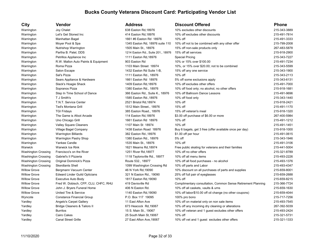| City                       | Vendor                                  | <b>Address</b>                     | <b>Discount Offered</b>                                      | <b>Phone</b> |
|----------------------------|-----------------------------------------|------------------------------------|--------------------------------------------------------------|--------------|
| Warrington                 | Joy Chalet                              | 638 Easton Rd, 18976               | 10% excludes other discounts                                 | 215-343-3889 |
| Warrington                 | Let's Get Stoned Inc                    | 414 Easton Rd, 18976               | 10% off excludes other discounts                             | 215-491-7814 |
| Warrington                 | Manhattan Bagel                         | 1661 #6 Easton Rd 18976            | 10% off                                                      | 215-491-3333 |
| Warrington                 | Moyer Pool & Spa                        | 1345 Easton Rd, 18976 suite 110    | 10% off not to be combined with any other offer              | 215-799-2008 |
| Warrington                 | Nutrishop Warrington                    | 1505 Main St., 18976               | 15% off non-sale products only                               | 267-483-5878 |
| Warrington                 | Partha B. Patel, DDS                    | 1214 Easton Rd., Suite 201., 18976 | 15% off all services                                         | 215-918-2900 |
| Warrington                 | Petrillos Appliance Inc                 | 1111 Easton Rd, 18976              | <b>Special Pricing</b>                                       | 215-343-7227 |
| Warrington                 | R.W. Mallon Auto Paints & Equipment     | 903 Easton Rd                      | 10% or 15% over \$100.00                                     | 215-491-7234 |
| Warrington                 | Roma Pizza                              | 1103 Main Street 18974             | 10%, or 15% over \$20.00; not to be combined                 | 215-343-5599 |
| Warrington                 | Salon Escape                            | 1432 Easton Rd Suite 1-B,          | 15% off any one service                                      | 215-343-1900 |
| Warrington                 | Sal's Pizza                             | 1111 Easton Rd., 18976             | 10% off                                                      | 215-343-2113 |
| Warrington                 | Sears Appliance & Hardware              | 1661 Easton Rd 18976               | 5% off some exclusions apply                                 | 215-343-6131 |
| Warrington                 | Slack's Hoagie Shack                    | 1409 Easton Rd, 18976              | 10% off excludes other offers                                | 215-491-7000 |
| Warrington                 | Sopranos Pizza                          | 1380 Easton Rd., 18976             | 10% off food only; no alcohol, no other offers               | 215-918-1681 |
| Warrington                 | Step In Time School of Dance            | 366 Easton Rd., Suite K., 18976    | 10% off Ballroom Dance Lessons                               | 215-491-9696 |
| Warrington                 | T J Smith's                             | 1585 Easton Rd., 18976             | 10% off food only                                            | 215-343-1440 |
| Warrington                 | T.N.T. Service Center                   | 2521 Bristol Rd, 18974             | 10% off                                                      | 215-918-2421 |
| Warrington                 | <b>Ted's Montana Grill</b>              | 1512 Main Street., 18976           | 15% off                                                      | 215-491-1170 |
| Warrington                 | <b>TGI Fridays</b>                      | 385 Easton Road., 18976            | 15% off veteran's meal                                       | 215-918-1320 |
| Warrington                 | The Game is Afoot Arcade                | 114 Easton Rd, 18976               | \$3.00 off purchase of \$6.00 or more                        | 267-400-5984 |
| Warrington                 | Uno Chicago Grill                       | 1661 Easton Rd 18976               | 10% off                                                      | 215-491-1212 |
| Warrington                 | <b>Valley Square Cleaners</b>           | 1107 Main St 18974                 | 10% off                                                      | 215-491-1451 |
| Warrington                 | Village Bagel Company                   | 1438 Easton Road 18976             | Buy 6 bagels, get 3 free (offer available once per day)      | 215-918-1000 |
| Warrington                 | <b>Warrington Billiards</b>             | 382 Easton Rd., 18976              | \$1.00 off per hour                                          | 215-491-0615 |
| Warrington                 | <b>Warrington Pastry Shop</b>           | 1380 Easton Rd., 18976             | 5% off                                                       | 215-343-1946 |
| Warrington                 | Yankee Candle                           | 1535 Main St., 18976               | $10\%$ off                                                   | 215-491-3106 |
| Warwick                    | Warwick Ice Rink                        | 1621 Mearns Rd, 18974              | Free public skating for veterans and their families          | 215-441-5004 |
| <b>Washington Crossing</b> | Francisco's on the River                | 1251 River Rd, 18977               | 10% off no other offers                                      | 215-321-8789 |
| <b>Washington Crossing</b> | Gabriel's II Pizzeria                   | 1118 Taylorsville Rd., 18977       | 10% off all menu items                                       | 215-493-2226 |
| <b>Washington Crossing</b> | Original Dominick's Pizza               | Route 532., 18977                  | 10% off all food purchases - no alcohol                      | 215-493-1376 |
| <b>Washington Crossing</b> | <b>Skerdlants Shell</b>                 | 1099 Washington Crossing Rd        | 10% off parts and Labor                                      | 215-493-4347 |
| <b>Willow Grove</b>        | Bergmann Vacuum Center                  | 46 N York Rd, 19090                | 10% discount on all purchases of parts and supplies          | 215-659-8001 |
| <b>Willow Grove</b>        | <b>Edward Linder Guild Opticians</b>    | 321 N Easton Rd., 19090            | 25% off full pair of eyeglasses                              | 215-659-2688 |
| <b>Willow Grove</b>        | Executive Auto Body                     | 1817 Easton Rd, 19090              | 10% off                                                      | 215-659-8215 |
| <b>Willow Grove</b>        | Fred W. Dobisch, CFP, CLU, CHFC, RHU    | 419 Davisville Rd                  | Complimentary consultation, Common Sense Retirement Planning | 215-366-7724 |
| <b>Willow Grove</b>        | John J. Bryers Funeral Home             | 406 N Easton Rd.                   | 10% off all caskets, vaults & urns                           | 215-659-1630 |
| <b>Willow Grove</b>        | United Tire & Service                   | 1140 Easton Rd, 19090              | 10% off labor/\$10.00 off oil change (no other coupons)      | 215-659-4044 |
| Wyncote                    | Constance Financial Group               | P.O. Box 117 19095                 | 100% pro bono                                                | 215-717-7256 |
| Yardley                    | Angelo's Carpet Gallery                 | 11 East Afton Ave                  | 10% off on material only on non sale items                   | 215-493-7545 |
| Yardley                    | <b>Bridge Cleaners &amp; Tailors II</b> | 673 Heacock Rd, 19067              | 10% off any incoming dry cleaning or alterations             | 267-392-5039 |
| Yardley                    | <b>Burritos</b>                         | 15 S. Main St., 19067              | 10% off veteran and 1 guest excludes other offers            | 215-493-2424 |
| Yardley                    | Cairo Cakes                             | 25 South Main St, 19067            | 10% off                                                      | 215-321-5731 |
| Yardley                    | <b>Canal Street Grille</b>              | 27 East Afton Ave, 19067           | 10% off vet and 1 quest excludes other offers                | 215-321-1333 |